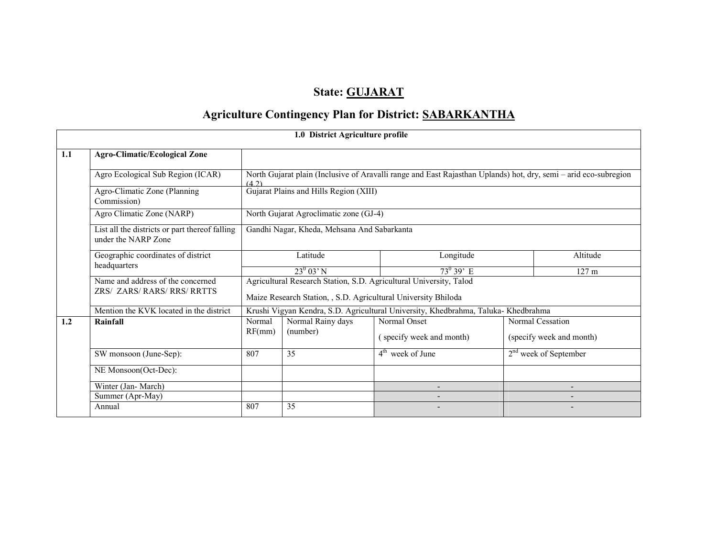## State: GUJARAT

# Agriculture Contingency Plan for District: SABARKANTHA

|     |                                                                       |        | 1.0 District Agriculture profile                               |                                                                                                                  |  |                          |
|-----|-----------------------------------------------------------------------|--------|----------------------------------------------------------------|------------------------------------------------------------------------------------------------------------------|--|--------------------------|
| 1.1 | <b>Agro-Climatic/Ecological Zone</b>                                  |        |                                                                |                                                                                                                  |  |                          |
|     | Agro Ecological Sub Region (ICAR)                                     | (4.2)  |                                                                | North Gujarat plain (Inclusive of Aravalli range and East Rajasthan Uplands) hot, dry, semi - arid eco-subregion |  |                          |
|     | Agro-Climatic Zone (Planning<br>Commission)                           |        | Gujarat Plains and Hills Region (XIII)                         |                                                                                                                  |  |                          |
|     | Agro Climatic Zone (NARP)                                             |        | North Gujarat Agroclimatic zone (GJ-4)                         |                                                                                                                  |  |                          |
|     | List all the districts or part thereof falling<br>under the NARP Zone |        | Gandhi Nagar, Kheda, Mehsana And Sabarkanta                    |                                                                                                                  |  |                          |
|     | Geographic coordinates of district                                    |        | Latitude                                                       | Longitude                                                                                                        |  |                          |
|     | headquarters                                                          |        | $23^0$ 03' N                                                   | $73^{\circ}39$ E                                                                                                 |  | 127 <sub>m</sub>         |
|     | Name and address of the concerned<br><b>ZRS/ ZARS/RARS/RRS/RRTTS</b>  |        | Maize Research Station, , S.D. Agricultural University Bhiloda | Agricultural Research Station, S.D. Agricultural University, Talod                                               |  |                          |
|     | Mention the KVK located in the district                               |        |                                                                | Krushi Vigyan Kendra, S.D. Agricultural University, Khedbrahma, Taluka-Khedbrahma                                |  |                          |
| 1.2 | Rainfall                                                              | Normal | Normal Rainy days                                              | Normal Onset                                                                                                     |  | Normal Cessation         |
|     |                                                                       | RF(mm) | (number)                                                       | (specify week and month)                                                                                         |  | (specify week and month) |
|     | SW monsoon (June-Sep):                                                | 807    | 35                                                             | $4th$ week of June                                                                                               |  | $2nd$ week of September  |
|     | NE Monsoon(Oct-Dec):                                                  |        |                                                                |                                                                                                                  |  |                          |
|     | Winter (Jan-March)                                                    |        |                                                                |                                                                                                                  |  |                          |
|     | Summer (Apr-May)                                                      |        |                                                                |                                                                                                                  |  |                          |
|     | Annual                                                                | 807    | 35                                                             |                                                                                                                  |  |                          |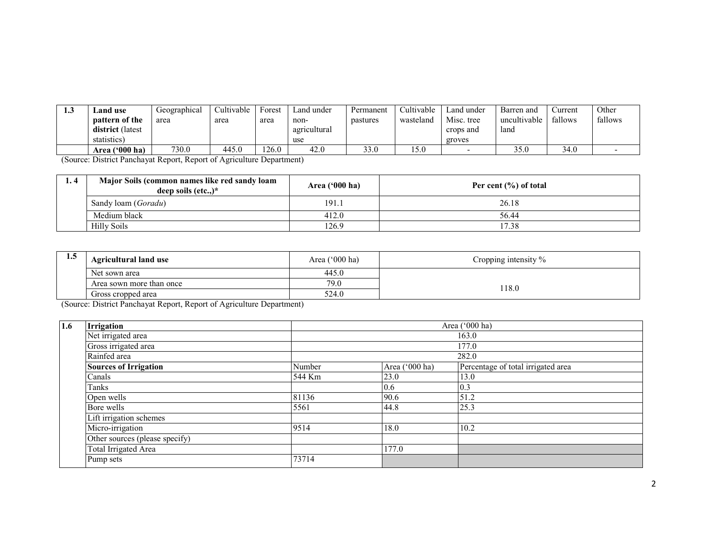| -- | Land use              | Geographical | Cultivable | Forest | Land under   | Permanent | <b>Cultivable</b> | Land under | Barren and   | ∠urrent | Other   |
|----|-----------------------|--------------|------------|--------|--------------|-----------|-------------------|------------|--------------|---------|---------|
|    | <b>pattern of the</b> | area         | area       | area   | non-         | pastures  | wasteland         | Misc. tree | uncultivable | fallows | fallows |
|    | district (latest      |              |            |        | agricultural |           |                   | crops and  | lang         |         |         |
|    | statistics)           |              |            |        | use          |           |                   | groves     |              |         |         |
|    | Area ('000 ha)        | 730.0        | 445.0      | 26.0   | 42.0         | 33.0      | 15.0              |            | 35.0         | 34.0    |         |

(Source: District Panchayat Report, Report of Agriculture Department)

| 1.4 | Major Soils (common names like red sandy loam<br>deep soils $(\text{etc.})^*$ | Area $(900)$ ha)<br>Per cent $(\% )$ of total |       |  |  |  |  |
|-----|-------------------------------------------------------------------------------|-----------------------------------------------|-------|--|--|--|--|
|     | Sandy loam ( <i>Goradu</i> )                                                  | 191.1                                         | 26.18 |  |  |  |  |
|     | Medium black                                                                  | 412.0                                         | 56.44 |  |  |  |  |
|     | Hilly Soils                                                                   | 126.9                                         | 17.38 |  |  |  |  |

| 5<br>1.J | <b>Agricultural land use</b> | Area $('000 ha)$ | Cropping intensity % |
|----------|------------------------------|------------------|----------------------|
|          | Net sown area                | 445.0            |                      |
|          | Area sown more than once     | 79.0             | 18.0                 |
|          | Gross cropped area           | 524.0            |                      |

(Source: District Panchayat Report, Report of Agriculture Department)

| 1.6 | Irrigation                     |        |                | Area ('000 ha)                     |
|-----|--------------------------------|--------|----------------|------------------------------------|
|     | Net irrigated area             |        |                | 163.0                              |
|     | Gross irrigated area           |        |                | 177.0                              |
|     | Rainfed area                   |        |                | 282.0                              |
|     | <b>Sources of Irrigation</b>   | Number | Area ('000 ha) | Percentage of total irrigated area |
|     | Canals                         | 544 Km | 23.0           | 13.0                               |
|     | Tanks                          |        | 0.6            | 0.3                                |
|     | Open wells                     | 81136  | 90.6           | 51.2                               |
|     | Bore wells                     | 5561   | 44.8           | 25.3                               |
|     | Lift irrigation schemes        |        |                |                                    |
|     | Micro-irrigation               | 9514   | 18.0           | 10.2                               |
|     | Other sources (please specify) |        |                |                                    |
|     | Total Irrigated Area           |        | 177.0          |                                    |
|     | Pump sets                      | 73714  |                |                                    |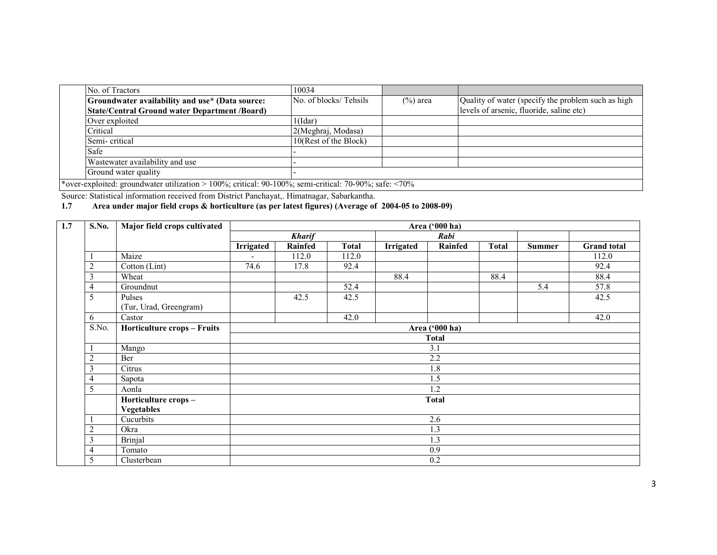| No. of Tractors                                      | 10034                 |             |                                                    |
|------------------------------------------------------|-----------------------|-------------|----------------------------------------------------|
| Groundwater availability and use* (Data source:      | No. of blocks/Tehsils | $(\%)$ area | Quality of water (specify the problem such as high |
| <b>State/Central Ground water Department /Board)</b> |                       |             | levels of arsenic, fluoride, saline etc)           |
| Over exploited                                       | 1(Idar)               |             |                                                    |
| Critical                                             | 2(Meghraj, Modasa)    |             |                                                    |
| Semi-critical                                        | 10(Rest of the Block) |             |                                                    |
| Safe                                                 |                       |             |                                                    |
| Wastewater availability and use                      |                       |             |                                                    |
| Ground water quality                                 |                       |             |                                                    |

\*over-exploited: groundwater utilization > 100%; critical: 90-100%; semi-critical: 70-90%; safe: <70% Source: Statistical information received from District Panchayat,. Himatnagar, Sabarkantha.

#### 1.7 Area under major field crops & horticulture (as per latest figures) (Average of 2004-05 to 2008-09)

| 1.7 | <b>S.No.</b>   | Major field crops cultivated       | Area ('000 ha) |                |              |                  |                  |              |               |                    |  |  |  |
|-----|----------------|------------------------------------|----------------|----------------|--------------|------------------|------------------|--------------|---------------|--------------------|--|--|--|
|     |                |                                    |                | <b>Kharif</b>  |              |                  | Rabi             |              |               |                    |  |  |  |
|     |                |                                    | Irrigated      | <b>Rainfed</b> | <b>Total</b> | <b>Irrigated</b> | <b>Rainfed</b>   | <b>Total</b> | <b>Summer</b> | <b>Grand</b> total |  |  |  |
|     |                | Maize                              |                | 112.0          | 112.0        |                  |                  |              |               | 112.0              |  |  |  |
|     | $\overline{2}$ | Cotton (Lint)                      | 74.6           | 17.8           | 92.4         |                  |                  |              |               | 92.4               |  |  |  |
|     | 3              | Wheat                              |                |                |              | 88.4             |                  | 88.4         |               | 88.4               |  |  |  |
|     | 4              | Groundnut                          |                |                | 52.4         |                  |                  |              | 5.4           | 57.8               |  |  |  |
|     | 5              | Pulses                             |                | 42.5           | 42.5         |                  |                  |              |               | 42.5               |  |  |  |
|     |                | (Tur, Urad, Greengram)             |                |                |              |                  |                  |              |               |                    |  |  |  |
|     | 6              | Castor                             |                |                | 42.0         |                  |                  |              |               | 42.0               |  |  |  |
|     | S.No.          | <b>Horticulture crops - Fruits</b> |                | Area ('000 ha) |              |                  |                  |              |               |                    |  |  |  |
|     |                |                                    | <b>Total</b>   |                |              |                  |                  |              |               |                    |  |  |  |
|     |                | Mango                              | 3.1            |                |              |                  |                  |              |               |                    |  |  |  |
|     | $\overline{2}$ | Ber                                |                |                |              |                  | 2.2              |              |               |                    |  |  |  |
|     | 3              | Citrus                             |                |                |              |                  | $1.\overline{8}$ |              |               |                    |  |  |  |
|     | 4              | Sapota                             |                |                |              |                  | 1.5              |              |               |                    |  |  |  |
|     | 5              | Aonla                              |                |                |              |                  | 1.2              |              |               |                    |  |  |  |
|     |                | Horticulture crops-                |                |                |              |                  | <b>Total</b>     |              |               |                    |  |  |  |
|     |                | <b>Vegetables</b>                  |                |                |              |                  |                  |              |               |                    |  |  |  |
|     |                | Cucurbits                          |                |                |              |                  | 2.6              |              |               |                    |  |  |  |
|     | $\overline{2}$ | Okra                               |                |                |              |                  | 1.3              |              |               |                    |  |  |  |
|     | 3              | <b>Brinjal</b>                     | 1.3            |                |              |                  |                  |              |               |                    |  |  |  |
|     | $\overline{4}$ | Tomato                             | 0.9            |                |              |                  |                  |              |               |                    |  |  |  |
|     | 5              | Clusterbean                        |                |                |              |                  | 0.2              |              |               |                    |  |  |  |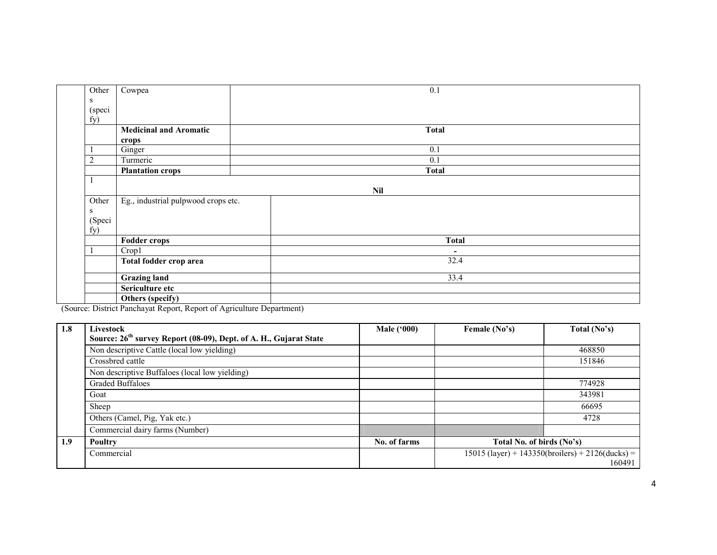| Other          | Cowpea                              | 0.1          |  |  |  |  |  |  |
|----------------|-------------------------------------|--------------|--|--|--|--|--|--|
| ${\bf S}$      |                                     |              |  |  |  |  |  |  |
| (speci         |                                     |              |  |  |  |  |  |  |
| fy)            |                                     |              |  |  |  |  |  |  |
|                | <b>Medicinal and Aromatic</b>       | <b>Total</b> |  |  |  |  |  |  |
|                | crops                               |              |  |  |  |  |  |  |
|                | Ginger                              | 0.1          |  |  |  |  |  |  |
| $\overline{2}$ | Turmeric                            | 0.1          |  |  |  |  |  |  |
|                | <b>Plantation crops</b>             | <b>Total</b> |  |  |  |  |  |  |
|                |                                     |              |  |  |  |  |  |  |
|                |                                     | <b>Nil</b>   |  |  |  |  |  |  |
| Other          | Eg., industrial pulpwood crops etc. |              |  |  |  |  |  |  |
| S              |                                     |              |  |  |  |  |  |  |
| (Speci         |                                     |              |  |  |  |  |  |  |
| fy)            |                                     |              |  |  |  |  |  |  |
|                | <b>Fodder crops</b>                 | <b>Total</b> |  |  |  |  |  |  |
|                | Crop1                               | ٠            |  |  |  |  |  |  |
|                | Total fodder crop area              | 32.4         |  |  |  |  |  |  |
|                | <b>Grazing land</b>                 | 33.4         |  |  |  |  |  |  |
|                | Sericulture etc                     |              |  |  |  |  |  |  |
|                | Others (specify)                    |              |  |  |  |  |  |  |

(Source: District Panchayat Report, Report of Agriculture Department)

| 1.8 | Livestock                                                                     | <b>Male</b> ('000) | Female (No's)             | Total (No's)                                       |  |  |  |
|-----|-------------------------------------------------------------------------------|--------------------|---------------------------|----------------------------------------------------|--|--|--|
|     | Source: 26 <sup>th</sup> survey Report (08-09), Dept. of A. H., Gujarat State |                    |                           |                                                    |  |  |  |
|     | Non descriptive Cattle (local low yielding)                                   |                    |                           | 468850                                             |  |  |  |
|     | Crossbred cattle                                                              |                    |                           | 151846                                             |  |  |  |
|     | Non descriptive Buffaloes (local low yielding)                                |                    |                           |                                                    |  |  |  |
|     | <b>Graded Buffaloes</b>                                                       |                    |                           | 774928                                             |  |  |  |
|     | Goat                                                                          |                    |                           | 343981                                             |  |  |  |
|     | Sheep                                                                         |                    |                           | 66695                                              |  |  |  |
|     | Others (Camel, Pig, Yak etc.)                                                 |                    |                           | 4728                                               |  |  |  |
|     | Commercial dairy farms (Number)                                               |                    |                           |                                                    |  |  |  |
| 1.9 | Poultry                                                                       | No. of farms       | Total No. of birds (No's) |                                                    |  |  |  |
|     | Commercial                                                                    |                    |                           | $15015$ (layer) + 143350(broilers) + 2126(ducks) = |  |  |  |
|     |                                                                               |                    |                           | 160491                                             |  |  |  |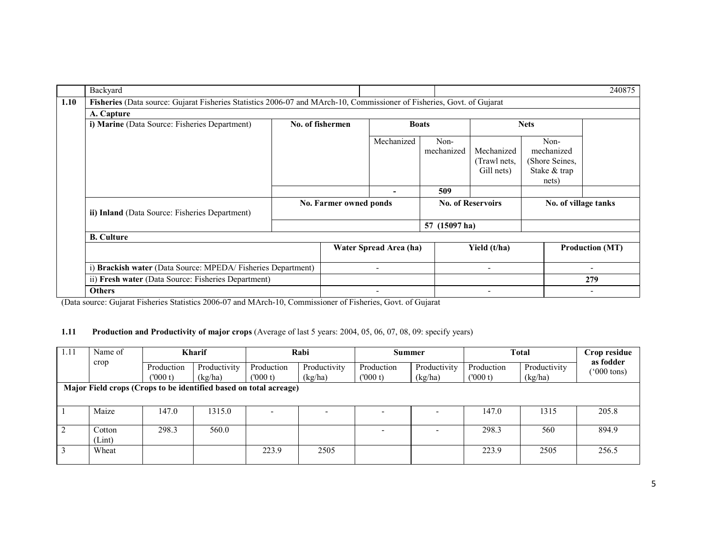|      | Backyard                                                                                                               |                          |                        |                          |                          |                                          |                                                               | 240875                   |  |
|------|------------------------------------------------------------------------------------------------------------------------|--------------------------|------------------------|--------------------------|--------------------------|------------------------------------------|---------------------------------------------------------------|--------------------------|--|
| 1.10 | Fisheries (Data source: Gujarat Fisheries Statistics 2006-07 and MArch-10, Commissioner of Fisheries, Govt. of Gujarat |                          |                        |                          |                          |                                          |                                                               |                          |  |
|      | A. Capture                                                                                                             |                          |                        |                          |                          |                                          |                                                               |                          |  |
|      | i) Marine (Data Source: Fisheries Department)                                                                          | No. of fishermen         |                        |                          | <b>Boats</b>             |                                          | <b>Nets</b>                                                   |                          |  |
|      |                                                                                                                        |                          |                        | Mechanized               | Non-<br>mechanized       | Mechanized<br>(Trawl nets,<br>Gill nets) | Non-<br>mechanized<br>(Shore Seines,<br>Stake & trap<br>nets) |                          |  |
|      |                                                                                                                        |                          |                        |                          | 509                      |                                          |                                                               |                          |  |
|      | ii) Inland (Data Source: Fisheries Department)                                                                         |                          | No. Farmer owned ponds |                          |                          | <b>No. of Reservoirs</b>                 |                                                               | No. of village tanks     |  |
|      |                                                                                                                        |                          |                        |                          | 57 (15097 ha)            |                                          |                                                               |                          |  |
|      | <b>B.</b> Culture                                                                                                      |                          |                        |                          |                          |                                          |                                                               |                          |  |
|      |                                                                                                                        |                          | Water Spread Area (ha) |                          | Yield (t/ha)             |                                          | <b>Production (MT)</b>                                        |                          |  |
|      | i) Brackish water (Data Source: MPEDA/Fisheries Department)                                                            | $\overline{\phantom{0}}$ |                        |                          | $\overline{\phantom{a}}$ |                                          | $\overline{\phantom{0}}$                                      |                          |  |
|      | ii) Fresh water (Data Source: Fisheries Department)                                                                    |                          |                        |                          |                          |                                          |                                                               | 279                      |  |
|      | <b>Others</b>                                                                                                          |                          |                        | $\overline{\phantom{a}}$ |                          | $\overline{\phantom{a}}$                 |                                                               | $\overline{\phantom{0}}$ |  |

(Data source: Gujarat Fisheries Statistics 2006-07 and MArch-10, Commissioner of Fisheries, Govt. of Gujarat

### 1.11 Production and Productivity of major crops (Average of last 5 years: 2004, 05, 06, 07, 08, 09: specify years)

| 1.11 | Name of                                                           | <b>Kharif</b> |              | Rabi       |              | Summer     |              | <b>Total</b> |              | Crop residue                      |
|------|-------------------------------------------------------------------|---------------|--------------|------------|--------------|------------|--------------|--------------|--------------|-----------------------------------|
|      | crop                                                              | Production    | Productivity | Production | Productivity | Production | Productivity | Production   | Productivity | as fodder<br>$(000 \text{ tons})$ |
|      | Major Field crops (Crops to be identified based on total acreage) | (000 t)       | (kg/ha)      | (000 t)    | (kg/ha)      | (000 t)    | (kg/ha)      | (000 t)      | (kg/ha)      |                                   |
|      |                                                                   |               |              |            |              |            |              |              |              |                                   |
|      | Maize                                                             | 147.0         | 1315.0       |            |              |            |              | 147.0        | 1315         | 205.8                             |
|      |                                                                   |               |              |            |              |            |              |              |              |                                   |
|      | Cotton                                                            | 298.3         | 560.0        |            |              |            |              | 298.3        | 560          | 894.9                             |
|      | (Lint)                                                            |               |              |            |              |            |              |              |              |                                   |
|      | Wheat                                                             |               |              | 223.9      | 2505         |            |              | 223.9        | 2505         | 256.5                             |
|      |                                                                   |               |              |            |              |            |              |              |              |                                   |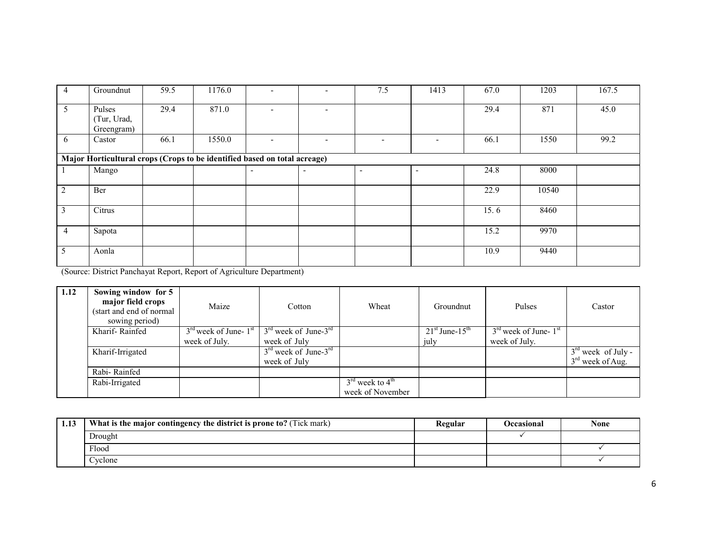| $\overline{4}$ | Groundnut                                                                 | 59.5 | 1176.0 |                          |  | 7.5                      | 1413                     | 67.0 | 1203  | 167.5 |  |  |  |
|----------------|---------------------------------------------------------------------------|------|--------|--------------------------|--|--------------------------|--------------------------|------|-------|-------|--|--|--|
| 5              | Pulses<br>(Tur, Urad,<br>Greengram)                                       | 29.4 | 871.0  |                          |  |                          |                          | 29.4 | 871   | 45.0  |  |  |  |
| 6              | Castor                                                                    | 66.1 | 1550.0 |                          |  | $\overline{\phantom{0}}$ | $\qquad \qquad -$        | 66.1 | 1550  | 99.2  |  |  |  |
|                | Major Horticultural crops (Crops to be identified based on total acreage) |      |        |                          |  |                          |                          |      |       |       |  |  |  |
|                | Mango                                                                     |      |        | $\overline{\phantom{0}}$ |  | $\overline{\phantom{a}}$ | $\overline{\phantom{a}}$ | 24.8 | 8000  |       |  |  |  |
|                | Ber                                                                       |      |        |                          |  |                          |                          | 22.9 | 10540 |       |  |  |  |
|                | Citrus                                                                    |      |        |                          |  |                          |                          | 15.6 | 8460  |       |  |  |  |
| $\overline{4}$ | Sapota                                                                    |      |        |                          |  |                          |                          | 15.2 | 9970  |       |  |  |  |
| 5              | Aonla                                                                     |      |        |                          |  |                          |                          | 10.9 | 9440  |       |  |  |  |

(Source: District Panchayat Report, Report of Agriculture Department)

| 1.12 | Sowing window for 5<br>major field crops<br>(start and end of normal)<br>sowing period) | Maize                                         | Cotton                                    | Wheat                                                       | Groundnut                    | Pulses                    | Castor                                     |
|------|-----------------------------------------------------------------------------------------|-----------------------------------------------|-------------------------------------------|-------------------------------------------------------------|------------------------------|---------------------------|--------------------------------------------|
|      | Kharif-Rainfed                                                                          | $3^{\text{rd}}$ week of June- $1^{\text{st}}$ | $3rd$ week of June- $3rd$                 |                                                             | $21st$ June-15 <sup>th</sup> | $3rd$ week of June- $1st$ |                                            |
|      |                                                                                         | week of July.                                 | week of July                              |                                                             | july                         | week of July.             |                                            |
|      | Kharif-Irrigated                                                                        |                                               | $3rd$ week of June- $3rd$<br>week of July |                                                             |                              |                           | $3rd$ week of July -<br>$3rd$ week of Aug. |
|      | Rabi-Rainfed                                                                            |                                               |                                           |                                                             |                              |                           |                                            |
|      | Rabi-Irrigated                                                                          |                                               |                                           | $3^{\text{rd}}$ week to $4^{\text{th}}$<br>week of November |                              |                           |                                            |

| 1.13 | What is the major contingency the district is prone to? (Tick mark) | Regular | Occasional | None |
|------|---------------------------------------------------------------------|---------|------------|------|
|      | Drought                                                             |         |            |      |
|      | Flood                                                               |         |            |      |
|      | Cyclone                                                             |         |            |      |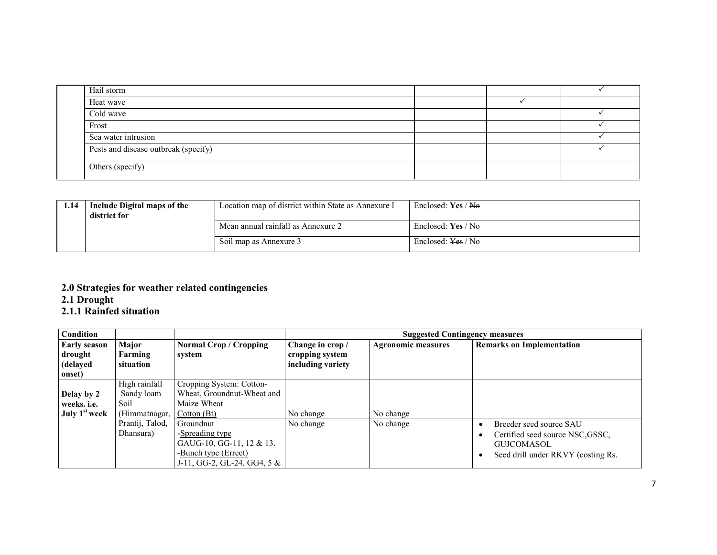| Hail storm<br>Heat wave<br>Cold wave<br>Frost<br>Sea water intrusion<br>Pests and disease outbreak (specify)<br>Others (specify) |  |  |
|----------------------------------------------------------------------------------------------------------------------------------|--|--|
|                                                                                                                                  |  |  |
|                                                                                                                                  |  |  |
|                                                                                                                                  |  |  |
|                                                                                                                                  |  |  |
|                                                                                                                                  |  |  |
|                                                                                                                                  |  |  |
|                                                                                                                                  |  |  |
|                                                                                                                                  |  |  |

| 1.14 | Include Digital maps of the<br>district for | Location map of district within State as Annexure I | Enclosed: Yes / No            |  |
|------|---------------------------------------------|-----------------------------------------------------|-------------------------------|--|
|      |                                             | Mean annual rainfall as Annexure 2                  | Enclosed: $Yes / No$          |  |
|      |                                             | Soil map as Annexure 3                              | Enclosed: <del>Yes</del> / No |  |

# 2.0 Strategies for weather related contingencies 2.1 Drought 2.1.1 Rainfed situation

| Condition                 |                 |                               |                   | <b>Suggested Contingency measures</b> |                                    |  |  |
|---------------------------|-----------------|-------------------------------|-------------------|---------------------------------------|------------------------------------|--|--|
| <b>Early season</b>       | Major           | Normal Crop / Cropping        | Change in crop /  | <b>Agronomic measures</b>             | <b>Remarks on Implementation</b>   |  |  |
| drought                   | Farming         | system                        | cropping system   |                                       |                                    |  |  |
| (delayed                  | situation       |                               | including variety |                                       |                                    |  |  |
| onset)                    |                 |                               |                   |                                       |                                    |  |  |
|                           | High rainfall   | Cropping System: Cotton-      |                   |                                       |                                    |  |  |
| Delay by 2                | Sandy loam      | Wheat, Groundnut-Wheat and    |                   |                                       |                                    |  |  |
| weeks. <i>i.e.</i>        | Soil            | Maize Wheat                   |                   |                                       |                                    |  |  |
| July 1 <sup>st</sup> week | (Himmatnagar,   | Cotton (Bt)                   | No change         | No change                             |                                    |  |  |
|                           | Prantij, Talod, | Groundnut                     | No change         | No change                             | Breeder seed source SAU            |  |  |
|                           | Dhansura)       | -Spreading type               |                   |                                       | Certified seed source NSC, GSSC,   |  |  |
|                           |                 | GAUG-10, GG-11, 12 & 13.      |                   |                                       | <b>GUJCOMASOL</b>                  |  |  |
|                           |                 | -Bunch type (Errect)          |                   |                                       | Seed drill under RKVY (costing Rs. |  |  |
|                           |                 | J-11, GG-2, GL-24, GG4, $5 &$ |                   |                                       |                                    |  |  |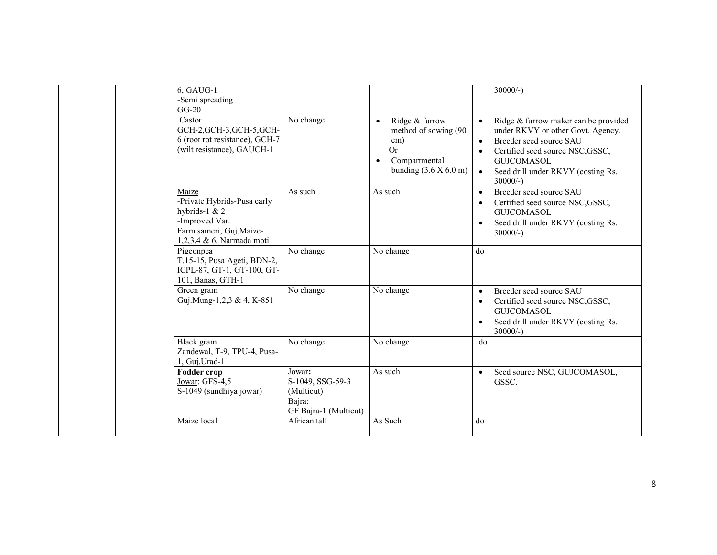| $6, GAUG-1$<br>-Semi spreading<br>$GG-20$<br>Castor<br>GCH-2, GCH-3, GCH-5, GCH-<br>6 (root rot resistance), GCH-7<br>(wilt resistance), GAUCH-1 | No change                                                                   | Ridge & furrow<br>$\bullet$<br>method of sowing (90<br>$\text{cm}$ )<br><b>Or</b><br>Compartmental<br>O<br>bunding $(3.6 \times 6.0 \text{ m})$ | $\frac{30000}{-}$<br>Ridge & furrow maker can be provided<br>$\bullet$<br>under RKVY or other Govt. Agency.<br>Breeder seed source SAU<br>$\bullet$<br>Certified seed source NSC, GSSC,<br>$\bullet$<br><b>GUJCOMASOL</b><br>Seed drill under RKVY (costing Rs.<br>$\bullet$ |
|--------------------------------------------------------------------------------------------------------------------------------------------------|-----------------------------------------------------------------------------|-------------------------------------------------------------------------------------------------------------------------------------------------|------------------------------------------------------------------------------------------------------------------------------------------------------------------------------------------------------------------------------------------------------------------------------|
| Maize<br>-Private Hybrids-Pusa early<br>hybrids-1 $& 2$<br>-Improved Var.<br>Farm sameri, Guj.Maize-<br>1,2,3,4 & 6, Narmada moti                | As such                                                                     | As such                                                                                                                                         | $30000/-$ )<br>Breeder seed source SAU<br>$\bullet$<br>Certified seed source NSC, GSSC,<br>$\bullet$<br><b>GUJCOMASOL</b><br>Seed drill under RKVY (costing Rs.<br>$\bullet$<br>$30000/-$ )                                                                                  |
| Pigeonpea<br>T.15-15, Pusa Ageti, BDN-2,<br>ICPL-87, GT-1, GT-100, GT-<br>101, Banas, GTH-1                                                      | No change                                                                   | No change                                                                                                                                       | do                                                                                                                                                                                                                                                                           |
| Green gram<br>Guj.Mung-1,2,3 & 4, K-851                                                                                                          | No change                                                                   | No change                                                                                                                                       | Breeder seed source SAU<br>$\bullet$<br>Certified seed source NSC, GSSC,<br>$\bullet$<br><b>GUJCOMASOL</b><br>Seed drill under RKVY (costing Rs.<br>$\bullet$<br>$30000/-$ )                                                                                                 |
| Black gram<br>Zandewal, T-9, TPU-4, Pusa-<br>1, Guj.Urad-1                                                                                       | No change                                                                   | No change                                                                                                                                       | do                                                                                                                                                                                                                                                                           |
| <b>Fodder crop</b><br>Jowar: GFS-4,5<br>S-1049 (sundhiya jowar)                                                                                  | Jowar:<br>S-1049, SSG-59-3<br>(Multicut)<br>Baira:<br>GF Bajra-1 (Multicut) | As such                                                                                                                                         | Seed source NSC, GUJCOMASOL,<br>$\bullet$<br>GSSC.                                                                                                                                                                                                                           |
| Maize local                                                                                                                                      | African tall                                                                | As Such                                                                                                                                         | do                                                                                                                                                                                                                                                                           |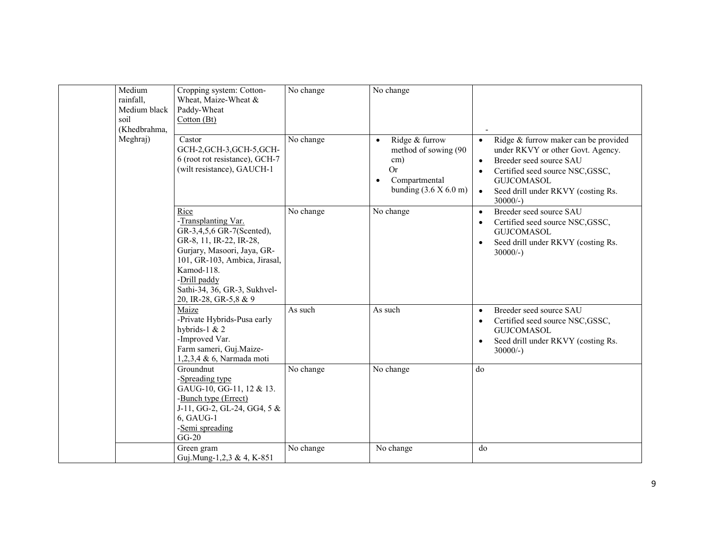| Medium<br>rainfall,<br>Medium black<br>soil<br>(Khedbrahma, | Cropping system: Cotton-<br>Wheat, Maize-Wheat &<br>Paddy-Wheat<br>Cotton (Bt)                                                                                                                                                             | No change              | No change                                                                                                                                               |                                                                                                                                                                                                                                                                        |
|-------------------------------------------------------------|--------------------------------------------------------------------------------------------------------------------------------------------------------------------------------------------------------------------------------------------|------------------------|---------------------------------------------------------------------------------------------------------------------------------------------------------|------------------------------------------------------------------------------------------------------------------------------------------------------------------------------------------------------------------------------------------------------------------------|
| Meghraj)                                                    | Castor<br>GCH-2, GCH-3, GCH-5, GCH-<br>6 (root rot resistance), GCH-7<br>(wilt resistance), GAUCH-1                                                                                                                                        | No change              | Ridge & furrow<br>$\bullet$<br>method of sowing (90<br>$\text{cm}$ )<br><b>Or</b><br>Compartmental<br>$\bullet$<br>bunding $(3.6 \times 6.0 \text{ m})$ | Ridge & furrow maker can be provided<br>$\bullet$<br>under RKVY or other Govt. Agency.<br>Breeder seed source SAU<br>$\bullet$<br>Certified seed source NSC, GSSC,<br>$\bullet$<br><b>GUJCOMASOL</b><br>Seed drill under RKVY (costing Rs.<br>$\bullet$<br>$30000/-$ ) |
|                                                             | Rice<br>-Transplanting Var.<br>GR-3,4,5,6 GR-7(Scented),<br>GR-8, 11, IR-22, IR-28,<br>Gurjary, Masoori, Jaya, GR-<br>101, GR-103, Ambica, Jirasal,<br>Kamod-118.<br>-Drill paddy<br>Sathi-34, 36, GR-3, Sukhvel-<br>20, IR-28, GR-5,8 & 9 | No change              | No change                                                                                                                                               | Breeder seed source SAU<br>$\bullet$<br>Certified seed source NSC, GSSC,<br>$\bullet$<br><b>GUJCOMASOL</b><br>Seed drill under RKVY (costing Rs.<br>$\bullet$<br>$30000/-$ )                                                                                           |
|                                                             | Maize<br>-Private Hybrids-Pusa early<br>hybrids-1 $& 2$<br>-Improved Var.<br>Farm sameri, Guj.Maize-<br>1,2,3,4 & 6, Narmada moti                                                                                                          | As such                | As such                                                                                                                                                 | Breeder seed source SAU<br>$\bullet$<br>Certified seed source NSC, GSSC,<br>$\bullet$<br><b>GUJCOMASOL</b><br>Seed drill under RKVY (costing Rs.<br>$\bullet$<br>$30000/-$ )                                                                                           |
|                                                             | Groundnut<br>-Spreading type<br>GAUG-10, GG-11, 12 & 13.<br>-Bunch type (Errect)<br>J-11, GG-2, GL-24, GG4, $5 &$<br>6, GAUG-1<br>-Semi spreading<br>$GG-20$                                                                               | No change              | No change                                                                                                                                               | do                                                                                                                                                                                                                                                                     |
|                                                             | Green gram<br>Guj.Mung-1,2,3 & 4, K-851                                                                                                                                                                                                    | $\overline{No}$ change | No change                                                                                                                                               | do                                                                                                                                                                                                                                                                     |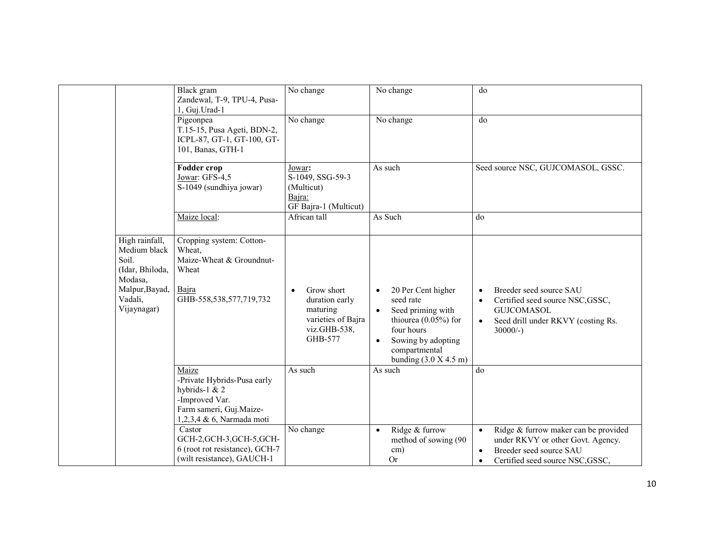|                                                                                                                   | Black gram<br>Zandewal, T-9, TPU-4, Pusa-<br>1, Guj.Urad-1                                                                        | No change                                                                                              | No change                                                                                                                                                                                              | do                                                                                                                                                                              |
|-------------------------------------------------------------------------------------------------------------------|-----------------------------------------------------------------------------------------------------------------------------------|--------------------------------------------------------------------------------------------------------|--------------------------------------------------------------------------------------------------------------------------------------------------------------------------------------------------------|---------------------------------------------------------------------------------------------------------------------------------------------------------------------------------|
|                                                                                                                   | Pigeonpea<br>T.15-15, Pusa Ageti, BDN-2,<br>ICPL-87, GT-1, GT-100, GT-<br>101, Banas, GTH-1                                       | No change                                                                                              | No change                                                                                                                                                                                              | do                                                                                                                                                                              |
|                                                                                                                   | <b>Fodder crop</b><br>Jowar: GFS-4,5<br>S-1049 (sundhiya jowar)                                                                   | Jowar:<br>S-1049, SSG-59-3<br>(Multicut)<br>Bajra:<br>GF Bajra-1 (Multicut)                            | As such                                                                                                                                                                                                | Seed source NSC, GUJCOMASOL, GSSC.                                                                                                                                              |
|                                                                                                                   | Maize local:                                                                                                                      | African tall                                                                                           | As Such                                                                                                                                                                                                | do                                                                                                                                                                              |
| High rainfall,<br>Medium black<br>Soil.<br>(Idar, Bhiloda,<br>Modasa,<br>Malpur, Bayad,<br>Vadali,<br>Vijaynagar) | Cropping system: Cotton-<br>Wheat,<br>Maize-Wheat & Groundnut-<br>Wheat<br>Bajra<br>GHB-558,538,577,719,732                       | Grow short<br>$\bullet$<br>duration early<br>maturing<br>varieties of Bajra<br>viz.GHB-538,<br>GHB-577 | 20 Per Cent higher<br>$\bullet$<br>seed rate<br>Seed priming with<br>$\bullet$<br>thiourea $(0.05\%)$ for<br>four hours<br>Sowing by adopting<br>$\bullet$<br>compartmental<br>bunding $(3.0 X 4.5 m)$ | Breeder seed source SAU<br>$\bullet$<br>Certified seed source NSC, GSSC,<br>$\bullet$<br><b>GUICOMASOL</b><br>Seed drill under RKVY (costing Rs.<br>$\bullet$<br>$30000/-$ )    |
|                                                                                                                   | Maize<br>-Private Hybrids-Pusa early<br>hybrids-1 $& 2$<br>-Improved Var.<br>Farm sameri, Guj.Maize-<br>1,2,3,4 & 6, Narmada moti | As such                                                                                                | As such                                                                                                                                                                                                | do                                                                                                                                                                              |
|                                                                                                                   | Castor<br>GCH-2, GCH-3, GCH-5, GCH-<br>6 (root rot resistance), GCH-7<br>(wilt resistance), GAUCH-1                               | No change                                                                                              | Ridge & furrow<br>$\bullet$<br>method of sowing (90<br>cm)<br><b>Or</b>                                                                                                                                | Ridge & furrow maker can be provided<br>$\bullet$<br>under RKVY or other Govt. Agency.<br>Breeder seed source SAU<br>$\bullet$<br>Certified seed source NSC, GSSC,<br>$\bullet$ |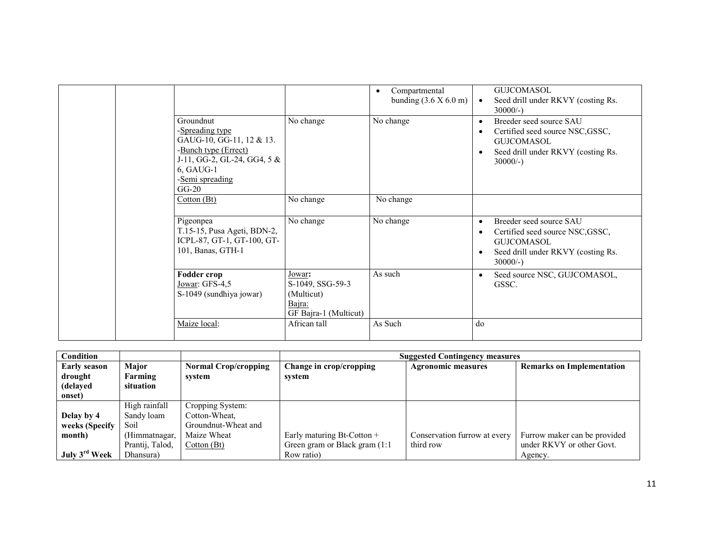|                                                                                                                                                              |                                                                             | Compartmental<br>$\bullet$<br>bunding $(3.6 \times 6.0 \text{ m})$ | $\bullet$                           | <b>GUJCOMASOL</b><br>Seed drill under RKVY (costing Rs.<br>$30000/-$ )                                                                |
|--------------------------------------------------------------------------------------------------------------------------------------------------------------|-----------------------------------------------------------------------------|--------------------------------------------------------------------|-------------------------------------|---------------------------------------------------------------------------------------------------------------------------------------|
| Groundnut<br>-Spreading type<br>GAUG-10, GG-11, 12 & 13.<br>-Bunch type (Errect)<br>J-11, GG-2, GL-24, GG4, $5 &$<br>6, GAUG-1<br>-Semi spreading<br>$GG-20$ | No change                                                                   | No change                                                          | $\bullet$<br>$\bullet$              | Breeder seed source SAU<br>Certified seed source NSC, GSSC,<br><b>GUJCOMASOL</b><br>Seed drill under RKVY (costing Rs.<br>$30000/-$ ) |
| Cotton(Bt)                                                                                                                                                   | No change                                                                   | No change                                                          |                                     |                                                                                                                                       |
| Pigeonpea<br>T.15-15, Pusa Ageti, BDN-2,<br>ICPL-87, GT-1, GT-100, GT-<br>101, Banas, GTH-1                                                                  | No change                                                                   | No change                                                          | $\bullet$<br>$\bullet$<br>$\bullet$ | Breeder seed source SAU<br>Certified seed source NSC, GSSC,<br>GUICOMASOL<br>Seed drill under RKVY (costing Rs.<br>$30000/-$ )        |
| Fodder crop<br>Jowar: GFS-4,5<br>S-1049 (sundhiya jowar)                                                                                                     | Jowar:<br>S-1049, SSG-59-3<br>(Multicut)<br>Bajra:<br>GF Bajra-1 (Multicut) | As such                                                            | $\bullet$                           | Seed source NSC, GUJCOMASOL,<br>GSSC.                                                                                                 |
| Maize local:                                                                                                                                                 | African tall                                                                | As Such                                                            | do                                  |                                                                                                                                       |

| <b>Condition</b>          |                 |                             | <b>Suggested Contingency measures</b> |                              |                                  |  |  |
|---------------------------|-----------------|-----------------------------|---------------------------------------|------------------------------|----------------------------------|--|--|
| <b>Early season</b>       | Major           | <b>Normal Crop/cropping</b> | Change in crop/cropping               | <b>Agronomic measures</b>    | <b>Remarks on Implementation</b> |  |  |
| drought                   | Farming         | system                      | svstem                                |                              |                                  |  |  |
| (delayed                  | situation       |                             |                                       |                              |                                  |  |  |
| onset)                    |                 |                             |                                       |                              |                                  |  |  |
|                           | High rainfall   | Cropping System:            |                                       |                              |                                  |  |  |
| Delay by 4                | Sandy loam      | Cotton-Wheat.               |                                       |                              |                                  |  |  |
| weeks (Specify            | Soil            | Groundnut-Wheat and         |                                       |                              |                                  |  |  |
| month)                    | (Himmatnagar,   | Maize Wheat                 | Early maturing Bt-Cotton +            | Conservation furrow at every | Furrow maker can be provided     |  |  |
|                           | Prantij, Talod, | Cotton (Bt)                 | Green gram or Black gram (1:1)        | third row                    | under RKVY or other Govt.        |  |  |
| July 3 <sup>rd</sup> Week | Dhansura)       |                             | Row ratio)                            |                              | Agency.                          |  |  |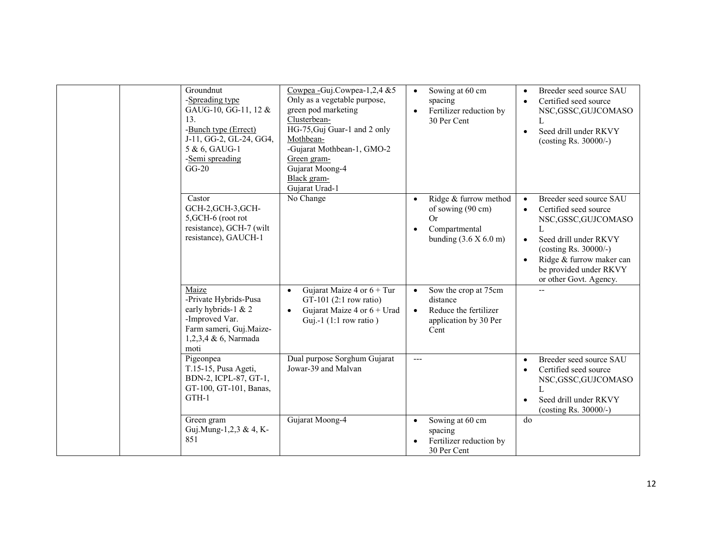| Groundnut<br>-Spreading type<br>GAUG-10, GG-11, 12 &<br>13.<br>-Bunch type (Errect)<br>J-11, GG-2, GL-24, GG4,<br>5 & 6, GAUG-1<br>-Semi spreading<br>$GG-20$ | Cowpea - Guj.Cowpea-1,2,4 &5<br>Only as a vegetable purpose,<br>green pod marketing<br>Clusterbean-<br>HG-75, Guj Guar-1 and 2 only<br>Mothbean-<br>-Gujarat Mothbean-1, GMO-2<br>Green gram-<br>Gujarat Moong-4<br>Black gram-<br>Gujarat Urad-1 | Sowing at 60 cm<br>$\bullet$<br>spacing<br>Fertilizer reduction by<br>$\bullet$<br>30 Per Cent                                      | Breeder seed source SAU<br>$\bullet$<br>Certified seed source<br>$\bullet$<br>NSC, GSSC, GUJCOMASO<br>L<br>Seed drill under RKVY<br>$\bullet$<br>(costing Rs. $30000/-$ )                                                                                      |
|---------------------------------------------------------------------------------------------------------------------------------------------------------------|---------------------------------------------------------------------------------------------------------------------------------------------------------------------------------------------------------------------------------------------------|-------------------------------------------------------------------------------------------------------------------------------------|----------------------------------------------------------------------------------------------------------------------------------------------------------------------------------------------------------------------------------------------------------------|
| Castor<br>GCH-2, GCH-3, GCH-<br>5, GCH-6 (root rot<br>resistance), GCH-7 (wilt<br>resistance), GAUCH-1                                                        | No Change                                                                                                                                                                                                                                         | Ridge & furrow method<br>$\bullet$<br>of sowing (90 cm)<br>Or<br>Compartmental<br>$\bullet$<br>bunding $(3.6 \times 6.0 \text{ m})$ | Breeder seed source SAU<br>$\bullet$<br>Certified seed source<br>$\bullet$<br>NSC, GSSC, GUJCOMASO<br>Seed drill under RKVY<br>$\bullet$<br>(costing Rs. 30000/-)<br>Ridge & furrow maker can<br>$\bullet$<br>be provided under RKVY<br>or other Govt. Agency. |
| Maize<br>-Private Hybrids-Pusa<br>early hybrids-1 & 2<br>-Improved Var.<br>Farm sameri, Guj.Maize-<br>1,2,3,4 & 6, Narmada<br>moti                            | Gujarat Maize 4 or $6 + Tur$<br>$\bullet$<br>GT-101 $(2:1$ row ratio)<br>Gujarat Maize 4 or $6 +$ Urad<br>$\bullet$<br>Guj.-1 $(1:1$ row ratio)                                                                                                   | Sow the crop at 75cm<br>$\bullet$<br>distance<br>Reduce the fertilizer<br>$\bullet$<br>application by 30 Per<br>Cent                |                                                                                                                                                                                                                                                                |
| Pigeonpea<br>T.15-15, Pusa Ageti,<br>BDN-2, ICPL-87, GT-1,<br>GT-100, GT-101, Banas,<br>GTH-1                                                                 | Dual purpose Sorghum Gujarat<br>Jowar-39 and Malvan                                                                                                                                                                                               | $---$                                                                                                                               | Breeder seed source SAU<br>$\bullet$<br>Certified seed source<br>$\bullet$<br>NSC, GSSC, GUJCOMASO<br>Seed drill under RKVY<br>$\bullet$<br>(costing Rs. $30000/-$ )                                                                                           |
| Green gram<br>Guj.Mung-1,2,3 & 4, K-<br>851                                                                                                                   | Gujarat Moong-4                                                                                                                                                                                                                                   | Sowing at 60 cm<br>$\bullet$<br>spacing<br>Fertilizer reduction by<br>30 Per Cent                                                   | do                                                                                                                                                                                                                                                             |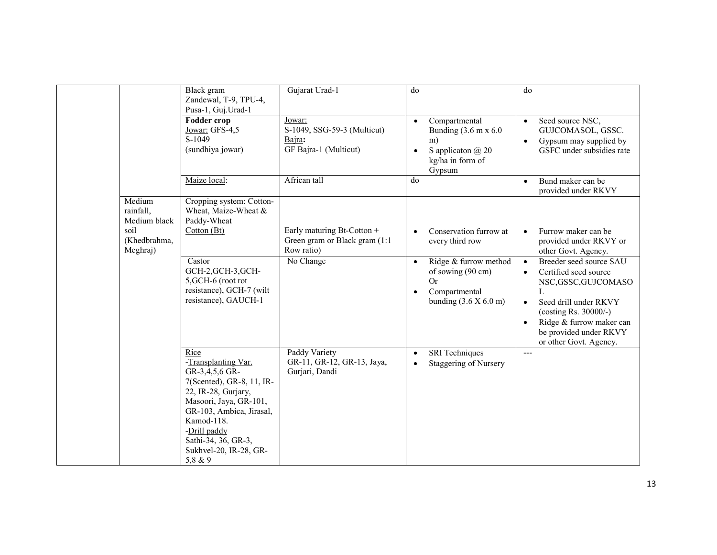|                                                                         | Black gram                                                                                                                                                                                                                                        | Gujarat Urad-1                                                             | do                                                                                                                                          | do                                                                                                                                                                                                                                                                  |
|-------------------------------------------------------------------------|---------------------------------------------------------------------------------------------------------------------------------------------------------------------------------------------------------------------------------------------------|----------------------------------------------------------------------------|---------------------------------------------------------------------------------------------------------------------------------------------|---------------------------------------------------------------------------------------------------------------------------------------------------------------------------------------------------------------------------------------------------------------------|
|                                                                         | Zandewal, T-9, TPU-4,<br>Pusa-1, Guj. Urad-1                                                                                                                                                                                                      |                                                                            |                                                                                                                                             |                                                                                                                                                                                                                                                                     |
|                                                                         | <b>Fodder crop</b><br>Jowar: GFS-4,5<br>S-1049<br>(sundhiya jowar)                                                                                                                                                                                | Jowar:<br>S-1049, SSG-59-3 (Multicut)<br>Bajra:<br>GF Bajra-1 (Multicut)   | Compartmental<br>$\bullet$<br>Bunding $(3.6 \text{ m x } 6.0$<br>m)<br>S application $\omega$ 20<br>$\bullet$<br>kg/ha in form of<br>Gypsum | Seed source NSC,<br>$\bullet$<br>GUJCOMASOL, GSSC.<br>Gypsum may supplied by<br>GSFC under subsidies rate                                                                                                                                                           |
|                                                                         | Maize local:                                                                                                                                                                                                                                      | African tall                                                               | do                                                                                                                                          | Bund maker can be<br>$\bullet$<br>provided under RKVY                                                                                                                                                                                                               |
| Medium<br>rainfall,<br>Medium black<br>soil<br>(Khedbrahma,<br>Meghraj) | Cropping system: Cotton-<br>Wheat, Maize-Wheat &<br>Paddy-Wheat<br>Cotton (Bt)                                                                                                                                                                    | Early maturing Bt-Cotton +<br>Green gram or Black gram (1:1)<br>Row ratio) | Conservation furrow at<br>every third row                                                                                                   | Furrow maker can be<br>provided under RKVY or<br>other Govt. Agency.                                                                                                                                                                                                |
|                                                                         | Castor<br>GCH-2, GCH-3, GCH-<br>5, GCH-6 (root rot<br>resistance), GCH-7 (wilt<br>resistance), GAUCH-1                                                                                                                                            | No Change                                                                  | Ridge & furrow method<br>$\bullet$<br>of sowing (90 cm)<br>Or<br>Compartmental<br>$\bullet$<br>bunding $(3.6 \times 6.0 \text{ m})$         | Breeder seed source SAU<br>$\bullet$<br>Certified seed source<br>$\bullet$<br>NSC, GSSC, GUJCOMASO<br>L<br>Seed drill under RKVY<br>$\bullet$<br>(costing Rs. 30000/-)<br>Ridge & furrow maker can<br>$\bullet$<br>be provided under RKVY<br>or other Govt. Agency. |
|                                                                         | Rice<br>-Transplanting Var.<br>GR-3,4,5,6 GR-<br>7(Scented), GR-8, 11, IR-<br>22, IR-28, Gurjary,<br>Masoori, Jaya, GR-101,<br>GR-103, Ambica, Jirasal,<br>Kamod-118.<br>-Drill paddy<br>Sathi-34, 36, GR-3,<br>Sukhvel-20, IR-28, GR-<br>5,8 & 9 | Paddy Variety<br>GR-11, GR-12, GR-13, Jaya,<br>Gurjari, Dandi              | <b>SRI</b> Techniques<br>$\bullet$<br>Staggering of Nursery<br>$\bullet$                                                                    | $---$                                                                                                                                                                                                                                                               |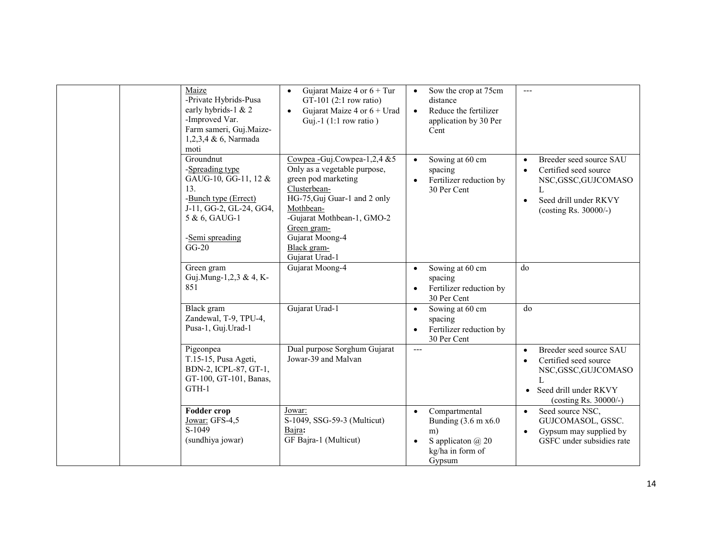| Maize<br>-Private Hybrids-Pusa<br>early hybrids-1 & 2<br>-Improved Var.<br>Farm sameri, Guj.Maize-<br>1,2,3,4 & 6, Narmada<br>moti                            | Gujarat Maize 4 or $6 + Tur$<br>$\bullet$<br>GT-101 $(2:1$ row ratio)<br>Gujarat Maize 4 or $6 +$ Urad<br>$\bullet$<br>Guj.-1 $(1:1$ row ratio)                                                                                                        | Sow the crop at 75cm<br>$\bullet$<br>distance<br>Reduce the fertilizer<br>$\bullet$<br>application by 30 Per<br>Cent | ---                                                                                                                                                   |
|---------------------------------------------------------------------------------------------------------------------------------------------------------------|--------------------------------------------------------------------------------------------------------------------------------------------------------------------------------------------------------------------------------------------------------|----------------------------------------------------------------------------------------------------------------------|-------------------------------------------------------------------------------------------------------------------------------------------------------|
| Groundnut<br>-Spreading type<br>GAUG-10, GG-11, 12 &<br>13.<br>-Bunch type (Errect)<br>J-11, GG-2, GL-24, GG4,<br>5 & 6, GAUG-1<br>-Semi spreading<br>$GG-20$ | Cowpea - Guj.Cowpea - $1,2,4$ & 5<br>Only as a vegetable purpose,<br>green pod marketing<br>Clusterbean-<br>HG-75, Guj Guar-1 and 2 only<br>Mothbean-<br>-Gujarat Mothbean-1, GMO-2<br>Green gram-<br>Gujarat Moong-4<br>Black gram-<br>Gujarat Urad-1 | Sowing at 60 cm<br>$\bullet$<br>spacing<br>Fertilizer reduction by<br>30 Per Cent                                    | Breeder seed source SAU<br>Certified seed source<br>NSC, GSSC, GUJCOMASO<br>L<br>Seed drill under RKVY<br>$\bullet$<br>(costing Rs. $30000/-$ )       |
| Green gram<br>Guj.Mung-1,2,3 & 4, K-<br>851                                                                                                                   | Gujarat Moong-4                                                                                                                                                                                                                                        | Sowing at 60 cm<br>$\bullet$<br>spacing<br>Fertilizer reduction by<br>$\bullet$<br>30 Per Cent                       | do                                                                                                                                                    |
| Black gram<br>Zandewal, T-9, TPU-4,<br>Pusa-1, Guj.Urad-1                                                                                                     | Gujarat Urad-1                                                                                                                                                                                                                                         | Sowing at 60 cm<br>$\bullet$<br>spacing<br>Fertilizer reduction by<br>$\bullet$<br>30 Per Cent                       | do                                                                                                                                                    |
| Pigeonpea<br>T.15-15, Pusa Ageti,<br>BDN-2, ICPL-87, GT-1,<br>GT-100, GT-101, Banas,<br>GTH-1                                                                 | Dual purpose Sorghum Gujarat<br>Jowar-39 and Malvan                                                                                                                                                                                                    | $---$                                                                                                                | Breeder seed source SAU<br>$\bullet$<br>Certified seed source<br>NSC,GSSC,GUJCOMASO<br>$\mathbf{L}$<br>Seed drill under RKVY<br>(costing Rs. 30000/-) |
| <b>Fodder crop</b><br>Jowar: GFS-4,5<br>S-1049<br>(sundhiya jowar)                                                                                            | Jowar:<br>S-1049, SSG-59-3 (Multicut)<br>Bajra:<br>GF Bajra-1 (Multicut)                                                                                                                                                                               | Compartmental<br>Bunding $(3.6 \text{ m x}6.0)$<br>m)<br>S application $\omega$ 20<br>kg/ha in form of<br>Gypsum     | Seed source NSC,<br>$\bullet$<br>GUJCOMASOL, GSSC.<br>Gypsum may supplied by<br>$\bullet$<br>GSFC under subsidies rate                                |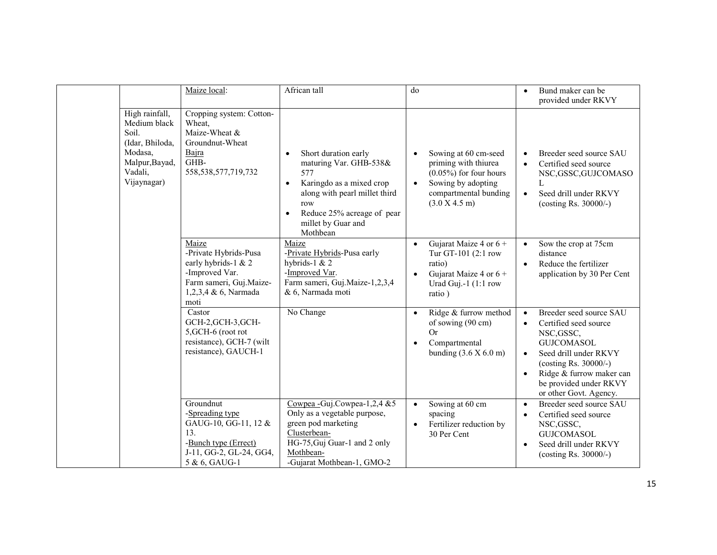|                                                                                                                   | Maize local:                                                                                                                       | African tall                                                                                                                                                                                                                     | do                                                                                                                                                     | Bund maker can be<br>provided under RKVY                                                                                                                                                                                                                                     |
|-------------------------------------------------------------------------------------------------------------------|------------------------------------------------------------------------------------------------------------------------------------|----------------------------------------------------------------------------------------------------------------------------------------------------------------------------------------------------------------------------------|--------------------------------------------------------------------------------------------------------------------------------------------------------|------------------------------------------------------------------------------------------------------------------------------------------------------------------------------------------------------------------------------------------------------------------------------|
| High rainfall,<br>Medium black<br>Soil.<br>(Idar, Bhiloda,<br>Modasa,<br>Malpur, Bayad,<br>Vadali,<br>Vijaynagar) | Cropping system: Cotton-<br>Wheat,<br>Maize-Wheat &<br>Groundnut-Wheat<br>Bajra<br>GHB-<br>558, 538, 577, 719, 732                 | Short duration early<br>$\bullet$<br>maturing Var. GHB-538&<br>577<br>Karingdo as a mixed crop<br>$\bullet$<br>along with pearl millet third<br>row<br>Reduce 25% acreage of pear<br>$\bullet$<br>millet by Guar and<br>Mothbean | Sowing at 60 cm-seed<br>priming with thiurea<br>$(0.05\%)$ for four hours<br>Sowing by adopting<br>$\bullet$<br>compartmental bunding<br>(3.0 X 4.5 m) | Breeder seed source SAU<br>Certified seed source<br>NSC, GSSC, GUJCOMASO<br>L<br>Seed drill under RKVY<br>$\bullet$<br>(costing Rs. 30000/-)                                                                                                                                 |
|                                                                                                                   | Maize<br>-Private Hybrids-Pusa<br>early hybrids-1 & 2<br>-Improved Var.<br>Farm sameri, Guj.Maize-<br>1,2,3,4 & 6, Narmada<br>moti | Maize<br>-Private Hybrids-Pusa early<br>hybrids-1 $& 2$<br>-Improved Var.<br>Farm sameri, Guj.Maize-1,2,3,4<br>& 6, Narmada moti                                                                                                 | Gujarat Maize 4 or $6 +$<br>$\bullet$<br>Tur GT-101 (2:1 row<br>ratio)<br>Gujarat Maize 4 or $6 +$<br>$\bullet$<br>Urad Guj.-1 (1:1 row<br>ratio)      | Sow the crop at 75cm<br>$\bullet$<br>distance<br>Reduce the fertilizer<br>$\bullet$<br>application by 30 Per Cent                                                                                                                                                            |
|                                                                                                                   | Castor<br>GCH-2,GCH-3,GCH-<br>5, GCH-6 (root rot<br>resistance), GCH-7 (wilt<br>resistance), GAUCH-1                               | No Change                                                                                                                                                                                                                        | Ridge & furrow method<br>of sowing (90 cm)<br>Or<br>Compartmental<br>$\bullet$<br>bunding $(3.6 X 6.0 m)$                                              | Breeder seed source SAU<br>$\bullet$<br>Certified seed source<br>$\bullet$<br>NSC, GSSC,<br><b>GUJCOMASOL</b><br>Seed drill under RKVY<br>$\bullet$<br>(costing Rs. $30000/-$ )<br>Ridge & furrow maker can<br>$\bullet$<br>be provided under RKVY<br>or other Govt. Agency. |
|                                                                                                                   | Groundnut<br>-Spreading type<br>GAUG-10, GG-11, 12 &<br>13.<br>-Bunch type (Errect)<br>J-11, GG-2, GL-24, GG4,<br>5 & 6, GAUG-1    | Cowpea - Guj.Cowpea-1,2,4 &5<br>Only as a vegetable purpose,<br>green pod marketing<br>Clusterbean-<br>HG-75, Guj Guar-1 and 2 only<br>Mothbean-<br>-Gujarat Mothbean-1, GMO-2                                                   | Sowing at 60 cm<br>$\bullet$<br>spacing<br>Fertilizer reduction by<br>$\bullet$<br>30 Per Cent                                                         | Breeder seed source SAU<br>$\bullet$<br>Certified seed source<br>$\bullet$<br>NSC, GSSC,<br><b>GUJCOMASOL</b><br>Seed drill under RKVY<br>$\bullet$<br>(costing Rs. $30000/-$ )                                                                                              |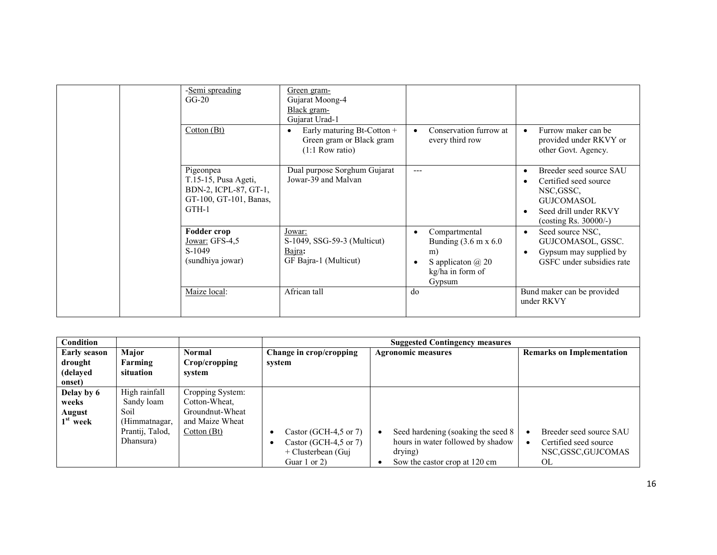|  | -Semi spreading<br>$GG-20$<br>Cotton(Bt)                                                        | Green gram-<br>Gujarat Moong-4<br>Black gram-<br>Gujarat Urad-1<br>Early maturing Bt-Cotton +<br>Green gram or Black gram<br>$(1:1$ Row ratio) | Conservation furrow at<br>every third row                                                                                       | Furrow maker can be<br>$\bullet$<br>provided under RKVY or<br>other Govt. Agency.                                                 |
|--|-------------------------------------------------------------------------------------------------|------------------------------------------------------------------------------------------------------------------------------------------------|---------------------------------------------------------------------------------------------------------------------------------|-----------------------------------------------------------------------------------------------------------------------------------|
|  | Pigeonpea<br>T.15-15, Pusa Ageti,<br>BDN-2, ICPL-87, GT-1,<br>GT-100, GT-101, Banas,<br>$GTH-1$ | Dual purpose Sorghum Gujarat<br>Jowar-39 and Malvan                                                                                            | $---$                                                                                                                           | Breeder seed source SAU<br>Certified seed source<br>NSC, GSSC.<br>GUJCOMASOL<br>Seed drill under RKVY<br>(costing Rs. $30000/-$ ) |
|  | Fodder crop<br>Jowar: GFS-4,5<br>S-1049<br>(sundhiya jowar)                                     | Jowar:<br>S-1049, SSG-59-3 (Multicut)<br>Bajra:<br>GF Bajra-1 (Multicut)                                                                       | Compartmental<br>$\bullet$<br>Bunding $(3.6 \text{ m x } 6.0)$<br>m)<br>S application $\omega$ 20<br>kg/ha in form of<br>Gypsum | Seed source NSC.<br>$\bullet$<br>GUJCOMASOL, GSSC.<br>Gypsum may supplied by<br>GSFC under subsidies rate                         |
|  | Maize local:                                                                                    | African tall                                                                                                                                   | do                                                                                                                              | Bund maker can be provided<br>under RKVY                                                                                          |

| <b>Condition</b>    |                 |                  | <b>Suggested Contingency measures</b> |                                                  |                                       |
|---------------------|-----------------|------------------|---------------------------------------|--------------------------------------------------|---------------------------------------|
| <b>Early season</b> | Major           | <b>Normal</b>    | Change in crop/cropping               | <b>Agronomic measures</b>                        | <b>Remarks on Implementation</b>      |
| drought             | Farming         | Crop/cropping    | system                                |                                                  |                                       |
| (delayed            | situation       | system           |                                       |                                                  |                                       |
| onset)              |                 |                  |                                       |                                                  |                                       |
| Delay by 6          | High rainfall   | Cropping System: |                                       |                                                  |                                       |
| weeks               | Sandy loam      | Cotton-Wheat.    |                                       |                                                  |                                       |
| <b>August</b>       | Soil            | Groundnut-Wheat  |                                       |                                                  |                                       |
| $1st$ week          | (Himmatnagar,   | and Maize Wheat  |                                       |                                                  |                                       |
|                     | Prantij, Talod, | Cottom(Bt)       | Castor (GCH-4,5 or 7)                 | Seed hardening (soaking the seed 8)<br>$\bullet$ | Breeder seed source SAU<br>$\epsilon$ |
|                     | Dhansura)       |                  | Castor (GCH-4,5 or 7)                 | hours in water followed by shadow                | Certified seed source                 |
|                     |                 |                  | + Clusterbean (Guj                    | drying)                                          | NSC,GSSC,GUJCOMAS                     |
|                     |                 |                  | Guar 1 or 2)                          | Sow the castor crop at 120 cm                    | OL.                                   |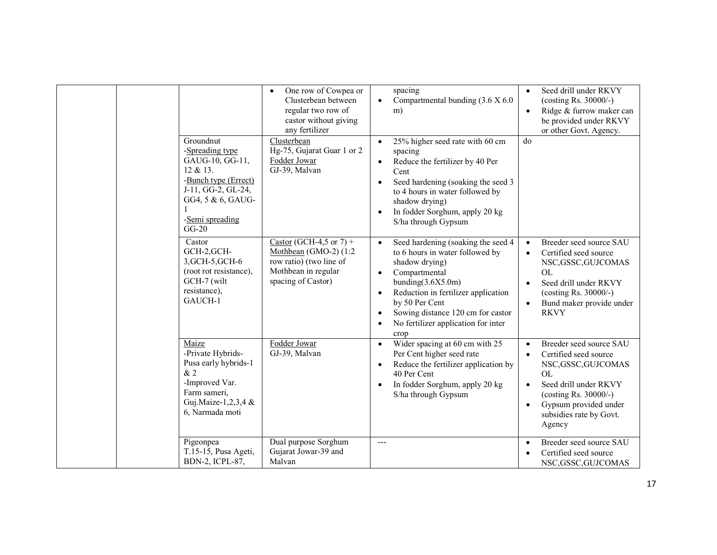| Groundnut                                                                                                                                       | One row of Cowpea or<br>Clusterbean between<br>regular two row of<br>castor without giving<br>any fertilizer<br>Clusterbean | spacing<br>Compartmental bunding (3.6 X 6.0)<br>$\bullet$<br>m)<br>25% higher seed rate with 60 cm<br>$\bullet$                                                                                                                                                                                                                | Seed drill under RKVY<br>$\bullet$<br>(costing Rs. $30000/-$ )<br>Ridge & furrow maker can<br>$\bullet$<br>be provided under RKVY<br>or other Govt. Agency.<br>do                                                                                           |
|-------------------------------------------------------------------------------------------------------------------------------------------------|-----------------------------------------------------------------------------------------------------------------------------|--------------------------------------------------------------------------------------------------------------------------------------------------------------------------------------------------------------------------------------------------------------------------------------------------------------------------------|-------------------------------------------------------------------------------------------------------------------------------------------------------------------------------------------------------------------------------------------------------------|
| -Spreading type<br>GAUG-10, GG-11,<br>12 & 13.<br>-Bunch type (Errect)<br>J-11, GG-2, GL-24,<br>GG4, 5 & 6, GAUG-<br>-Semi spreading<br>$GG-20$ | Hg-75, Gujarat Guar 1 or 2<br>Fodder Jowar<br>GJ-39, Malvan                                                                 | spacing<br>Reduce the fertilizer by 40 Per<br>$\bullet$<br>Cent<br>Seed hardening (soaking the seed 3<br>to 4 hours in water followed by<br>shadow drying)<br>In fodder Sorghum, apply 20 kg<br>S/ha through Gypsum                                                                                                            |                                                                                                                                                                                                                                                             |
| Castor<br>GCH-2, GCH-<br>3, GCH-5, GCH-6<br>(root rot resistance),<br>GCH-7 (wilt<br>resistance),<br>GAUCH-1                                    | Castor (GCH-4,5 or 7) +<br>Mothbean (GMO-2) $(1:2)$<br>row ratio) (two line of<br>Mothbean in regular<br>spacing of Castor) | Seed hardening (soaking the seed 4<br>to 6 hours in water followed by<br>shadow drying)<br>Compartmental<br>$\bullet$<br>bunding(3.6X5.0m)<br>Reduction in fertilizer application<br>$\bullet$<br>by 50 Per Cent<br>Sowing distance 120 cm for castor<br>$\bullet$<br>No fertilizer application for inter<br>$\bullet$<br>crop | Breeder seed source SAU<br>$\bullet$<br>Certified seed source<br>$\bullet$<br>NSC, GSSC, GUJCOMAS<br>OL<br>Seed drill under RKVY<br>$\bullet$<br>(costing Rs. $30000/-$ )<br>Bund maker provide under<br><b>RKVY</b>                                        |
| Maize<br>-Private Hybrids-<br>Pusa early hybrids-1<br>&2<br>-Improved Var.<br>Farm sameri,<br>Guj.Maize-1,2,3,4 &<br>6, Narmada moti            | Fodder Jowar<br>GJ-39, Malvan                                                                                               | Wider spacing at 60 cm with 25<br>Per Cent higher seed rate<br>Reduce the fertilizer application by<br>$\bullet$<br>40 Per Cent<br>In fodder Sorghum, apply 20 kg<br>$\bullet$<br>S/ha through Gypsum                                                                                                                          | Breeder seed source SAU<br>$\bullet$<br>Certified seed source<br>$\bullet$<br>NSC, GSSC, GUJCOMAS<br><b>OL</b><br>Seed drill under RKVY<br>$\bullet$<br>(costing Rs. $30000/-$ )<br>Gypsum provided under<br>$\bullet$<br>subsidies rate by Govt.<br>Agency |
| Pigeonpea<br>T.15-15, Pusa Ageti,<br>BDN-2, ICPL-87,                                                                                            | Dual purpose Sorghum<br>Gujarat Jowar-39 and<br>Malvan                                                                      | $\overline{a}$                                                                                                                                                                                                                                                                                                                 | Breeder seed source SAU<br>$\bullet$<br>Certified seed source<br>NSC, GSSC, GUJCOMAS                                                                                                                                                                        |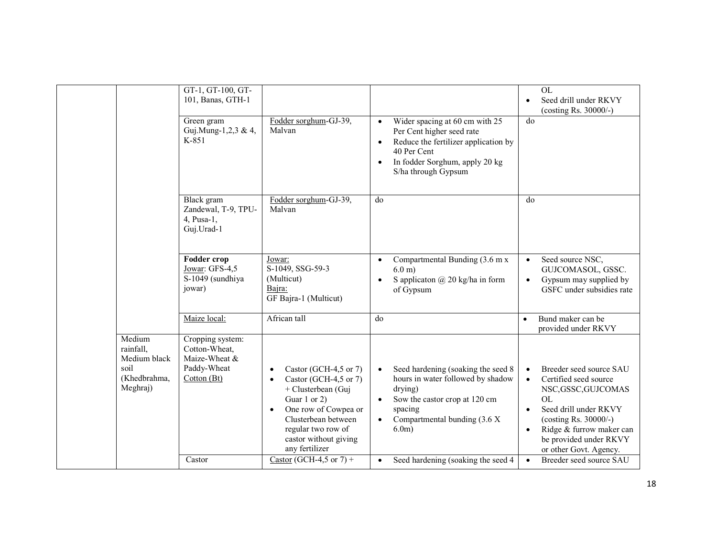|                                                                         | GT-1, GT-100, GT-<br>101, Banas, GTH-1                                           |                                                                                                                                                                                                                                             |                                                                                                                                                                                                                    | $\overline{OL}$<br>Seed drill under RKVY<br>$\bullet$<br>(costing Rs. 30000/-)                                                                                                                                                                                         |
|-------------------------------------------------------------------------|----------------------------------------------------------------------------------|---------------------------------------------------------------------------------------------------------------------------------------------------------------------------------------------------------------------------------------------|--------------------------------------------------------------------------------------------------------------------------------------------------------------------------------------------------------------------|------------------------------------------------------------------------------------------------------------------------------------------------------------------------------------------------------------------------------------------------------------------------|
|                                                                         | Green gram<br>Guj.Mung-1,2,3 & 4,<br>K-851                                       | Fodder sorghum-GJ-39,<br>Malvan                                                                                                                                                                                                             | Wider spacing at 60 cm with 25<br>$\bullet$<br>Per Cent higher seed rate<br>Reduce the fertilizer application by<br>$\bullet$<br>40 Per Cent<br>In fodder Sorghum, apply 20 kg<br>$\bullet$<br>S/ha through Gypsum | do                                                                                                                                                                                                                                                                     |
|                                                                         | Black gram<br>Zandewal, T-9, TPU-<br>$4$ , Pusa-1,<br>Guj.Urad-1                 | Fodder sorghum-GJ-39,<br>Malvan                                                                                                                                                                                                             | d <sub>0</sub>                                                                                                                                                                                                     | d <sub>0</sub>                                                                                                                                                                                                                                                         |
|                                                                         | Fodder crop<br>Jowar: GFS-4,5<br>S-1049 (sundhiya<br>jowar)                      | Jowar:<br>S-1049, SSG-59-3<br>(Multicut)<br>Bajra:<br>GF Bajra-1 (Multicut)                                                                                                                                                                 | Compartmental Bunding (3.6 m x<br>$\bullet$<br>$6.0m$ )<br>S applicaton @ 20 kg/ha in form<br>of Gypsum                                                                                                            | Seed source NSC,<br>$\bullet$<br>GUJCOMASOL, GSSC.<br>Gypsum may supplied by<br>$\bullet$<br>GSFC under subsidies rate                                                                                                                                                 |
|                                                                         | Maize local:                                                                     | African tall                                                                                                                                                                                                                                | do                                                                                                                                                                                                                 | Bund maker can be<br>$\bullet$<br>provided under RKVY                                                                                                                                                                                                                  |
| Medium<br>rainfall,<br>Medium black<br>soil<br>(Khedbrahma,<br>Meghraj) | Cropping system:<br>Cotton-Wheat,<br>Maize-Wheat &<br>Paddy-Wheat<br>Cotton (Bt) | Castor (GCH-4,5 or 7)<br>$\bullet$<br>Castor (GCH-4,5 or 7)<br>$\bullet$<br>+ Clusterbean (Guj<br>Guar 1 or 2)<br>One row of Cowpea or<br>$\bullet$<br>Clusterbean between<br>regular two row of<br>castor without giving<br>any fertilizer | Seed hardening (soaking the seed 8<br>$\bullet$<br>hours in water followed by shadow<br>drying)<br>Sow the castor crop at 120 cm<br>$\bullet$<br>spacing<br>Compartmental bunding (3.6 X)<br>$\bullet$<br>$6.0m$ ) | Breeder seed source SAU<br>$\bullet$<br>Certified seed source<br>$\bullet$<br>NSC, GSSC, GUJCOMAS<br>OL<br>Seed drill under RKVY<br>$\bullet$<br>(costing Rs. $30000/-$ )<br>Ridge & furrow maker can<br>$\bullet$<br>be provided under RKVY<br>or other Govt. Agency. |
|                                                                         | Castor                                                                           | Castor (GCH-4,5 or 7) +                                                                                                                                                                                                                     | Seed hardening (soaking the seed 4<br>$\bullet$                                                                                                                                                                    | Breeder seed source SAU<br>$\bullet$                                                                                                                                                                                                                                   |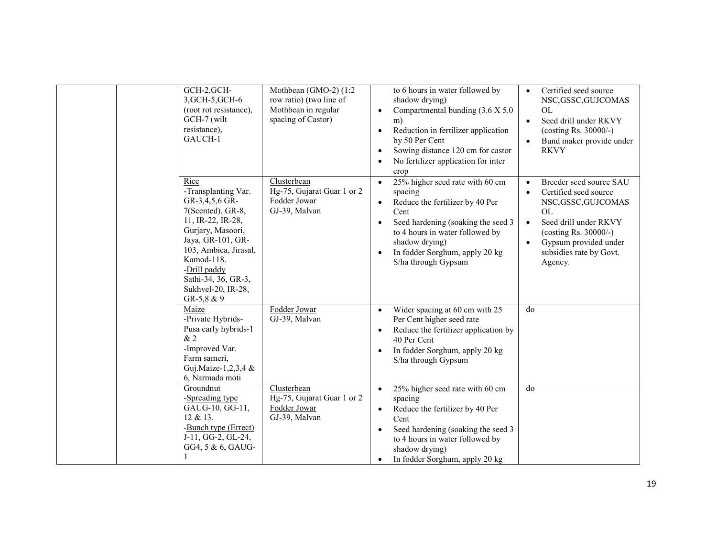| GCH-2, GCH-<br>3, GCH-5, GCH-6<br>(root rot resistance),<br>GCH-7 (wilt<br>resistance),<br>GAUCH-1                                                                                                                                                   | Mothbean (GMO-2) (1:2<br>row ratio) (two line of<br>Mothbean in regular<br>spacing of Castor) | to 6 hours in water followed by<br>shadow drying)<br>Compartmental bunding (3.6 X 5.0)<br>$\bullet$<br>m)<br>Reduction in fertilizer application<br>$\bullet$<br>by 50 Per Cent<br>Sowing distance 120 cm for castor<br>$\bullet$<br>No fertilizer application for inter<br>crop | Certified seed source<br>$\bullet$<br>NSC, GSSC, GUJCOMAS<br><b>OL</b><br>Seed drill under RKVY<br>$\bullet$<br>(costing Rs. 30000/-)<br>Bund maker provide under<br>$\bullet$<br><b>RKVY</b>                                                         |
|------------------------------------------------------------------------------------------------------------------------------------------------------------------------------------------------------------------------------------------------------|-----------------------------------------------------------------------------------------------|----------------------------------------------------------------------------------------------------------------------------------------------------------------------------------------------------------------------------------------------------------------------------------|-------------------------------------------------------------------------------------------------------------------------------------------------------------------------------------------------------------------------------------------------------|
| Rice<br>-Transplanting Var.<br>GR-3,4,5,6 GR-<br>7(Scented), GR-8,<br>11, IR-22, IR-28,<br>Gurjary, Masoori,<br>Jaya, GR-101, GR-<br>103, Ambica, Jirasal,<br>Kamod-118.<br>-Drill paddy<br>Sathi-34, 36, GR-3,<br>Sukhvel-20, IR-28,<br>GR-5,8 $&9$ | Clusterbean<br>Hg-75, Gujarat Guar 1 or 2<br>Fodder Jowar<br>GJ-39, Malvan                    | 25% higher seed rate with 60 cm<br>$\bullet$<br>spacing<br>Reduce the fertilizer by 40 Per<br>$\bullet$<br>Cent<br>Seed hardening (soaking the seed 3<br>to 4 hours in water followed by<br>shadow drying)<br>In fodder Sorghum, apply 20 kg<br>S/ha through Gypsum              | Breeder seed source SAU<br>$\bullet$<br>Certified seed source<br>$\bullet$<br>NSC, GSSC, GUJCOMAS<br>OL<br>Seed drill under RKVY<br>$\bullet$<br>(costing Rs. $30000/-$ )<br>Gypsum provided under<br>$\bullet$<br>subsidies rate by Govt.<br>Agency. |
| Maize<br>-Private Hybrids-<br>Pusa early hybrids-1<br>&2<br>-Improved Var.<br>Farm sameri,<br>Guj.Maize-1,2,3,4 &<br>6, Narmada moti                                                                                                                 | Fodder Jowar<br>GJ-39, Malvan                                                                 | Wider spacing at 60 cm with 25<br>$\bullet$<br>Per Cent higher seed rate<br>Reduce the fertilizer application by<br>$\bullet$<br>40 Per Cent<br>In fodder Sorghum, apply 20 kg<br>S/ha through Gypsum                                                                            | do                                                                                                                                                                                                                                                    |
| Groundnut<br>-Spreading type<br>GAUG-10, GG-11,<br>12 & 13.<br>-Bunch type (Errect)<br>J-11, GG-2, GL-24,<br>GG4, 5 & 6, GAUG-                                                                                                                       | Clusterbean<br>Hg-75, Gujarat Guar 1 or 2<br>Fodder Jowar<br>GJ-39, Malvan                    | 25% higher seed rate with 60 cm<br>$\bullet$<br>spacing<br>Reduce the fertilizer by 40 Per<br>$\bullet$<br>Cent<br>Seed hardening (soaking the seed 3<br>to 4 hours in water followed by<br>shadow drying)<br>In fodder Sorghum, apply 20 kg<br>$\bullet$                        | do                                                                                                                                                                                                                                                    |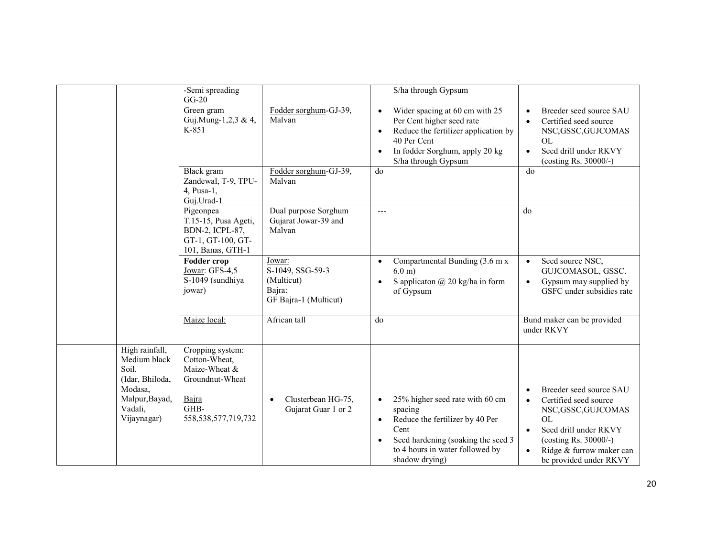|                                | -Semi spreading                   |                                              | S/ha through Gypsum                                                |                                                                |
|--------------------------------|-----------------------------------|----------------------------------------------|--------------------------------------------------------------------|----------------------------------------------------------------|
|                                | $GG-20$                           |                                              |                                                                    |                                                                |
|                                | Green gram                        | Fodder sorghum-GJ-39,                        | Wider spacing at 60 cm with 25<br>$\bullet$                        | Breeder seed source SAU<br>$\bullet$                           |
|                                | Guj.Mung-1,2,3 & 4,               | Malvan                                       | Per Cent higher seed rate                                          | Certified seed source<br>$\bullet$                             |
|                                | K-851                             |                                              | Reduce the fertilizer application by<br>$\bullet$<br>40 Per Cent   | NSC, GSSC, GUJCOMAS<br>OL                                      |
|                                |                                   |                                              | In fodder Sorghum, apply 20 kg<br>$\bullet$<br>S/ha through Gypsum | Seed drill under RKVY<br>$\bullet$<br>(costing Rs. $30000/-$ ) |
|                                | Black gram                        | Fodder sorghum-GJ-39,                        | do                                                                 | do                                                             |
|                                | Zandewal, T-9, TPU-               | Malvan                                       |                                                                    |                                                                |
|                                | $4$ , Pusa-1,                     |                                              |                                                                    |                                                                |
|                                | Guj.Urad-1                        |                                              |                                                                    |                                                                |
|                                | Pigeonpea<br>T.15-15, Pusa Ageti, | Dual purpose Sorghum<br>Gujarat Jowar-39 and | $\overline{a}$                                                     | do                                                             |
|                                | BDN-2, ICPL-87,                   | Malvan                                       |                                                                    |                                                                |
|                                | GT-1, GT-100, GT-                 |                                              |                                                                    |                                                                |
|                                | 101, Banas, GTH-1                 |                                              |                                                                    |                                                                |
|                                | <b>Fodder crop</b>                | Jowar:                                       | Compartmental Bunding (3.6 m x<br>$\bullet$                        | Seed source NSC,<br>$\bullet$                                  |
|                                | Jowar: GFS-4,5                    | S-1049, SSG-59-3                             | $6.0 \text{ m}$ )                                                  | GUJCOMASOL, GSSC.                                              |
|                                | S-1049 (sundhiya                  | (Multicut)                                   | S applicaton $\omega$ 20 kg/ha in form                             | Gypsum may supplied by<br>$\bullet$                            |
|                                | jowar)                            | Bajra:<br>GF Bajra-1 (Multicut)              | of Gypsum                                                          | GSFC under subsidies rate                                      |
|                                |                                   |                                              |                                                                    |                                                                |
|                                | Maize local:                      | African tall                                 | do                                                                 | Bund maker can be provided                                     |
|                                |                                   |                                              |                                                                    | under RKVY                                                     |
|                                |                                   |                                              |                                                                    |                                                                |
| High rainfall,<br>Medium black | Cropping system:<br>Cotton-Wheat, |                                              |                                                                    |                                                                |
| Soil.                          | Maize-Wheat &                     |                                              |                                                                    |                                                                |
| (Idar, Bhiloda,                | Groundnut-Wheat                   |                                              |                                                                    |                                                                |
| Modasa,                        |                                   |                                              |                                                                    | Breeder seed source SAU                                        |
| Malpur, Bayad,                 | Bajra                             | Clusterbean HG-75,<br>$\bullet$              | 25% higher seed rate with 60 cm<br>$\bullet$                       | Certified seed source<br>$\bullet$                             |
| Vadali,                        | GHB-                              | Gujarat Guar 1 or 2                          | spacing                                                            | NSC, GSSC, GUJCOMAS                                            |
| Vijaynagar)                    | 558, 538, 577, 719, 732           |                                              | Reduce the fertilizer by 40 Per<br>$\bullet$                       | <b>OL</b>                                                      |
|                                |                                   |                                              | Cent                                                               | Seed drill under RKVY<br>$\bullet$                             |
|                                |                                   |                                              | Seed hardening (soaking the seed 3)<br>$\bullet$                   | (costing Rs. 30000/-)                                          |
|                                |                                   |                                              | to 4 hours in water followed by                                    | Ridge & furrow maker can<br>$\bullet$                          |
|                                |                                   |                                              | shadow drying)                                                     | be provided under RKVY                                         |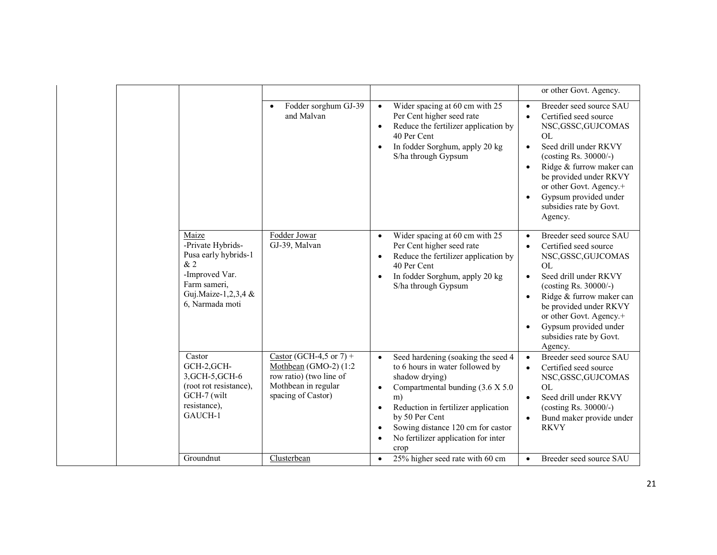|  |                                                                                                                                      |                                                                                                                          |                                                                                                                                                                                                                                                                                                           | or other Govt. Agency.                                                                                                                                                                                                                                                                                                                                  |
|--|--------------------------------------------------------------------------------------------------------------------------------------|--------------------------------------------------------------------------------------------------------------------------|-----------------------------------------------------------------------------------------------------------------------------------------------------------------------------------------------------------------------------------------------------------------------------------------------------------|---------------------------------------------------------------------------------------------------------------------------------------------------------------------------------------------------------------------------------------------------------------------------------------------------------------------------------------------------------|
|  |                                                                                                                                      | Fodder sorghum GJ-39<br>and Malvan                                                                                       | Wider spacing at 60 cm with 25<br>$\bullet$<br>Per Cent higher seed rate<br>Reduce the fertilizer application by<br>40 Per Cent<br>In fodder Sorghum, apply 20 kg<br>S/ha through Gypsum                                                                                                                  | Breeder seed source SAU<br>$\bullet$<br>Certified seed source<br>$\bullet$<br>NSC, GSSC, GUJCOMAS<br>OL<br>Seed drill under RKVY<br>$\bullet$<br>(costing Rs. 30000/-)<br>Ridge & furrow maker can<br>$\bullet$<br>be provided under RKVY<br>or other Govt. Agency.+<br>Gypsum provided under<br>$\bullet$<br>subsidies rate by Govt.<br>Agency.        |
|  | Maize<br>-Private Hybrids-<br>Pusa early hybrids-1<br>&2<br>-Improved Var.<br>Farm sameri,<br>Guj.Maize-1,2,3,4 &<br>6, Narmada moti | Fodder Jowar<br>GJ-39, Malvan                                                                                            | Wider spacing at 60 cm with 25<br>$\bullet$<br>Per Cent higher seed rate<br>Reduce the fertilizer application by<br>40 Per Cent<br>In fodder Sorghum, apply 20 kg<br>$\bullet$<br>S/ha through Gypsum                                                                                                     | Breeder seed source SAU<br>$\bullet$<br>Certified seed source<br>$\bullet$<br>NSC, GSSC, GUJCOMAS<br><b>OL</b><br>Seed drill under RKVY<br>$\bullet$<br>(costing Rs. 30000/-)<br>Ridge & furrow maker can<br>$\bullet$<br>be provided under RKVY<br>or other Govt. Agency.+<br>Gypsum provided under<br>$\bullet$<br>subsidies rate by Govt.<br>Agency. |
|  | Castor<br>GCH-2, GCH-<br>3, GCH-5, GCH-6<br>(root rot resistance),<br>GCH-7 (wilt<br>resistance),<br>GAUCH-1<br>Groundnut            | Castor (GCH-4,5 or 7) +<br>Mothbean (GMO-2) (1:2<br>row ratio) (two line of<br>Mothbean in regular<br>spacing of Castor) | Seed hardening (soaking the seed 4<br>$\bullet$<br>to 6 hours in water followed by<br>shadow drying)<br>Compartmental bunding (3.6 X 5.0)<br>$\bullet$<br>m)<br>Reduction in fertilizer application<br>by 50 Per Cent<br>Sowing distance 120 cm for castor<br>No fertilizer application for inter<br>crop | Breeder seed source SAU<br>$\bullet$<br>Certified seed source<br>NSC, GSSC, GUJCOMAS<br><b>OL</b><br>Seed drill under RKVY<br>$\bullet$<br>(costing Rs. 30000/-)<br>Bund maker provide under<br>$\bullet$<br><b>RKVY</b>                                                                                                                                |
|  |                                                                                                                                      | Clusterbean                                                                                                              | 25% higher seed rate with 60 cm                                                                                                                                                                                                                                                                           | Breeder seed source SAU<br>$\bullet$                                                                                                                                                                                                                                                                                                                    |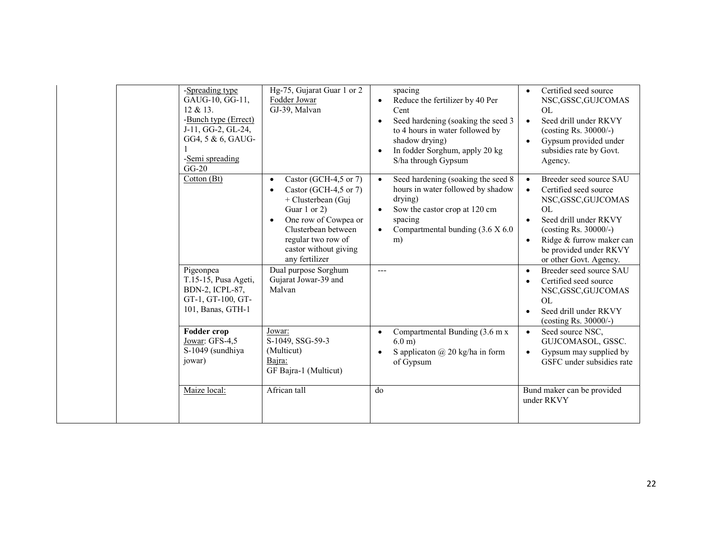| -Spreading type<br>$12 \& 13.$<br>-Semi spreading<br>$GG-20$       | Hg-75, Gujarat Guar 1 or 2<br>GAUG-10, GG-11,<br>Fodder Jowar<br>GJ-39, Malvan<br>-Bunch type (Errect)<br>J-11, GG-2, GL-24,<br>GG4, 5 & 6, GAUG-                                                                                           | spacing<br>Reduce the fertilizer by 40 Per<br>Cent<br>Seed hardening (soaking the seed 3<br>to 4 hours in water followed by<br>shadow drying)<br>In fodder Sorghum, apply 20 kg<br>S/ha through Gypsum | Certified seed source<br>$\bullet$<br>NSC, GSSC, GUJCOMAS<br>OL<br>Seed drill under RKVY<br>$\bullet$<br>(costing Rs. 30000/-)<br>Gypsum provided under<br>$\bullet$<br>subsidies rate by Govt.<br>Agency.                                                          |
|--------------------------------------------------------------------|---------------------------------------------------------------------------------------------------------------------------------------------------------------------------------------------------------------------------------------------|--------------------------------------------------------------------------------------------------------------------------------------------------------------------------------------------------------|---------------------------------------------------------------------------------------------------------------------------------------------------------------------------------------------------------------------------------------------------------------------|
| Cotton (Bt)                                                        | Castor (GCH-4,5 or 7)<br>$\bullet$<br>Castor (GCH-4,5 or 7)<br>$\bullet$<br>+ Clusterbean (Guj<br>Guar 1 or 2)<br>One row of Cowpea or<br>$\bullet$<br>Clusterbean between<br>regular two row of<br>castor without giving<br>any fertilizer | Seed hardening (soaking the seed 8<br>$\bullet$<br>hours in water followed by shadow<br>drying)<br>Sow the castor crop at 120 cm<br>spacing<br>Compartmental bunding (3.6 X 6.0)<br>m)                 | Breeder seed source SAU<br>$\bullet$<br>Certified seed source<br>$\bullet$<br>NSC, GSSC, GUJCOMAS<br>OL<br>Seed drill under RKVY<br>$\bullet$<br>(costing Rs. 30000/-)<br>Ridge & furrow maker can<br>$\bullet$<br>be provided under RKVY<br>or other Govt. Agency. |
| Pigeonpea<br>BDN-2, ICPL-87,                                       | Dual purpose Sorghum<br>T.15-15, Pusa Ageti,<br>Gujarat Jowar-39 and<br>Malvan<br>GT-1, GT-100, GT-<br>101, Banas, GTH-1                                                                                                                    | $---$                                                                                                                                                                                                  | Breeder seed source SAU<br>$\bullet$<br>Certified seed source<br>$\bullet$<br>NSC, GSSC, GUJCOMAS<br>OL<br>Seed drill under RKVY<br>$\bullet$<br>(costing Rs. 30000/-)                                                                                              |
| <b>Fodder crop</b><br>Jowar: GFS-4,5<br>S-1049 (sundhiya<br>jowar) | Jowar:<br>S-1049, SSG-59-3<br>(Multicut)<br>Bajra:<br>GF Bajra-1 (Multicut)                                                                                                                                                                 | Compartmental Bunding (3.6 m x<br>$\bullet$<br>$6.0 \text{ m}$<br>S applicaton $\omega$ 20 kg/ha in form<br>of Gypsum                                                                                  | Seed source NSC,<br>$\bullet$<br>GUJCOMASOL, GSSC.<br>Gypsum may supplied by<br>$\bullet$<br>GSFC under subsidies rate                                                                                                                                              |
| Maize local:                                                       | African tall                                                                                                                                                                                                                                | d <sub>0</sub>                                                                                                                                                                                         | Bund maker can be provided<br>under RKVY                                                                                                                                                                                                                            |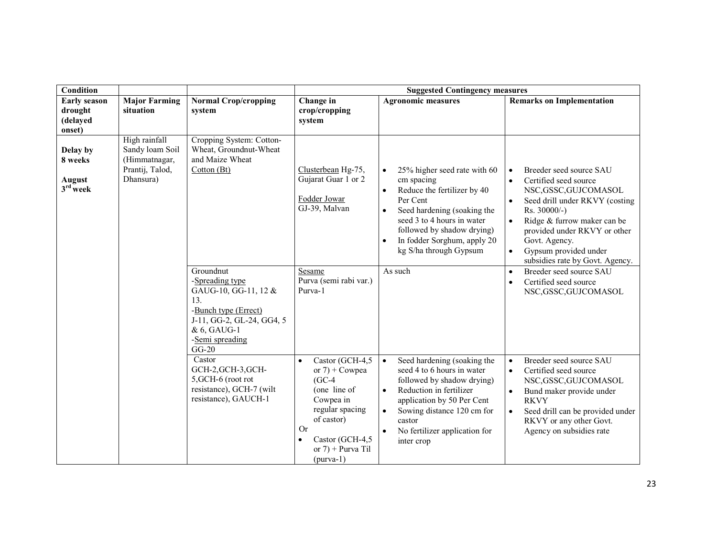| <b>Condition</b>                                     |                                                                                   |                                                                                                                                                              | <b>Suggested Contingency measures</b>                                                                                                                                                                   |                                                                                                                                                                                                                                                                                  |                                                                                                                                                                                                                                                                                                                                          |  |
|------------------------------------------------------|-----------------------------------------------------------------------------------|--------------------------------------------------------------------------------------------------------------------------------------------------------------|---------------------------------------------------------------------------------------------------------------------------------------------------------------------------------------------------------|----------------------------------------------------------------------------------------------------------------------------------------------------------------------------------------------------------------------------------------------------------------------------------|------------------------------------------------------------------------------------------------------------------------------------------------------------------------------------------------------------------------------------------------------------------------------------------------------------------------------------------|--|
| <b>Early season</b><br>drought<br>(delayed<br>onset) | <b>Major Farming</b><br>situation                                                 | <b>Normal Crop/cropping</b><br>system                                                                                                                        | Change in<br>crop/cropping<br>system                                                                                                                                                                    | <b>Agronomic measures</b>                                                                                                                                                                                                                                                        | <b>Remarks on Implementation</b>                                                                                                                                                                                                                                                                                                         |  |
| Delay by<br>8 weeks<br>August<br>$3rd$ week          | High rainfall<br>Sandy loam Soil<br>(Himmatnagar,<br>Prantij, Talod,<br>Dhansura) | Cropping System: Cotton-<br>Wheat, Groundnut-Wheat<br>and Maize Wheat<br>Cotton(Bt)                                                                          | Clusterbean Hg-75,<br>Gujarat Guar 1 or 2<br>Fodder Jowar<br>GJ-39, Malvan                                                                                                                              | 25% higher seed rate with 60<br>$\bullet$<br>cm spacing<br>Reduce the fertilizer by 40<br>$\bullet$<br>Per Cent<br>Seed hardening (soaking the<br>$\bullet$<br>seed 3 to 4 hours in water<br>followed by shadow drying)<br>In fodder Sorghum, apply 20<br>kg S/ha through Gypsum | Breeder seed source SAU<br>$\bullet$<br>Certified seed source<br>$\bullet$<br>NSC, GSSC, GUJCOMASOL<br>Seed drill under RKVY (costing<br>$\bullet$<br>Rs. 30000/-)<br>Ridge & furrow maker can be<br>$\bullet$<br>provided under RKVY or other<br>Govt. Agency.<br>Gypsum provided under<br>$\bullet$<br>subsidies rate by Govt. Agency. |  |
|                                                      |                                                                                   | Groundnut<br>-Spreading type<br>GAUG-10, GG-11, 12 &<br>13<br>-Bunch type (Errect)<br>J-11, GG-2, GL-24, GG4, 5<br>& 6, GAUG-1<br>-Semi spreading<br>$GG-20$ | Sesame<br>Purva (semi rabi var.)<br>Purva-1                                                                                                                                                             | As such                                                                                                                                                                                                                                                                          | Breeder seed source SAU<br>$\bullet$<br>Certified seed source<br>NSC, GSSC, GUJCOMASOL                                                                                                                                                                                                                                                   |  |
|                                                      |                                                                                   | Castor<br>GCH-2, GCH-3, GCH-<br>5, GCH-6 (root rot<br>resistance), GCH-7 (wilt<br>resistance), GAUCH-1                                                       | Castor (GCH-4,5<br>$\bullet$<br>or $7$ ) + Cowpea<br>$(GC-4)$<br>(one line of<br>Cowpea in<br>regular spacing<br>of castor)<br><b>Or</b><br>Castor (GCH-4,5<br>٠<br>or $7$ ) + Purva Til<br>$(purva-1)$ | Seed hardening (soaking the<br>$\bullet$<br>seed 4 to 6 hours in water<br>followed by shadow drying)<br>Reduction in fertilizer<br>$\bullet$<br>application by 50 Per Cent<br>Sowing distance 120 cm for<br>$\bullet$<br>castor<br>No fertilizer application for<br>inter crop   | Breeder seed source SAU<br>$\bullet$<br>Certified seed source<br>$\bullet$<br>NSC, GSSC, GUJCOMASOL<br>Bund maker provide under<br>$\bullet$<br><b>RKVY</b><br>Seed drill can be provided under<br>$\bullet$<br>RKVY or any other Govt.<br>Agency on subsidies rate                                                                      |  |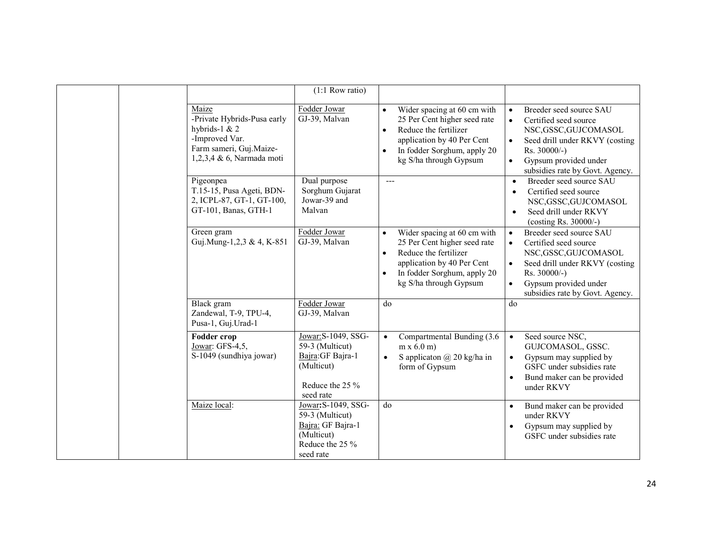|                                                                                                                                   | $(1:1$ Row ratio)                                                                                         |                                                                                                                                                                                                                    |                                                                                                                                                                                                                                                |
|-----------------------------------------------------------------------------------------------------------------------------------|-----------------------------------------------------------------------------------------------------------|--------------------------------------------------------------------------------------------------------------------------------------------------------------------------------------------------------------------|------------------------------------------------------------------------------------------------------------------------------------------------------------------------------------------------------------------------------------------------|
| Maize<br>-Private Hybrids-Pusa early<br>hybrids-1 $& 2$<br>-Improved Var.<br>Farm sameri, Guj.Maize-<br>1,2,3,4 & 6, Narmada moti | Fodder Jowar<br>GJ-39, Malvan                                                                             | Wider spacing at 60 cm with<br>$\bullet$<br>25 Per Cent higher seed rate<br>Reduce the fertilizer<br>$\bullet$<br>application by 40 Per Cent<br>In fodder Sorghum, apply 20<br>$\bullet$<br>kg S/ha through Gypsum | Breeder seed source SAU<br>$\bullet$<br>Certified seed source<br>$\bullet$<br>NSC, GSSC, GUJCOMASOL<br>Seed drill under RKVY (costing<br>$\bullet$<br>$Rs. 30000/-$ )<br>Gypsum provided under<br>$\bullet$<br>subsidies rate by Govt. Agency. |
| Pigeonpea<br>T.15-15, Pusa Ageti, BDN-<br>2, ICPL-87, GT-1, GT-100,<br>GT-101, Banas, GTH-1                                       | Dual purpose<br>Sorghum Gujarat<br>Jowar-39 and<br>Malvan                                                 | $---$                                                                                                                                                                                                              | Breeder seed source SAU<br>$\bullet$<br>Certified seed source<br>$\bullet$<br>NSC, GSSC, GUJCOMASOL<br>Seed drill under RKVY<br>$\bullet$<br>(costing Rs. 30000/-)                                                                             |
| Green gram<br>Guj.Mung-1,2,3 & 4, K-851                                                                                           | Fodder Jowar<br>GJ-39, Malvan                                                                             | Wider spacing at 60 cm with<br>$\bullet$<br>25 Per Cent higher seed rate<br>Reduce the fertilizer<br>$\bullet$<br>application by 40 Per Cent<br>In fodder Sorghum, apply 20<br>$\bullet$<br>kg S/ha through Gypsum | Breeder seed source SAU<br>$\bullet$<br>Certified seed source<br>$\bullet$<br>NSC, GSSC, GUJCOMASOL<br>Seed drill under RKVY (costing<br>$\bullet$<br>Rs. 30000/-)<br>Gypsum provided under<br>$\bullet$<br>subsidies rate by Govt. Agency.    |
| <b>Black</b> gram<br>Zandewal, T-9, TPU-4,<br>Pusa-1, Guj.Urad-1                                                                  | Fodder Jowar<br>GJ-39, Malvan                                                                             | do                                                                                                                                                                                                                 | do                                                                                                                                                                                                                                             |
| <b>Fodder crop</b><br>Jowar: GFS-4,5,<br>S-1049 (sundhiya jowar)                                                                  | Jowar: S-1049, SSG-<br>59-3 (Multicut)<br>Bajra: GF Bajra-1<br>(Multicut)<br>Reduce the 25 %<br>seed rate | Compartmental Bunding (3.6<br>$\bullet$<br>$m \times 6.0$ m)<br>S applicaton $\omega$ 20 kg/ha in<br>$\bullet$<br>form of Gypsum                                                                                   | Seed source NSC,<br>$\bullet$<br>GUJCOMASOL, GSSC.<br>Gypsum may supplied by<br>$\bullet$<br>GSFC under subsidies rate<br>Bund maker can be provided<br>$\bullet$<br>under RKVY                                                                |
| Maize local:                                                                                                                      | Jowar: S-1049, SSG-<br>59-3 (Multicut)<br>Bajra: GF Bajra-1<br>(Multicut)<br>Reduce the 25 %<br>seed rate | do                                                                                                                                                                                                                 | Bund maker can be provided<br>$\bullet$<br>under RKVY<br>Gypsum may supplied by<br>$\bullet$<br>GSFC under subsidies rate                                                                                                                      |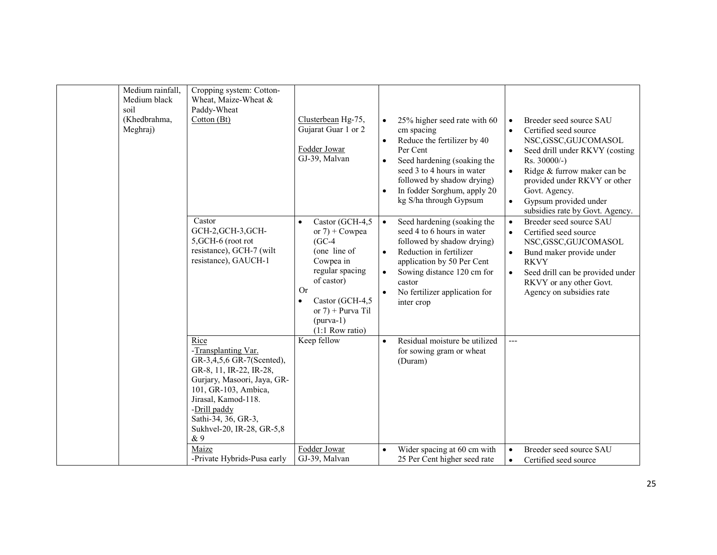| Medium rainfall,<br>Medium black<br>soil<br>(Khedbrahma,<br>Meghraj) | Cropping system: Cotton-<br>Wheat, Maize-Wheat &<br>Paddy-Wheat<br>Cottom(Bt)                                                                                                                                                                         | Clusterbean Hg-75,<br>Gujarat Guar 1 or 2<br>Fodder Jowar<br>GJ-39, Malvan                                                                                                                           | $\bullet$<br>$\bullet$<br>$\bullet$<br>$\bullet$ | 25% higher seed rate with 60<br>cm spacing<br>Reduce the fertilizer by 40<br>Per Cent<br>Seed hardening (soaking the<br>seed 3 to 4 hours in water<br>followed by shadow drying)<br>In fodder Sorghum, apply 20<br>kg S/ha through Gypsum | $\bullet$<br>$\bullet$<br>$\bullet$<br>$\bullet$<br>$\bullet$ | Breeder seed source SAU<br>Certified seed source<br>NSC, GSSC, GUJCOMASOL<br>Seed drill under RKVY (costing<br>Rs. 30000/-)<br>Ridge & furrow maker can be<br>provided under RKVY or other<br>Govt. Agency.<br>Gypsum provided under<br>subsidies rate by Govt. Agency. |
|----------------------------------------------------------------------|-------------------------------------------------------------------------------------------------------------------------------------------------------------------------------------------------------------------------------------------------------|------------------------------------------------------------------------------------------------------------------------------------------------------------------------------------------------------|--------------------------------------------------|-------------------------------------------------------------------------------------------------------------------------------------------------------------------------------------------------------------------------------------------|---------------------------------------------------------------|-------------------------------------------------------------------------------------------------------------------------------------------------------------------------------------------------------------------------------------------------------------------------|
|                                                                      | Castor<br>GCH-2, GCH-3, GCH-<br>5, GCH-6 (root rot<br>resistance), GCH-7 (wilt<br>resistance), GAUCH-1                                                                                                                                                | Castor (GCH-4,5<br>or $7$ ) + Cowpea<br>$(GC-4)$<br>(one line of<br>Cowpea in<br>regular spacing<br>of castor)<br>Or<br>Castor (GCH-4,5)<br>or $7$ ) + Purva Til<br>$(purva-1)$<br>$(1:1$ Row ratio) | $\bullet$<br>$\bullet$<br>$\bullet$              | Seed hardening (soaking the<br>seed 4 to 6 hours in water<br>followed by shadow drying)<br>Reduction in fertilizer<br>application by 50 Per Cent<br>Sowing distance 120 cm for<br>castor<br>No fertilizer application for<br>inter crop   | $\bullet$<br>$\bullet$<br>$\bullet$<br>$\bullet$              | Breeder seed source SAU<br>Certified seed source<br>NSC, GSSC, GUJCOMASOL<br>Bund maker provide under<br><b>RKVY</b><br>Seed drill can be provided under<br>RKVY or any other Govt.<br>Agency on subsidies rate                                                         |
|                                                                      | Rice<br>-Transplanting Var.<br>GR-3,4,5,6 GR-7(Scented),<br>GR-8, 11, IR-22, IR-28,<br>Gurjary, Masoori, Jaya, GR-<br>101, GR-103, Ambica,<br>Jirasal, Kamod-118.<br>-Drill paddy<br>Sathi-34, 36, GR-3,<br>Sukhvel-20, IR-28, GR-5,8<br>& 9<br>Maize | Keep fellow<br>Fodder Jowar                                                                                                                                                                          | $\bullet$                                        | Residual moisture be utilized<br>for sowing gram or wheat<br>(Duram)                                                                                                                                                                      | $\overline{a}$<br>$\bullet$                                   | Breeder seed source SAU                                                                                                                                                                                                                                                 |
|                                                                      | -Private Hybrids-Pusa early                                                                                                                                                                                                                           | GJ-39, Malvan                                                                                                                                                                                        |                                                  | Wider spacing at 60 cm with<br>25 Per Cent higher seed rate                                                                                                                                                                               | $\bullet$                                                     | Certified seed source                                                                                                                                                                                                                                                   |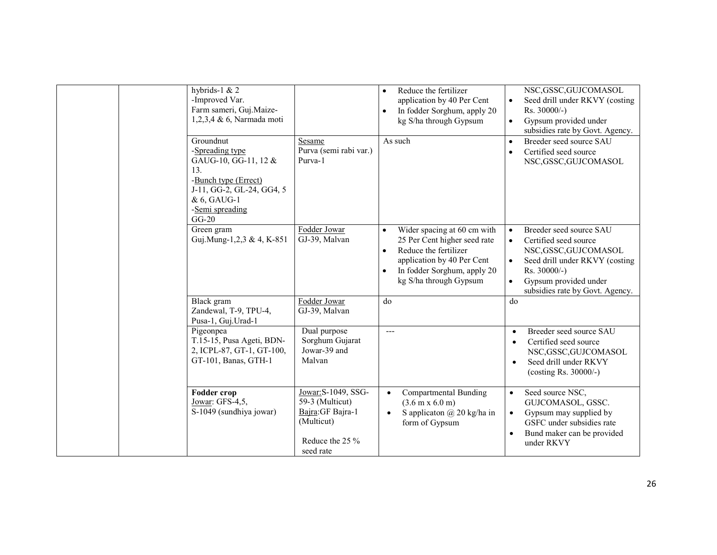| hybrids-1 $& 2$<br>-Improved Var.<br>Farm sameri, Guj.Maize-<br>1,2,3,4 & 6, Narmada moti                                                                     |                                                                                                           | Reduce the fertilizer<br>$\bullet$<br>application by 40 Per Cent<br>In fodder Sorghum, apply 20<br>$\bullet$<br>kg S/ha through Gypsum                                                                             | NSC, GSSC, GUJCOMASOL<br>Seed drill under RKVY (costing<br>$\bullet$<br>Rs. 30000/-)<br>Gypsum provided under<br>$\bullet$<br>subsidies rate by Govt. Agency.                                                                               |
|---------------------------------------------------------------------------------------------------------------------------------------------------------------|-----------------------------------------------------------------------------------------------------------|--------------------------------------------------------------------------------------------------------------------------------------------------------------------------------------------------------------------|---------------------------------------------------------------------------------------------------------------------------------------------------------------------------------------------------------------------------------------------|
| Groundnut<br>-Spreading type<br>GAUG-10, GG-11, 12 &<br>13.<br>-Bunch type (Errect)<br>J-11, GG-2, GL-24, GG4, 5<br>& 6, GAUG-1<br>-Semi spreading<br>$GG-20$ | Sesame<br>Purva (semi rabi var.)<br>Purva-1                                                               | As such                                                                                                                                                                                                            | Breeder seed source SAU<br>$\bullet$<br>Certified seed source<br>$\bullet$<br>NSC, GSSC, GUJCOMASOL                                                                                                                                         |
| Green gram<br>Guj.Mung-1,2,3 & 4, K-851                                                                                                                       | Fodder Jowar<br>GJ-39, Malvan                                                                             | Wider spacing at 60 cm with<br>$\bullet$<br>25 Per Cent higher seed rate<br>Reduce the fertilizer<br>$\bullet$<br>application by 40 Per Cent<br>In fodder Sorghum, apply 20<br>$\bullet$<br>kg S/ha through Gypsum | Breeder seed source SAU<br>$\bullet$<br>Certified seed source<br>$\bullet$<br>NSC, GSSC, GUJCOMASOL<br>Seed drill under RKVY (costing<br>$\bullet$<br>Rs. 30000/-)<br>Gypsum provided under<br>$\bullet$<br>subsidies rate by Govt. Agency. |
| Black gram<br>Zandewal, T-9, TPU-4,<br>Pusa-1, Guj. Urad-1                                                                                                    | Fodder Jowar<br>GJ-39, Malvan                                                                             | do                                                                                                                                                                                                                 | do                                                                                                                                                                                                                                          |
| Pigeonpea<br>T.15-15, Pusa Ageti, BDN-<br>2, ICPL-87, GT-1, GT-100,<br>GT-101, Banas, GTH-1                                                                   | Dual purpose<br>Sorghum Gujarat<br>Jowar-39 and<br>Malvan                                                 | $---$                                                                                                                                                                                                              | Breeder seed source SAU<br>$\bullet$<br>Certified seed source<br>$\bullet$<br>NSC, GSSC, GUJCOMASOL<br>Seed drill under RKVY<br>$\bullet$<br>(costing Rs. 30000/-)                                                                          |
| <b>Fodder crop</b><br>Jowar: GFS-4,5,<br>S-1049 (sundhiya jowar)                                                                                              | Jowar: S-1049, SSG-<br>59-3 (Multicut)<br>Bajra: GF Bajra-1<br>(Multicut)<br>Reduce the 25 %<br>seed rate | <b>Compartmental Bunding</b><br>$\bullet$<br>$(3.6 \text{ m} \times 6.0 \text{ m})$<br>S applicaton $\omega$ 20 kg/ha in<br>$\bullet$<br>form of Gypsum                                                            | Seed source NSC,<br>$\bullet$<br>GUJCOMASOL, GSSC.<br>Gypsum may supplied by<br>$\bullet$<br>GSFC under subsidies rate<br>Bund maker can be provided<br>under RKVY                                                                          |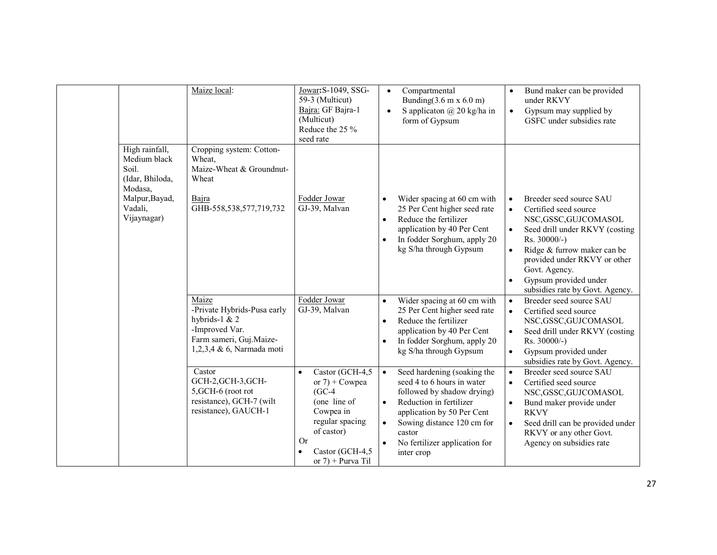|                                                                                                                   | Maize local:                                                                                                                      | Jowar: S-1049, SSG-<br>59-3 (Multicut)<br>Bajra: GF Bajra-1<br>(Multicut)<br>Reduce the 25 %<br>seed rate                                                                                | Compartmental<br>$\bullet$<br>Bunding $(3.6 \text{ m x } 6.0 \text{ m})$<br>S applicaton $\omega$ 20 kg/ha in<br>$\bullet$<br>form of Gypsum                                                                                                                                   | Bund maker can be provided<br>$\bullet$<br>under RKVY<br>Gypsum may supplied by<br>$\bullet$<br>GSFC under subsidies rate                                                                                                                                                                                                                |
|-------------------------------------------------------------------------------------------------------------------|-----------------------------------------------------------------------------------------------------------------------------------|------------------------------------------------------------------------------------------------------------------------------------------------------------------------------------------|--------------------------------------------------------------------------------------------------------------------------------------------------------------------------------------------------------------------------------------------------------------------------------|------------------------------------------------------------------------------------------------------------------------------------------------------------------------------------------------------------------------------------------------------------------------------------------------------------------------------------------|
| High rainfall,<br>Medium black<br>Soil.<br>(Idar, Bhiloda,<br>Modasa,<br>Malpur, Bayad,<br>Vadali,<br>Vijaynagar) | Cropping system: Cotton-<br>Wheat,<br>Maize-Wheat & Groundnut-<br>Wheat<br>Bajra<br>GHB-558,538,577,719,732                       | Fodder Jowar<br>GJ-39, Malvan                                                                                                                                                            | Wider spacing at 60 cm with<br>25 Per Cent higher seed rate<br>Reduce the fertilizer<br>$\bullet$<br>application by 40 Per Cent<br>In fodder Sorghum, apply 20<br>$\bullet$<br>kg S/ha through Gypsum                                                                          | Breeder seed source SAU<br>$\bullet$<br>Certified seed source<br>$\bullet$<br>NSC, GSSC, GUJCOMASOL<br>Seed drill under RKVY (costing<br>$\bullet$<br>Rs. 30000/-)<br>Ridge & furrow maker can be<br>$\bullet$<br>provided under RKVY or other<br>Govt. Agency.<br>Gypsum provided under<br>$\bullet$<br>subsidies rate by Govt. Agency. |
|                                                                                                                   | Maize<br>-Private Hybrids-Pusa early<br>hybrids-1 $& 2$<br>-Improved Var.<br>Farm sameri, Guj.Maize-<br>1,2,3,4 & 6, Narmada moti | Fodder Jowar<br>GJ-39, Malvan                                                                                                                                                            | Wider spacing at 60 cm with<br>$\bullet$<br>25 Per Cent higher seed rate<br>Reduce the fertilizer<br>$\bullet$<br>application by 40 Per Cent<br>In fodder Sorghum, apply 20<br>$\bullet$<br>kg S/ha through Gypsum                                                             | Breeder seed source SAU<br>$\bullet$<br>Certified seed source<br>$\bullet$<br>NSC, GSSC, GUJCOMASOL<br>Seed drill under RKVY (costing<br>$\bullet$<br>Rs. 30000/-)<br>Gypsum provided under<br>$\bullet$<br>subsidies rate by Govt. Agency.                                                                                              |
|                                                                                                                   | Castor<br>GCH-2, GCH-3, GCH-<br>5, GCH-6 (root rot<br>resistance), GCH-7 (wilt<br>resistance), GAUCH-1                            | Castor (GCH-4,5<br>$\bullet$<br>or $7$ ) + Cowpea<br>$(GC-4)$<br>(one line of<br>Cowpea in<br>regular spacing<br>of castor)<br><b>Or</b><br>Castor (GCH-4,5<br>٠<br>or $7$ ) + Purva Til | Seed hardening (soaking the<br>$\bullet$<br>seed 4 to 6 hours in water<br>followed by shadow drying)<br>Reduction in fertilizer<br>$\bullet$<br>application by 50 Per Cent<br>Sowing distance 120 cm for<br>$\bullet$<br>castor<br>No fertilizer application for<br>inter crop | Breeder seed source SAU<br>$\bullet$<br>Certified seed source<br>$\bullet$<br>NSC, GSSC, GUJCOMASOL<br>Bund maker provide under<br>$\bullet$<br><b>RKVY</b><br>Seed drill can be provided under<br>$\bullet$<br>RKVY or any other Govt.<br>Agency on subsidies rate                                                                      |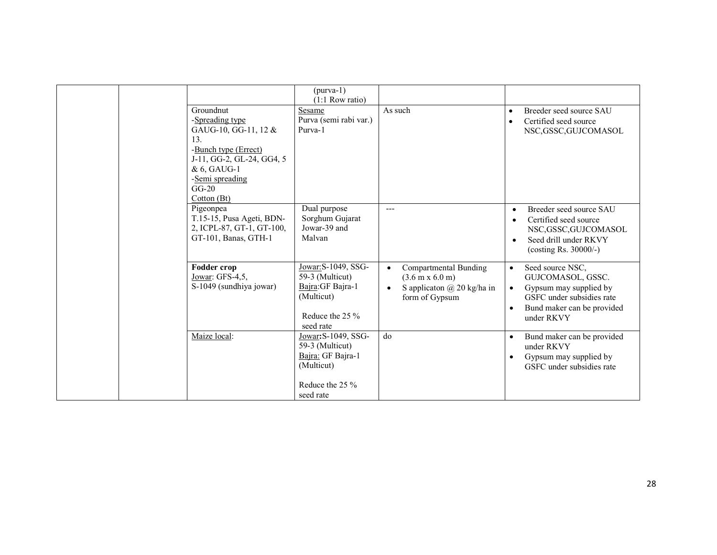|                                                                                                                                                                              | $(purva-1)$<br>$(1:1$ Row ratio)                                                                            |                                                                                                                                                     |                                                                                                                                                                                 |
|------------------------------------------------------------------------------------------------------------------------------------------------------------------------------|-------------------------------------------------------------------------------------------------------------|-----------------------------------------------------------------------------------------------------------------------------------------------------|---------------------------------------------------------------------------------------------------------------------------------------------------------------------------------|
| Groundnut<br>-Spreading type<br>GAUG-10, GG-11, 12 &<br>13.<br>-Bunch type (Errect)<br>J-11, GG-2, GL-24, GG4, 5<br>& 6, GAUG-1<br>-Semi spreading<br>$GG-20$<br>Cotton (Bt) | Sesame<br>Purva (semi rabi var.)<br>Purva-1                                                                 | As such                                                                                                                                             | Breeder seed source SAU<br>$\bullet$<br>Certified seed source<br>$\bullet$<br>NSC, GSSC, GUJCOMASOL                                                                             |
| Pigeonpea<br>T.15-15, Pusa Ageti, BDN-<br>2, ICPL-87, GT-1, GT-100,<br>GT-101, Banas, GTH-1                                                                                  | Dual purpose<br>Sorghum Gujarat<br>Jowar-39 and<br>Malvan                                                   | $---$                                                                                                                                               | Breeder seed source SAU<br>$\bullet$<br>Certified seed source<br>$\bullet$<br>NSC, GSSC, GUJCOMASOL<br>Seed drill under RKVY<br>$\bullet$<br>(costing Rs. $30000/-$ )           |
| Fodder crop<br>Jowar: GFS-4,5,<br>S-1049 (sundhiya jowar)                                                                                                                    | Jowar: S-1049, SSG-<br>59-3 (Multicut)<br>Bajra: GF Bajra-1<br>(Multicut)<br>Reduce the $25\%$<br>seed rate | <b>Compartmental Bunding</b><br>$\bullet$<br>$(3.6 \text{ m x } 6.0 \text{ m})$<br>S applicaton $\omega$ 20 kg/ha in<br>$\bullet$<br>form of Gypsum | Seed source NSC,<br>$\bullet$<br>GUJCOMASOL, GSSC.<br>Gypsum may supplied by<br>$\bullet$<br>GSFC under subsidies rate<br>Bund maker can be provided<br>$\bullet$<br>under RKVY |
| Maize local:                                                                                                                                                                 | Jowar: S-1049, SSG-<br>59-3 (Multicut)<br>Bajra: GF Bajra-1<br>(Multicut)<br>Reduce the 25 %<br>seed rate   | do                                                                                                                                                  | Bund maker can be provided<br>$\bullet$<br>under RKVY<br>Gypsum may supplied by<br>$\bullet$<br>GSFC under subsidies rate                                                       |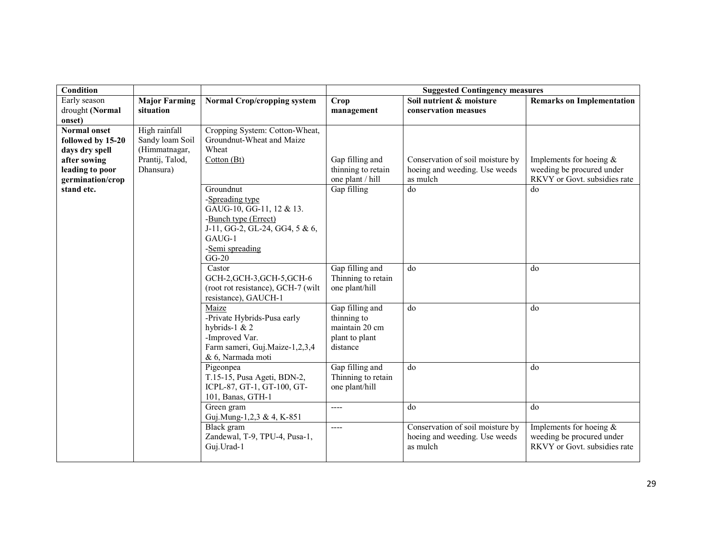| Condition                                                  |                                                   |                                                                                                                                                            | <b>Suggested Contingency measures</b>                                          |                                                                               |                                                                                         |  |
|------------------------------------------------------------|---------------------------------------------------|------------------------------------------------------------------------------------------------------------------------------------------------------------|--------------------------------------------------------------------------------|-------------------------------------------------------------------------------|-----------------------------------------------------------------------------------------|--|
| Early season                                               | <b>Major Farming</b>                              | <b>Normal Crop/cropping system</b>                                                                                                                         | <b>Crop</b>                                                                    | Soil nutrient & moisture                                                      | <b>Remarks on Implementation</b>                                                        |  |
| drought (Normal<br>onset)                                  | situation                                         |                                                                                                                                                            | management                                                                     | conservation measues                                                          |                                                                                         |  |
| <b>Normal onset</b><br>followed by 15-20<br>days dry spell | High rainfall<br>Sandy loam Soil<br>(Himmatnagar, | Cropping System: Cotton-Wheat,<br>Groundnut-Wheat and Maize<br>Wheat                                                                                       |                                                                                | Conservation of soil moisture by                                              |                                                                                         |  |
| after sowing<br>leading to poor<br>germination/crop        | Prantij, Talod,<br>Dhansura)                      | Cotton(Bt)                                                                                                                                                 | Gap filling and<br>thinning to retain<br>one plant / hill                      | hoeing and weeding. Use weeds<br>as mulch                                     | Implements for hoeing $\&$<br>weeding be procured under<br>RKVY or Govt. subsidies rate |  |
| stand etc.                                                 |                                                   | Groundnut<br>-Spreading type<br>GAUG-10, GG-11, 12 & 13.<br>-Bunch type (Errect)<br>J-11, GG-2, GL-24, GG4, 5 & 6,<br>GAUG-1<br>-Semi spreading<br>$GG-20$ | Gap filling                                                                    | do                                                                            | do                                                                                      |  |
|                                                            |                                                   | Castor<br>GCH-2, GCH-3, GCH-5, GCH-6<br>(root rot resistance), GCH-7 (wilt<br>resistance), GAUCH-1                                                         | Gap filling and<br>Thinning to retain<br>one plant/hill                        | do                                                                            | do                                                                                      |  |
|                                                            |                                                   | Maize<br>-Private Hybrids-Pusa early<br>hybrids-1 $& 2$<br>-Improved Var.<br>Farm sameri, Guj.Maize-1,2,3,4<br>& 6, Narmada moti                           | Gap filling and<br>thinning to<br>maintain 20 cm<br>plant to plant<br>distance | do                                                                            | do                                                                                      |  |
|                                                            |                                                   | Pigeonpea<br>T.15-15, Pusa Ageti, BDN-2,<br>ICPL-87, GT-1, GT-100, GT-<br>101, Banas, GTH-1                                                                | Gap filling and<br>Thinning to retain<br>one plant/hill                        | do                                                                            | do                                                                                      |  |
|                                                            |                                                   | Green gram<br>Guj.Mung-1,2,3 & 4, K-851                                                                                                                    | $---$                                                                          | do                                                                            | do                                                                                      |  |
|                                                            |                                                   | Black gram<br>Zandewal, T-9, TPU-4, Pusa-1,<br>Guj. Urad-1                                                                                                 | $---$                                                                          | Conservation of soil moisture by<br>hoeing and weeding. Use weeds<br>as mulch | Implements for hoeing $\&$<br>weeding be procured under<br>RKVY or Govt. subsidies rate |  |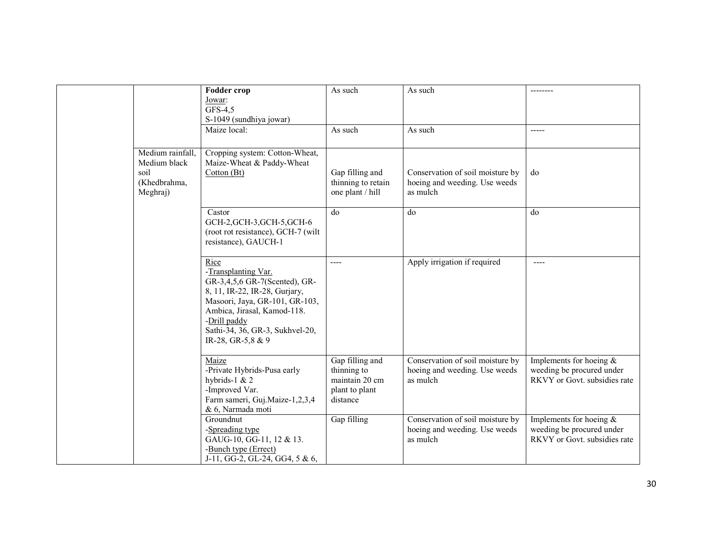|                                                                      | <b>Fodder crop</b><br>Jowar:<br>GFS-4,5<br>S-1049 (sundhiya jowar)                                                                                                                                                                     | As such                                                                        | As such                                                                       |                                                                                         |
|----------------------------------------------------------------------|----------------------------------------------------------------------------------------------------------------------------------------------------------------------------------------------------------------------------------------|--------------------------------------------------------------------------------|-------------------------------------------------------------------------------|-----------------------------------------------------------------------------------------|
|                                                                      | Maize local:                                                                                                                                                                                                                           | As such                                                                        | As such                                                                       | $-----$                                                                                 |
| Medium rainfall,<br>Medium black<br>soil<br>(Khedbrahma,<br>Meghraj) | Cropping system: Cotton-Wheat,<br>Maize-Wheat & Paddy-Wheat<br>Cotton (Bt)                                                                                                                                                             | Gap filling and<br>thinning to retain<br>one plant / hill                      | Conservation of soil moisture by<br>hoeing and weeding. Use weeds<br>as mulch | do                                                                                      |
|                                                                      | Castor<br>GCH-2, GCH-3, GCH-5, GCH-6<br>(root rot resistance), GCH-7 (wilt<br>resistance), GAUCH-1                                                                                                                                     | do                                                                             | do                                                                            | do                                                                                      |
|                                                                      | Rice<br>-Transplanting Var.<br>GR-3,4,5,6 GR-7(Scented), GR-<br>8, 11, IR-22, IR-28, Gurjary,<br>Masoori, Jaya, GR-101, GR-103,<br>Ambica, Jirasal, Kamod-118.<br>-Drill paddy<br>Sathi-34, 36, GR-3, Sukhvel-20,<br>IR-28, GR-5,8 & 9 | ----                                                                           | Apply irrigation if required                                                  | $---$                                                                                   |
|                                                                      | Maize<br>-Private Hybrids-Pusa early<br>hybrids-1 $& 2$<br>-Improved Var.<br>Farm sameri, Guj.Maize-1,2,3,4<br>& 6, Narmada moti                                                                                                       | Gap filling and<br>thinning to<br>maintain 20 cm<br>plant to plant<br>distance | Conservation of soil moisture by<br>hoeing and weeding. Use weeds<br>as mulch | Implements for hoeing $&$<br>weeding be procured under<br>RKVY or Govt. subsidies rate  |
|                                                                      | Groundnut<br>-Spreading type<br>GAUG-10, GG-11, 12 & 13.<br>-Bunch type (Errect)<br>J-11, GG-2, GL-24, GG4, 5 & 6,                                                                                                                     | Gap filling                                                                    | Conservation of soil moisture by<br>hoeing and weeding. Use weeds<br>as mulch | Implements for hoeing $\&$<br>weeding be procured under<br>RKVY or Govt. subsidies rate |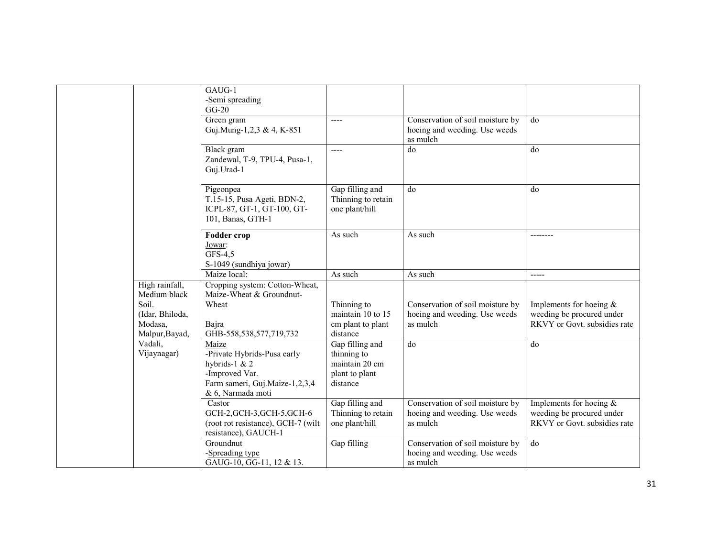|                                | GAUG-1<br>-Semi spreading                                              |                                                         |                                  |                              |
|--------------------------------|------------------------------------------------------------------------|---------------------------------------------------------|----------------------------------|------------------------------|
|                                | $GG-20$                                                                |                                                         |                                  |                              |
|                                | Green gram                                                             | $---$                                                   | Conservation of soil moisture by | do                           |
|                                | Guj.Mung-1,2,3 & 4, K-851                                              |                                                         | hoeing and weeding. Use weeds    |                              |
|                                |                                                                        |                                                         | as mulch                         |                              |
|                                | Black gram<br>Zandewal, T-9, TPU-4, Pusa-1,<br>Guj.Urad-1              | $\cdots$                                                | do                               | do                           |
|                                | Pigeonpea<br>T.15-15, Pusa Ageti, BDN-2,<br>ICPL-87, GT-1, GT-100, GT- | Gap filling and<br>Thinning to retain<br>one plant/hill | do                               | do                           |
|                                | 101, Banas, GTH-1                                                      |                                                         |                                  |                              |
|                                | <b>Fodder crop</b><br>Jowar:<br>GFS-4,5                                | As such                                                 | As such                          |                              |
|                                | S-1049 (sundhiya jowar)                                                |                                                         |                                  |                              |
|                                | Maize local:                                                           | As such                                                 | As such                          | -----                        |
| High rainfall,<br>Medium black | Cropping system: Cotton-Wheat,<br>Maize-Wheat & Groundnut-             |                                                         |                                  |                              |
| Soil.                          | Wheat                                                                  | Thinning to                                             | Conservation of soil moisture by | Implements for hoeing $\&$   |
| (Idar, Bhiloda,                |                                                                        | maintain 10 to 15                                       | hoeing and weeding. Use weeds    | weeding be procured under    |
| Modasa,                        | Bajra                                                                  | cm plant to plant                                       | as mulch                         | RKVY or Govt. subsidies rate |
| Malpur, Bayad,                 | GHB-558,538,577,719,732                                                | distance                                                |                                  |                              |
| Vadali,<br>Vijaynagar)         | Maize<br>-Private Hybrids-Pusa early                                   | Gap filling and<br>thinning to                          | $\overline{d}$                   | $\overline{d}$               |
|                                | hybrids-1 $& 2$                                                        | maintain 20 cm                                          |                                  |                              |
|                                | -Improved Var.                                                         | plant to plant                                          |                                  |                              |
|                                | Farm sameri, Guj.Maize-1,2,3,4                                         | distance                                                |                                  |                              |
|                                | & 6, Narmada moti                                                      |                                                         |                                  |                              |
|                                | Castor                                                                 | Gap filling and                                         | Conservation of soil moisture by | Implements for hoeing $\&$   |
|                                | GCH-2, GCH-3, GCH-5, GCH-6                                             | Thinning to retain                                      | hoeing and weeding. Use weeds    | weeding be procured under    |
|                                | (root rot resistance), GCH-7 (wilt<br>resistance), GAUCH-1             | one plant/hill                                          | as mulch                         | RKVY or Govt. subsidies rate |
|                                | Groundnut                                                              | Gap filling                                             | Conservation of soil moisture by | do                           |
|                                | -Spreading type                                                        |                                                         | hoeing and weeding. Use weeds    |                              |
|                                | GAUG-10, GG-11, 12 & 13.                                               |                                                         | as mulch                         |                              |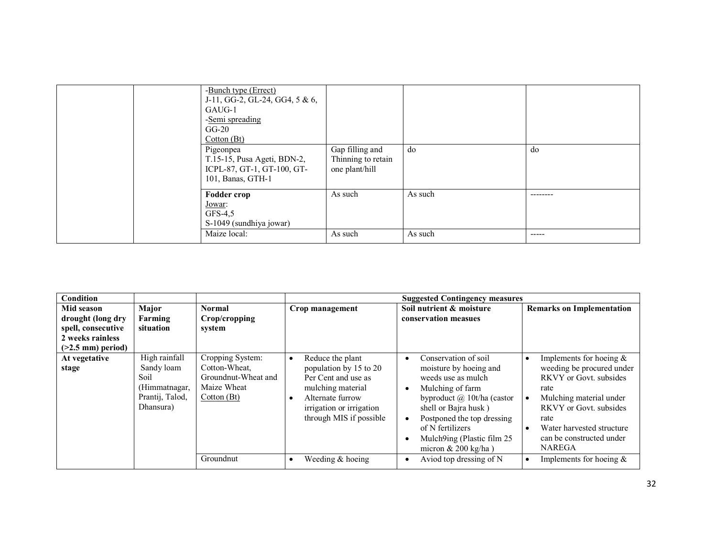| -Bunch type (Errect)<br>J-11, GG-2, GL-24, GG4, $5 & 6$ ,<br>GAUG-1<br>-Semi spreading<br>$GG-20$<br>Cotton (Bt)<br>Pigeonpea<br>T.15-15, Pusa Ageti, BDN-2,<br>ICPL-87, GT-1, GT-100, GT-<br>101, Banas, GTH-1 | Gap filling and<br>Thinning to retain<br>one plant/hill | do                 | do    |
|-----------------------------------------------------------------------------------------------------------------------------------------------------------------------------------------------------------------|---------------------------------------------------------|--------------------|-------|
| <b>Fodder crop</b><br>Jo <u>war</u> :<br>$GFS-4,5$<br>S-1049 (sundhiya jowar)<br>Maize local:                                                                                                                   | As such<br>As such                                      | As such<br>As such | ----- |

| <b>Condition</b>           |                                                                                      |                                                                                        |                                                                                                                                                                                | <b>Suggested Contingency measures</b>                                                                                                                                                                                                                                   |                                                                                                                                                                                                                                                                        |
|----------------------------|--------------------------------------------------------------------------------------|----------------------------------------------------------------------------------------|--------------------------------------------------------------------------------------------------------------------------------------------------------------------------------|-------------------------------------------------------------------------------------------------------------------------------------------------------------------------------------------------------------------------------------------------------------------------|------------------------------------------------------------------------------------------------------------------------------------------------------------------------------------------------------------------------------------------------------------------------|
| Mid season                 | Major                                                                                | <b>Normal</b>                                                                          | Crop management                                                                                                                                                                | Soil nutrient & moisture                                                                                                                                                                                                                                                | <b>Remarks on Implementation</b>                                                                                                                                                                                                                                       |
| drought (long dry          | Farming                                                                              | Crop/cropping                                                                          |                                                                                                                                                                                | conservation measues                                                                                                                                                                                                                                                    |                                                                                                                                                                                                                                                                        |
| spell, consecutive         | situation                                                                            | system                                                                                 |                                                                                                                                                                                |                                                                                                                                                                                                                                                                         |                                                                                                                                                                                                                                                                        |
| 2 weeks rainless           |                                                                                      |                                                                                        |                                                                                                                                                                                |                                                                                                                                                                                                                                                                         |                                                                                                                                                                                                                                                                        |
| $($ >2.5 mm $)$ period $)$ |                                                                                      |                                                                                        |                                                                                                                                                                                |                                                                                                                                                                                                                                                                         |                                                                                                                                                                                                                                                                        |
| At vegetative<br>stage     | High rainfall<br>Sandy loam<br>Soil<br>(Himmatnagar,<br>Prantij, Talod,<br>Dhansura) | Cropping System:<br>Cotton-Wheat.<br>Groundnut-Wheat and<br>Maize Wheat<br>Cotton (Bt) | Reduce the plant<br>$\bullet$<br>population by 15 to 20<br>Per Cent and use as<br>mulching material<br>Alternate furrow<br>irrigation or irrigation<br>through MIS if possible | Conservation of soil<br>moisture by hoeing and<br>weeds use as mulch<br>Mulching of farm<br>byproduct $\omega$ 10t/ha (castor<br>shell or Bajra husk)<br>Postponed the top dressing<br>of N fertilizers<br>Mulch9ing (Plastic film 25<br>micron $& 200 \text{ kg/ha}$ ) | Implements for hoeing $&$<br>$\bullet$<br>weeding be procured under<br>RKVY or Govt. subsides<br>rate<br>Mulching material under<br>$\bullet$<br>RKVY or Govt. subsides<br>rate<br>Water harvested structure<br>$\bullet$<br>can be constructed under<br><b>NAREGA</b> |
|                            |                                                                                      | Groundnut                                                                              | Weeding & hoeing                                                                                                                                                               | Aviod top dressing of N                                                                                                                                                                                                                                                 | Implements for hoeing $&$<br>$\bullet$                                                                                                                                                                                                                                 |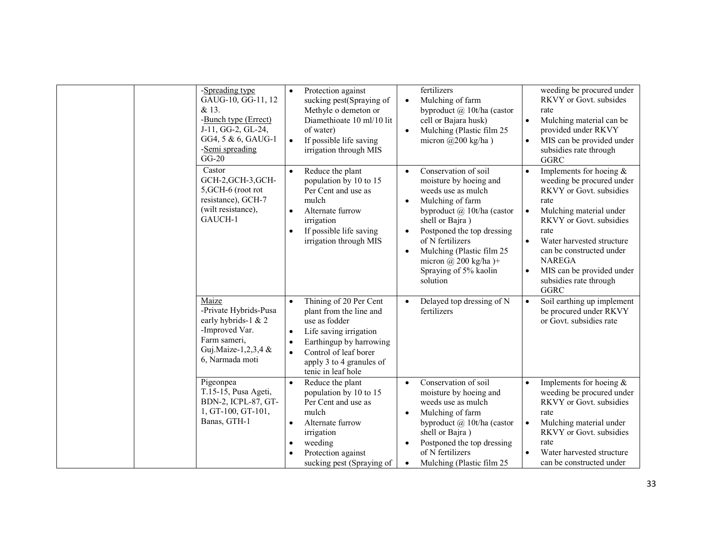| -Spreading type<br>GAUG-10, GG-11, 12<br>& 13.<br>-Bunch type (Errect)<br>J-11, GG-2, GL-24,<br>GG4, 5 & 6, GAUG-1<br>-Semi spreading<br>$GG-20$ | Protection against<br>$\bullet$<br>sucking pest(Spraying of<br>Methyle o demeton or<br>Diamethioate 10 ml/10 lit<br>of water)<br>If possible life saving<br>$\bullet$<br>irrigation through MIS                              | fertilizers<br>Mulching of farm<br>$\bullet$<br>byproduct $\omega$ 10t/ha (castor<br>cell or Bajara husk)<br>Mulching (Plastic film 25<br>$\bullet$<br>micron $(a)200$ kg/ha)                                                                                                                                                            | weeding be procured under<br>RKVY or Govt. subsides<br>rate<br>Mulching material can be<br>$\bullet$<br>provided under RKVY<br>MIS can be provided under<br>$\bullet$<br>subsidies rate through<br>GGRC                                                                                                                                               |
|--------------------------------------------------------------------------------------------------------------------------------------------------|------------------------------------------------------------------------------------------------------------------------------------------------------------------------------------------------------------------------------|------------------------------------------------------------------------------------------------------------------------------------------------------------------------------------------------------------------------------------------------------------------------------------------------------------------------------------------|-------------------------------------------------------------------------------------------------------------------------------------------------------------------------------------------------------------------------------------------------------------------------------------------------------------------------------------------------------|
| Castor<br>GCH-2, GCH-3, GCH-<br>5, GCH-6 (root rot<br>resistance), GCH-7<br>(wilt resistance),<br>GAUCH-1                                        | Reduce the plant<br>$\bullet$<br>population by 10 to 15<br>Per Cent and use as<br>mulch<br>Alternate furrow<br>irrigation<br>If possible life saving<br>irrigation through MIS                                               | Conservation of soil<br>$\bullet$<br>moisture by hoeing and<br>weeds use as mulch<br>Mulching of farm<br>byproduct $(a)$ 10t/ha (castor<br>shell or Bajra)<br>Postponed the top dressing<br>$\bullet$<br>of N fertilizers<br>Mulching (Plastic film 25)<br>$\bullet$<br>micron $\omega$ 200 kg/ha)+<br>Spraying of 5% kaolin<br>solution | Implements for hoeing $\&$<br>$\bullet$<br>weeding be procured under<br>RKVY or Govt. subsidies<br>rate<br>Mulching material under<br>$\bullet$<br>RKVY or Govt. subsidies<br>rate<br>Water harvested structure<br>$\bullet$<br>can be constructed under<br><b>NAREGA</b><br>MIS can be provided under<br>$\bullet$<br>subsidies rate through<br>GGRC |
| Maize<br>-Private Hybrids-Pusa<br>early hybrids-1 & 2<br>-Improved Var.<br>Farm sameri,<br>Guj.Maize-1,2,3,4 &<br>6, Narmada moti                | Thining of 20 Per Cent<br>$\bullet$<br>plant from the line and<br>use as fodder<br>Life saving irrigation<br>Earthingup by harrowing<br>Control of leaf borer<br>$\bullet$<br>apply 3 to 4 granules of<br>tenic in leaf hole | Delayed top dressing of N<br>$\bullet$<br>fertilizers                                                                                                                                                                                                                                                                                    | Soil earthing up implement<br>$\bullet$<br>be procured under RKVY<br>or Govt. subsidies rate                                                                                                                                                                                                                                                          |
| Pigeonpea<br>T.15-15, Pusa Ageti,<br>BDN-2, ICPL-87, GT-<br>1, GT-100, GT-101,<br>Banas, GTH-1                                                   | Reduce the plant<br>population by 10 to 15<br>Per Cent and use as<br>mulch<br>Alternate furrow<br>$\bullet$<br>irrigation<br>weeding<br>Protection against<br>sucking pest (Spraying of                                      | Conservation of soil<br>$\bullet$<br>moisture by hoeing and<br>weeds use as mulch<br>Mulching of farm<br>$\bullet$<br>byproduct $\omega$ 10t/ha (castor<br>shell or Bajra)<br>Postponed the top dressing<br>$\bullet$<br>of N fertilizers<br>Mulching (Plastic film 25<br>$\bullet$                                                      | Implements for hoeing $\&$<br>$\bullet$<br>weeding be procured under<br>RKVY or Govt. subsidies<br>rate<br>Mulching material under<br>$\bullet$<br><b>RKVY</b> or Govt. subsidies<br>rate<br>Water harvested structure<br>$\bullet$<br>can be constructed under                                                                                       |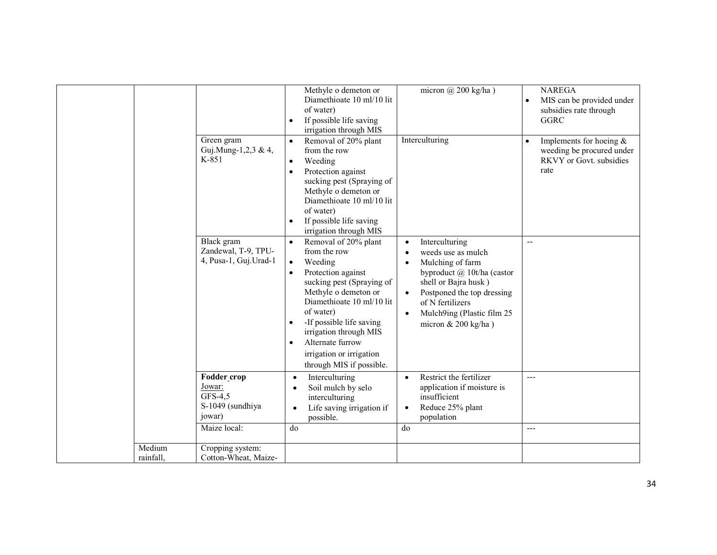|                     | Green gram<br>Guj.Mung-1,2,3 & 4,<br>K-851                     | Methyle o demeton or<br>Diamethioate 10 ml/10 lit<br>of water)<br>If possible life saving<br>$\bullet$<br>irrigation through MIS<br>Removal of 20% plant<br>$\bullet$<br>from the row<br>Weeding<br>$\bullet$<br>Protection against<br>$\bullet$<br>sucking pest (Spraying of<br>Methyle o demeton or | micron $\omega$ 200 kg/ha)<br>Interculturing                                                                                                                                                                                                                       | <b>NAREGA</b><br>MIS can be provided under<br>$\bullet$<br>subsidies rate through<br><b>GGRC</b><br>Implements for hoeing $\&$<br>$\bullet$<br>weeding be procured under<br>RKVY or Govt. subsidies<br>rate |
|---------------------|----------------------------------------------------------------|-------------------------------------------------------------------------------------------------------------------------------------------------------------------------------------------------------------------------------------------------------------------------------------------------------|--------------------------------------------------------------------------------------------------------------------------------------------------------------------------------------------------------------------------------------------------------------------|-------------------------------------------------------------------------------------------------------------------------------------------------------------------------------------------------------------|
|                     | Black gram                                                     | Diamethioate 10 ml/10 lit<br>of water)<br>If possible life saving<br>$\bullet$<br>irrigation through MIS<br>Removal of 20% plant<br>$\bullet$                                                                                                                                                         | Interculturing<br>$\bullet$                                                                                                                                                                                                                                        | $-$                                                                                                                                                                                                         |
|                     | Zandewal, T-9, TPU-<br>4, Pusa-1, Guj.Urad-1                   | from the row<br>Weeding<br>$\bullet$<br>Protection against<br>sucking pest (Spraying of<br>Methyle o demeton or<br>Diamethioate 10 ml/10 lit<br>of water)<br>-If possible life saving<br>٠<br>irrigation through MIS<br>Alternate furrow<br>irrigation or irrigation<br>through MIS if possible.      | weeds use as mulch<br>$\bullet$<br>Mulching of farm<br>$\bullet$<br>byproduct @ 10t/ha (castor<br>shell or Bajra husk)<br>Postponed the top dressing<br>$\bullet$<br>of N fertilizers<br>Mulch9ing (Plastic film 25<br>$\bullet$<br>micron $& 200 \text{ kg/ha}$ ) |                                                                                                                                                                                                             |
|                     | Fodder_crop<br>Jowar:<br>GFS-4,5<br>S-1049 (sundhiya<br>jowar) | Interculturing<br>$\bullet$<br>Soil mulch by selo<br>interculturing<br>Life saving irrigation if<br>possible.                                                                                                                                                                                         | Restrict the fertilizer<br>$\bullet$<br>application if moisture is<br>insufficient<br>Reduce 25% plant<br>$\bullet$<br>population                                                                                                                                  | $---$                                                                                                                                                                                                       |
|                     | Maize local:                                                   | do                                                                                                                                                                                                                                                                                                    | do                                                                                                                                                                                                                                                                 | ---                                                                                                                                                                                                         |
| Medium<br>rainfall. | Cropping system:<br>Cotton-Wheat, Maize-                       |                                                                                                                                                                                                                                                                                                       |                                                                                                                                                                                                                                                                    |                                                                                                                                                                                                             |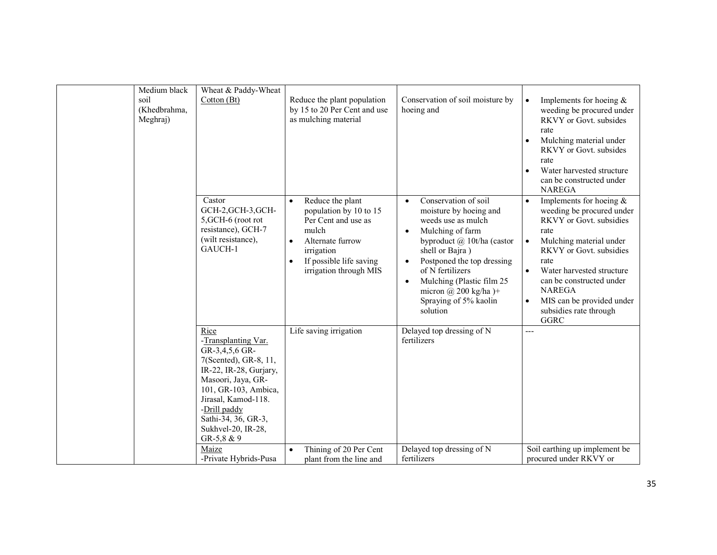| Medium black                     |                                                                                                                                                                                                                                                           |                                                                                                                                                                                |                                                                                                                                                                                                                                                                                                                                                 |                                                                                                                                                                                                                                                                                                                                                                     |
|----------------------------------|-----------------------------------------------------------------------------------------------------------------------------------------------------------------------------------------------------------------------------------------------------------|--------------------------------------------------------------------------------------------------------------------------------------------------------------------------------|-------------------------------------------------------------------------------------------------------------------------------------------------------------------------------------------------------------------------------------------------------------------------------------------------------------------------------------------------|---------------------------------------------------------------------------------------------------------------------------------------------------------------------------------------------------------------------------------------------------------------------------------------------------------------------------------------------------------------------|
| soil<br>(Khedbrahma,<br>Meghraj) | Wheat & Paddy-Wheat<br>Cotton (Bt)                                                                                                                                                                                                                        | Reduce the plant population<br>by 15 to 20 Per Cent and use<br>as mulching material                                                                                            | Conservation of soil moisture by<br>hoeing and                                                                                                                                                                                                                                                                                                  | Implements for hoeing $\&$<br>$\bullet$<br>weeding be procured under<br>RKVY or Govt. subsides<br>rate<br>Mulching material under<br>RKVY or Govt. subsides<br>rate<br>Water harvested structure<br>can be constructed under<br><b>NAREGA</b>                                                                                                                       |
|                                  | Castor<br>GCH-2, GCH-3, GCH-<br>5, GCH-6 (root rot<br>resistance), GCH-7<br>(wilt resistance),<br>GAUCH-1                                                                                                                                                 | Reduce the plant<br>population by 10 to 15<br>Per Cent and use as<br>mulch<br>Alternate furrow<br>$\bullet$<br>irrigation<br>If possible life saving<br>irrigation through MIS | Conservation of soil<br>$\bullet$<br>moisture by hoeing and<br>weeds use as mulch<br>Mulching of farm<br>$\bullet$<br>byproduct $(a)$ 10t/ha (castor<br>shell or Bajra)<br>Postponed the top dressing<br>$\bullet$<br>of N fertilizers<br>Mulching (Plastic film 25<br>$\bullet$<br>micron $@$ 200 kg/ha)+<br>Spraying of 5% kaolin<br>solution | Implements for hoeing $\&$<br>$\bullet$<br>weeding be procured under<br><b>RKVY</b> or Govt. subsidies<br>rate<br>Mulching material under<br>$\bullet$<br>RKVY or Govt. subsidies<br>rate<br>Water harvested structure<br>$\bullet$<br>can be constructed under<br><b>NAREGA</b><br>MIS can be provided under<br>$\bullet$<br>subsidies rate through<br><b>GGRC</b> |
|                                  | Rice<br>-Transplanting Var.<br>GR-3,4,5,6 GR-<br>7(Scented), GR-8, 11,<br>IR-22, IR-28, Gurjary,<br>Masoori, Jaya, GR-<br>101, GR-103, Ambica,<br>Jirasal, Kamod-118.<br>-Drill paddy<br>Sathi-34, 36, GR-3,<br>Sukhvel-20, IR-28,<br>GR-5,8 & 9<br>Maize | Life saving irrigation                                                                                                                                                         | Delayed top dressing of N<br>fertilizers<br>Delayed top dressing of N                                                                                                                                                                                                                                                                           | ---<br>Soil earthing up implement be                                                                                                                                                                                                                                                                                                                                |
|                                  | -Private Hybrids-Pusa                                                                                                                                                                                                                                     | Thining of 20 Per Cent<br>$\bullet$<br>plant from the line and                                                                                                                 | fertilizers                                                                                                                                                                                                                                                                                                                                     | procured under RKVY or                                                                                                                                                                                                                                                                                                                                              |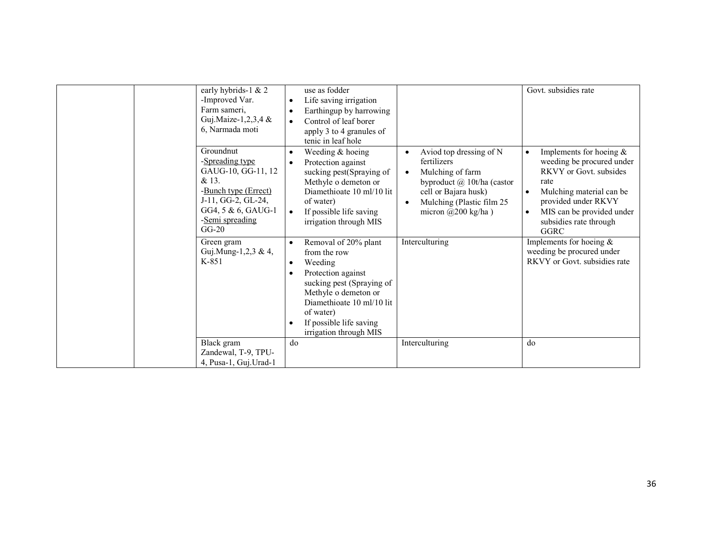|  | early hybrids-1 & 2<br>-Improved Var.<br>Farm sameri,<br>Guj.Maize-1,2,3,4 &<br>6, Narmada moti<br>Groundnut<br>-Spreading type<br>GAUG-10, GG-11, 12<br>& 13.<br>-Bunch type (Errect)<br>J-11, GG-2, GL-24,<br>GG4, 5 & 6, GAUG-1<br>-Semi spreading<br>$GG-20$<br>Green gram<br>Guj.Mung-1,2,3 & 4,<br>$K-851$ | use as fodder<br>Life saving irrigation<br>Earthingup by harrowing<br>$\bullet$<br>Control of leaf borer<br>$\bullet$<br>apply 3 to 4 granules of<br>tenic in leaf hole<br>Weeding $&$ hoeing<br>$\bullet$<br>Protection against<br>sucking pest(Spraying of<br>Methyle o demeton or<br>Diamethioate 10 ml/10 lit<br>of water)<br>If possible life saving<br>$\bullet$<br>irrigation through MIS<br>Removal of 20% plant<br>$\bullet$<br>from the row<br>Weeding<br>$\bullet$<br>Protection against<br>sucking pest (Spraying of<br>Methyle o demeton or | Aviod top dressing of N<br>fertilizers<br>Mulching of farm<br>byproduct $\omega$ 10t/ha (castor<br>cell or Bajara husk)<br>Mulching (Plastic film 25<br>micron $(a)200$ kg/ha)<br>Interculturing | Govt. subsidies rate<br>Implements for hoeing $\&$<br>$\bullet$<br>weeding be procured under<br>RKVY or Govt. subsides<br>rate<br>Mulching material can be<br>$\bullet$<br>provided under RKVY<br>MIS can be provided under<br>$\bullet$<br>subsidies rate through<br>GGRC<br>Implements for hoeing $\&$<br>weeding be procured under<br>RKVY or Govt, subsidies rate |
|--|------------------------------------------------------------------------------------------------------------------------------------------------------------------------------------------------------------------------------------------------------------------------------------------------------------------|----------------------------------------------------------------------------------------------------------------------------------------------------------------------------------------------------------------------------------------------------------------------------------------------------------------------------------------------------------------------------------------------------------------------------------------------------------------------------------------------------------------------------------------------------------|--------------------------------------------------------------------------------------------------------------------------------------------------------------------------------------------------|-----------------------------------------------------------------------------------------------------------------------------------------------------------------------------------------------------------------------------------------------------------------------------------------------------------------------------------------------------------------------|
|  |                                                                                                                                                                                                                                                                                                                  | Diamethioate 10 ml/10 lit<br>of water)                                                                                                                                                                                                                                                                                                                                                                                                                                                                                                                   |                                                                                                                                                                                                  |                                                                                                                                                                                                                                                                                                                                                                       |
|  |                                                                                                                                                                                                                                                                                                                  | If possible life saving<br>irrigation through MIS                                                                                                                                                                                                                                                                                                                                                                                                                                                                                                        |                                                                                                                                                                                                  |                                                                                                                                                                                                                                                                                                                                                                       |
|  | Black gram                                                                                                                                                                                                                                                                                                       | do                                                                                                                                                                                                                                                                                                                                                                                                                                                                                                                                                       | Interculturing                                                                                                                                                                                   | do                                                                                                                                                                                                                                                                                                                                                                    |
|  | Zandewal, T-9, TPU-                                                                                                                                                                                                                                                                                              |                                                                                                                                                                                                                                                                                                                                                                                                                                                                                                                                                          |                                                                                                                                                                                                  |                                                                                                                                                                                                                                                                                                                                                                       |
|  | 4, Pusa-1, Guj. Urad-1                                                                                                                                                                                                                                                                                           |                                                                                                                                                                                                                                                                                                                                                                                                                                                                                                                                                          |                                                                                                                                                                                                  |                                                                                                                                                                                                                                                                                                                                                                       |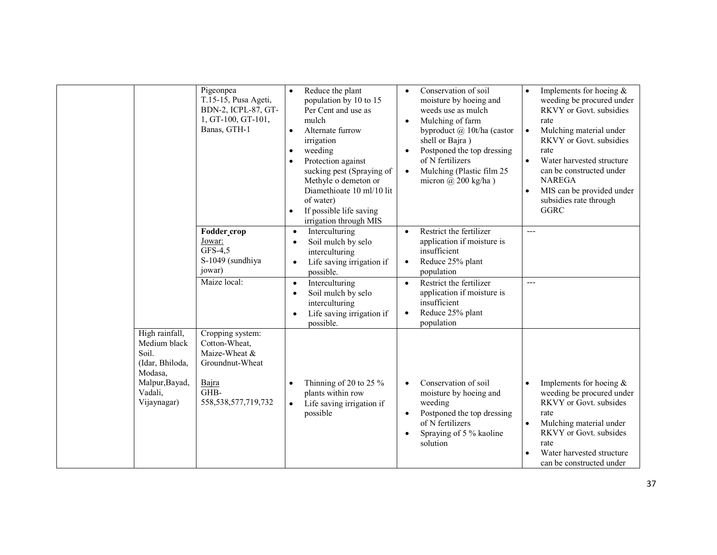|                                                                                                                   | Pigeonpea<br>T.15-15, Pusa Ageti,<br>BDN-2, ICPL-87, GT-<br>1, GT-100, GT-101,<br>Banas, GTH-1                    | Reduce the plant<br>$\bullet$<br>population by 10 to 15<br>Per Cent and use as<br>mulch<br>Alternate furrow<br>$\bullet$<br>irrigation<br>weeding<br>$\bullet$<br>Protection against<br>sucking pest (Spraying of<br>Methyle o demeton or<br>Diamethioate 10 ml/10 lit<br>of water)<br>If possible life saving<br>irrigation through MIS | Conservation of soil<br>$\bullet$<br>moisture by hoeing and<br>weeds use as mulch<br>Mulching of farm<br>$\bullet$<br>byproduct $(a)$ 10t/ha (castor<br>shell or Bajra)<br>Postponed the top dressing<br>$\bullet$<br>of N fertilizers<br>Mulching (Plastic film 25<br>$\bullet$<br>micron $(a)$ 200 kg/ha) | Implements for hoeing $&$<br>$\bullet$<br>weeding be procured under<br>RKVY or Govt. subsidies<br>rate<br>Mulching material under<br>$\bullet$<br>RKVY or Govt. subsidies<br>rate<br>Water harvested structure<br>$\bullet$<br>can be constructed under<br><b>NAREGA</b><br>MIS can be provided under<br>$\bullet$<br>subsidies rate through<br><b>GGRC</b> |
|-------------------------------------------------------------------------------------------------------------------|-------------------------------------------------------------------------------------------------------------------|------------------------------------------------------------------------------------------------------------------------------------------------------------------------------------------------------------------------------------------------------------------------------------------------------------------------------------------|-------------------------------------------------------------------------------------------------------------------------------------------------------------------------------------------------------------------------------------------------------------------------------------------------------------|-------------------------------------------------------------------------------------------------------------------------------------------------------------------------------------------------------------------------------------------------------------------------------------------------------------------------------------------------------------|
|                                                                                                                   | Fodder_crop<br>Jowar:<br>$GFS-4,5$<br>S-1049 (sundhiya<br>jowar)                                                  | Interculturing<br>$\bullet$<br>Soil mulch by selo<br>$\bullet$<br>interculturing<br>Life saving irrigation if<br>$\bullet$<br>possible.                                                                                                                                                                                                  | Restrict the fertilizer<br>$\bullet$<br>application if moisture is<br>insufficient<br>Reduce 25% plant<br>$\bullet$<br>population                                                                                                                                                                           | $---$                                                                                                                                                                                                                                                                                                                                                       |
|                                                                                                                   | Maize local:                                                                                                      | Interculturing<br>$\bullet$<br>Soil mulch by selo<br>$\bullet$<br>interculturing<br>Life saving irrigation if<br>$\bullet$<br>possible.                                                                                                                                                                                                  | Restrict the fertilizer<br>$\bullet$<br>application if moisture is<br>insufficient<br>Reduce 25% plant<br>$\bullet$<br>population                                                                                                                                                                           | $---$                                                                                                                                                                                                                                                                                                                                                       |
| High rainfall,<br>Medium black<br>Soil.<br>(Idar, Bhiloda,<br>Modasa,<br>Malpur, Bayad,<br>Vadali,<br>Vijaynagar) | Cropping system:<br>Cotton-Wheat,<br>Maize-Wheat &<br>Groundnut-Wheat<br>Bajra<br>GHB-<br>558, 538, 577, 719, 732 | Thinning of 20 to 25 $\%$<br>$\bullet$<br>plants within row<br>Life saving irrigation if<br>$\bullet$<br>possible                                                                                                                                                                                                                        | Conservation of soil<br>$\bullet$<br>moisture by hoeing and<br>weeding<br>Postponed the top dressing<br>$\bullet$<br>of N fertilizers<br>Spraying of 5 % kaoline<br>$\bullet$<br>solution                                                                                                                   | Implements for hoeing $&$<br>$\bullet$<br>weeding be procured under<br>RKVY or Govt. subsides<br>rate<br>Mulching material under<br><b>RKVY</b> or Govt. subsides<br>rate<br>Water harvested structure<br>can be constructed under                                                                                                                          |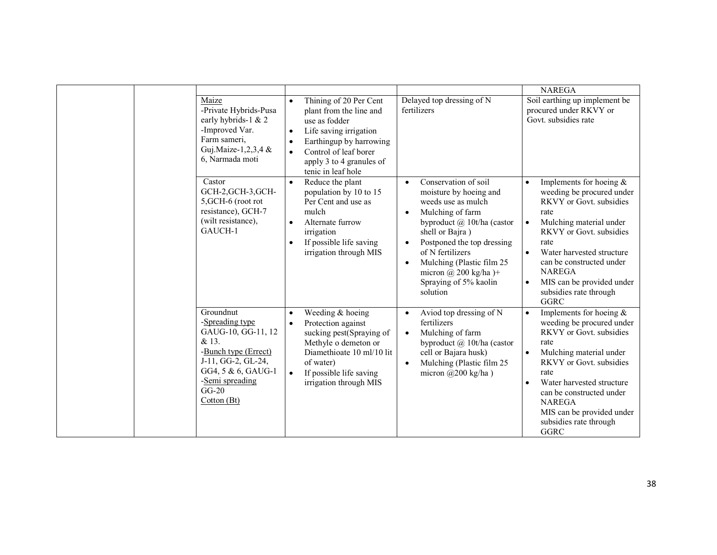|                                                                                                                                                                             |                                                                                                                                                                                                                                           |                                                                                                                                                                                                                                                                                                                                                   | <b>NAREGA</b>                                                                                                                                                                                                                                                                                                                                                      |
|-----------------------------------------------------------------------------------------------------------------------------------------------------------------------------|-------------------------------------------------------------------------------------------------------------------------------------------------------------------------------------------------------------------------------------------|---------------------------------------------------------------------------------------------------------------------------------------------------------------------------------------------------------------------------------------------------------------------------------------------------------------------------------------------------|--------------------------------------------------------------------------------------------------------------------------------------------------------------------------------------------------------------------------------------------------------------------------------------------------------------------------------------------------------------------|
| Maize<br>-Private Hybrids-Pusa<br>early hybrids-1 & 2<br>-Improved Var.<br>Farm sameri,<br>Guj.Maize-1,2,3,4 &<br>6, Narmada moti                                           | Thining of 20 Per Cent<br>$\bullet$<br>plant from the line and<br>use as fodder<br>Life saving irrigation<br>$\bullet$<br>Earthingup by harrowing<br>Control of leaf borer<br>$\bullet$<br>apply 3 to 4 granules of<br>tenic in leaf hole | Delayed top dressing of N<br>fertilizers                                                                                                                                                                                                                                                                                                          | Soil earthing up implement be<br>procured under RKVY or<br>Govt. subsidies rate                                                                                                                                                                                                                                                                                    |
| Castor<br>GCH-2, GCH-3, GCH-<br>5, GCH-6 (root rot<br>resistance), GCH-7<br>(wilt resistance),<br>GAUCH-1                                                                   | Reduce the plant<br>population by 10 to 15<br>Per Cent and use as<br>mulch<br>Alternate furrow<br>$\bullet$<br>irrigation<br>If possible life saving<br>$\bullet$<br>irrigation through MIS                                               | Conservation of soil<br>$\bullet$<br>moisture by hoeing and<br>weeds use as mulch<br>Mulching of farm<br>$\bullet$<br>byproduct @ 10t/ha (castor<br>shell or Bajra)<br>Postponed the top dressing<br>$\bullet$<br>of N fertilizers<br>Mulching (Plastic film 25)<br>$\bullet$<br>micron $\omega$ 200 kg/ha)+<br>Spraying of 5% kaolin<br>solution | Implements for hoeing $&$<br>$\bullet$<br>weeding be procured under<br><b>RKVY</b> or Govt. subsidies<br>rate<br>Mulching material under<br>$\bullet$<br><b>RKVY</b> or Govt. subsidies<br>rate<br>$\bullet$<br>Water harvested structure<br>can be constructed under<br><b>NAREGA</b><br>MIS can be provided under<br>$\bullet$<br>subsidies rate through<br>GGRC |
| Groundnut<br>-Spreading type<br>GAUG-10, GG-11, 12<br>& 13.<br>-Bunch type (Errect)<br>J-11, GG-2, GL-24,<br>GG4, 5 & 6, GAUG-1<br>-Semi spreading<br>$GG-20$<br>Cotton(Bt) | Weeding & hoeing<br>$\bullet$<br>Protection against<br>$\bullet$<br>sucking pest(Spraying of<br>Methyle o demeton or<br>Diamethioate 10 ml/10 lit<br>of water)<br>If possible life saving<br>irrigation through MIS                       | Aviod top dressing of N<br>$\bullet$<br>fertilizers<br>Mulching of farm<br>$\bullet$<br>byproduct $(a)$ 10t/ha (castor<br>cell or Bajara husk)<br>Mulching (Plastic film 25<br>$\bullet$<br>micron $(a)200$ kg/ha)                                                                                                                                | Implements for hoeing $&$<br>$\bullet$<br>weeding be procured under<br><b>RKVY</b> or Govt. subsidies<br>rate<br>Mulching material under<br>$\bullet$<br><b>RKVY</b> or Govt. subsidies<br>rate<br>Water harvested structure<br>$\bullet$<br>can be constructed under<br><b>NAREGA</b><br>MIS can be provided under<br>subsidies rate through<br>GGRC              |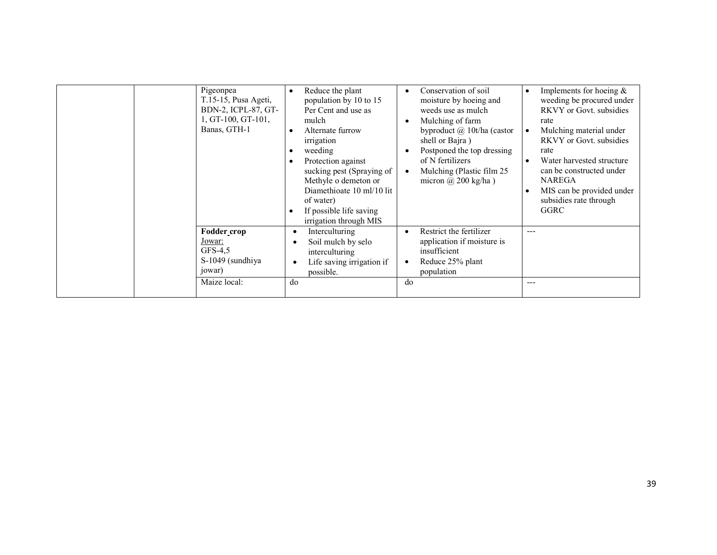| Pigeonpea<br>T.15-15, Pusa Ageti,<br>BDN-2, ICPL-87, GT-<br>1, GT-100, GT-101,<br>Banas, GTH-1 | Reduce the plant<br>population by 10 to 15<br>Per Cent and use as<br>mulch<br>Alternate furrow<br>irrigation<br>weeding<br>Protection against<br>sucking pest (Spraying of<br>Methyle o demeton or<br>Diamethioate 10 ml/10 lit<br>of water)<br>If possible life saving<br>irrigation through MIS | Conservation of soil<br>moisture by hoeing and<br>weeds use as mulch<br>Mulching of farm<br>byproduct $\omega$ 10t/ha (castor<br>shell or Bajra)<br>Postponed the top dressing<br>of N fertilizers<br>Mulching (Plastic film 25)<br>micron $(a)$ 200 kg/ha) | Implements for hoeing $\&$<br>$\bullet$<br>weeding be procured under<br><b>RKVY</b> or Govt. subsidies<br>rate<br>Mulching material under<br>$\bullet$<br><b>RKVY</b> or Govt. subsidies<br>rate<br>Water harvested structure<br>can be constructed under<br><b>NAREGA</b><br>MIS can be provided under<br>subsidies rate through<br>GGRC |
|------------------------------------------------------------------------------------------------|---------------------------------------------------------------------------------------------------------------------------------------------------------------------------------------------------------------------------------------------------------------------------------------------------|-------------------------------------------------------------------------------------------------------------------------------------------------------------------------------------------------------------------------------------------------------------|-------------------------------------------------------------------------------------------------------------------------------------------------------------------------------------------------------------------------------------------------------------------------------------------------------------------------------------------|
| Fodder_crop<br>Jowar:<br>$GFS-4.5$<br>S-1049 (sundhiya<br>jowar)                               | Interculturing<br>$\bullet$<br>Soil mulch by selo<br>$\bullet$<br>interculturing<br>Life saving irrigation if<br>$\bullet$<br>possible.                                                                                                                                                           | Restrict the fertilizer<br>٠<br>application if moisture is<br>insufficient<br>Reduce 25% plant<br>population                                                                                                                                                | $---$                                                                                                                                                                                                                                                                                                                                     |
| Maize local:                                                                                   | do                                                                                                                                                                                                                                                                                                | do                                                                                                                                                                                                                                                          | ---                                                                                                                                                                                                                                                                                                                                       |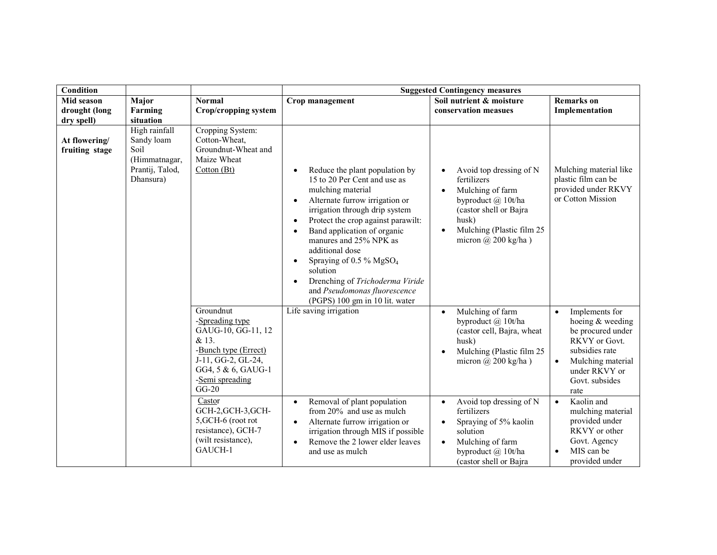| <b>Condition</b>                |                                                                                      |                                                                                                                                                                                                                                                                            |                                                                                                                                                                                                                                                                                                                                                                                                                                               | <b>Suggested Contingency measures</b>                                                                                                                                                                                                                                                                                                           |                                                                                                                                                                                                                                                                                                                                      |
|---------------------------------|--------------------------------------------------------------------------------------|----------------------------------------------------------------------------------------------------------------------------------------------------------------------------------------------------------------------------------------------------------------------------|-----------------------------------------------------------------------------------------------------------------------------------------------------------------------------------------------------------------------------------------------------------------------------------------------------------------------------------------------------------------------------------------------------------------------------------------------|-------------------------------------------------------------------------------------------------------------------------------------------------------------------------------------------------------------------------------------------------------------------------------------------------------------------------------------------------|--------------------------------------------------------------------------------------------------------------------------------------------------------------------------------------------------------------------------------------------------------------------------------------------------------------------------------------|
| Mid season                      | Major                                                                                | <b>Normal</b>                                                                                                                                                                                                                                                              | Crop management                                                                                                                                                                                                                                                                                                                                                                                                                               | Soil nutrient & moisture                                                                                                                                                                                                                                                                                                                        | <b>Remarks</b> on                                                                                                                                                                                                                                                                                                                    |
| drought (long                   | Farming                                                                              | Crop/cropping system                                                                                                                                                                                                                                                       |                                                                                                                                                                                                                                                                                                                                                                                                                                               | conservation measues                                                                                                                                                                                                                                                                                                                            | Implementation                                                                                                                                                                                                                                                                                                                       |
| dry spell)                      | situation                                                                            |                                                                                                                                                                                                                                                                            |                                                                                                                                                                                                                                                                                                                                                                                                                                               |                                                                                                                                                                                                                                                                                                                                                 |                                                                                                                                                                                                                                                                                                                                      |
| At flowering/<br>fruiting stage | High rainfall<br>Sandy loam<br>Soil<br>(Himmatnagar,<br>Prantij, Talod,<br>Dhansura) | Cropping System:<br>Cotton-Wheat,<br>Groundnut-Wheat and<br>Maize Wheat<br>Cotton (Bt)                                                                                                                                                                                     | Reduce the plant population by<br>$\bullet$<br>15 to 20 Per Cent and use as<br>mulching material<br>Alternate furrow irrigation or<br>$\bullet$<br>irrigation through drip system<br>Protect the crop against parawilt:<br>$\bullet$<br>Band application of organic<br>$\bullet$<br>manures and 25% NPK as<br>additional dose<br>Spraying of 0.5 % MgSO <sub>4</sub><br>$\bullet$<br>solution<br>Drenching of Trichoderma Viride<br>$\bullet$ | Avoid top dressing of N<br>$\bullet$<br>fertilizers<br>Mulching of farm<br>$\bullet$<br>byproduct @ 10t/ha<br>(castor shell or Bajra<br>husk)<br>Mulching (Plastic film 25<br>$\bullet$<br>micron $(a)$ 200 kg/ha)                                                                                                                              | Mulching material like<br>plastic film can be<br>provided under RKVY<br>or Cotton Mission                                                                                                                                                                                                                                            |
|                                 |                                                                                      | Groundnut<br>-Spreading type<br>GAUG-10, GG-11, 12<br>& 13.<br>-Bunch type (Errect)<br>J-11, GG-2, GL-24,<br>GG4, 5 & 6, GAUG-1<br>-Semi spreading<br>$GG-20$<br>Castor<br>GCH-2, GCH-3, GCH-<br>5, GCH-6 (root rot<br>resistance), GCH-7<br>(wilt resistance),<br>GAUCH-1 | and Pseudomonas fluorescence<br>(PGPS) 100 gm in 10 lit. water<br>Life saving irrigation<br>Removal of plant population<br>$\bullet$<br>from 20% and use as mulch<br>Alternate furrow irrigation or<br>$\bullet$<br>irrigation through MIS if possible<br>Remove the 2 lower elder leaves<br>$\bullet$<br>and use as mulch                                                                                                                    | Mulching of farm<br>$\bullet$<br>byproduct @ 10t/ha<br>(castor cell, Bajra, wheat<br>husk)<br>Mulching (Plastic film 25<br>micron $\omega$ 200 kg/ha)<br>Avoid top dressing of N<br>$\bullet$<br>fertilizers<br>Spraying of 5% kaolin<br>$\bullet$<br>solution<br>Mulching of farm<br>$\bullet$<br>byproduct @ 10t/ha<br>(castor shell or Bajra | Implements for<br>$\bullet$<br>hoeing & weeding<br>be procured under<br>RKVY or Govt.<br>subsidies rate<br>Mulching material<br>$\bullet$<br>under RKVY or<br>Govt. subsides<br>rate<br>Kaolin and<br>$\bullet$<br>mulching material<br>provided under<br>RKVY or other<br>Govt. Agency<br>MIS can be<br>$\bullet$<br>provided under |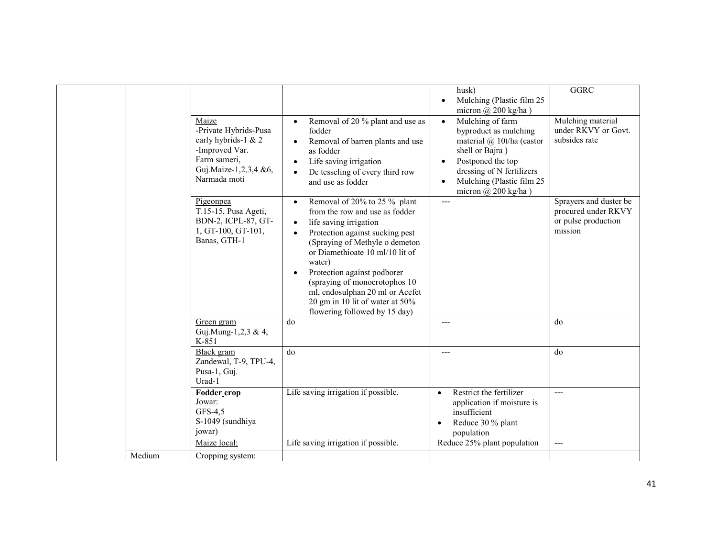|        |                                                                                                                                  |                                                                                                                                                                                                                                                                                                                                                                                                                                        | husk)<br>Mulching (Plastic film 25<br>$\bullet$                                                                                                                                                                                               | <b>GGRC</b>                                                                     |
|--------|----------------------------------------------------------------------------------------------------------------------------------|----------------------------------------------------------------------------------------------------------------------------------------------------------------------------------------------------------------------------------------------------------------------------------------------------------------------------------------------------------------------------------------------------------------------------------------|-----------------------------------------------------------------------------------------------------------------------------------------------------------------------------------------------------------------------------------------------|---------------------------------------------------------------------------------|
|        |                                                                                                                                  |                                                                                                                                                                                                                                                                                                                                                                                                                                        | micron $(a)$ 200 kg/ha)                                                                                                                                                                                                                       |                                                                                 |
|        | Maize<br>-Private Hybrids-Pusa<br>early hybrids-1 & 2<br>-Improved Var.<br>Farm sameri,<br>Guj.Maize-1,2,3,4 &6,<br>Narmada moti | Removal of 20 % plant and use as<br>$\bullet$<br>fodder<br>Removal of barren plants and use<br>$\bullet$<br>as fodder<br>Life saving irrigation<br>$\bullet$<br>De tesseling of every third row<br>$\bullet$<br>and use as fodder                                                                                                                                                                                                      | Mulching of farm<br>$\bullet$<br>byproduct as mulching<br>material @ 10t/ha (castor<br>shell or Bajra)<br>Postponed the top<br>$\bullet$<br>dressing of N fertilizers<br>Mulching (Plastic film 25<br>$\bullet$<br>micron $\omega$ 200 kg/ha) | Mulching material<br>under RKVY or Govt.<br>subsides rate                       |
|        | Pigeonpea<br>T.15-15, Pusa Ageti,<br>BDN-2, ICPL-87, GT-<br>1, GT-100, GT-101,<br>Banas, GTH-1                                   | Removal of 20% to 25 % plant<br>$\bullet$<br>from the row and use as fodder<br>life saving irrigation<br>$\bullet$<br>Protection against sucking pest<br>$\bullet$<br>(Spraying of Methyle o demeton<br>or Diamethioate 10 ml/10 lit of<br>water)<br>Protection against podborer<br>$\bullet$<br>(spraying of monocrotophos 10)<br>ml, endosulphan 20 ml or Acefet<br>20 gm in 10 lit of water at 50%<br>flowering followed by 15 day) | $\overline{a}$                                                                                                                                                                                                                                | Sprayers and duster be<br>procured under RKVY<br>or pulse production<br>mission |
|        | Green gram<br>Guj.Mung-1,2,3 & 4,<br>K-851                                                                                       | do                                                                                                                                                                                                                                                                                                                                                                                                                                     | $---$                                                                                                                                                                                                                                         | do                                                                              |
|        | <b>Black</b> gram<br>Zandewal, T-9, TPU-4,<br>Pusa-1, Guj.<br>Urad-1                                                             | do                                                                                                                                                                                                                                                                                                                                                                                                                                     | $---$                                                                                                                                                                                                                                         | do                                                                              |
|        | <b>Fodder crop</b><br>Jowar:<br>$GFS-4,5$<br>S-1049 (sundhiya<br>jowar)                                                          | Life saving irrigation if possible.                                                                                                                                                                                                                                                                                                                                                                                                    | Restrict the fertilizer<br>application if moisture is<br>insufficient<br>Reduce 30 % plant<br>population                                                                                                                                      | $---$                                                                           |
|        | Maize local:                                                                                                                     | Life saving irrigation if possible.                                                                                                                                                                                                                                                                                                                                                                                                    | Reduce 25% plant population                                                                                                                                                                                                                   | $---$                                                                           |
| Medium | Cropping system:                                                                                                                 |                                                                                                                                                                                                                                                                                                                                                                                                                                        |                                                                                                                                                                                                                                               |                                                                                 |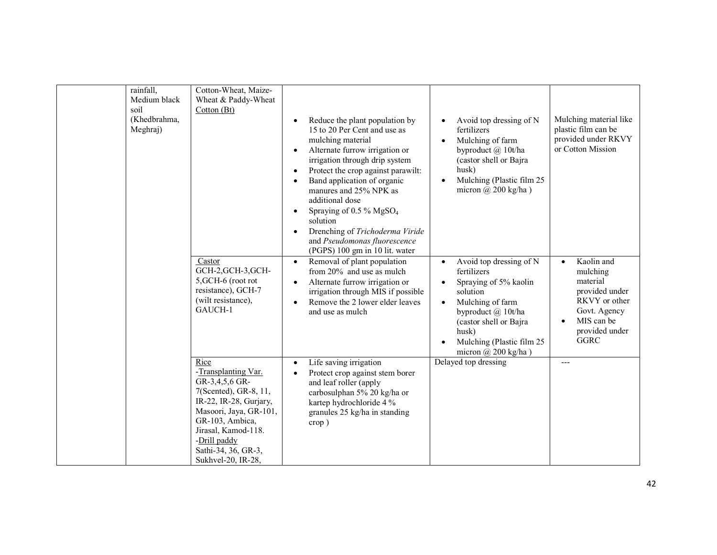| soil | rainfall,<br>Medium black<br>(Khedbrahma,<br>Meghraj) | Cotton-Wheat, Maize-<br>Wheat & Paddy-Wheat<br>Cotton (Bt)                                                                                                                                                                        | Reduce the plant population by<br>$\bullet$<br>15 to 20 Per Cent and use as<br>mulching material<br>Alternate furrow irrigation or<br>$\bullet$<br>irrigation through drip system<br>Protect the crop against parawilt:<br>$\bullet$<br>Band application of organic<br>$\bullet$<br>manures and 25% NPK as<br>additional dose<br>Spraying of 0.5 % $MgSO4$<br>$\bullet$<br>solution<br>Drenching of Trichoderma Viride<br>$\bullet$<br>and Pseudomonas fluorescence<br>(PGPS) 100 gm in 10 lit. water | Avoid top dressing of N<br>$\bullet$<br>fertilizers<br>Mulching of farm<br>$\bullet$<br>byproduct @ 10t/ha<br>(castor shell or Bajra<br>husk)<br>Mulching (Plastic film 25<br>micron $(a)$ 200 kg/ha)                                         | Mulching material like<br>plastic film can be<br>provided under RKVY<br>or Cotton Mission                                            |
|------|-------------------------------------------------------|-----------------------------------------------------------------------------------------------------------------------------------------------------------------------------------------------------------------------------------|-------------------------------------------------------------------------------------------------------------------------------------------------------------------------------------------------------------------------------------------------------------------------------------------------------------------------------------------------------------------------------------------------------------------------------------------------------------------------------------------------------|-----------------------------------------------------------------------------------------------------------------------------------------------------------------------------------------------------------------------------------------------|--------------------------------------------------------------------------------------------------------------------------------------|
|      |                                                       | Castor<br>GCH-2, GCH-3, GCH-<br>5, GCH-6 (root rot<br>resistance), GCH-7<br>(wilt resistance),<br>GAUCH-1                                                                                                                         | Removal of plant population<br>$\bullet$<br>from 20% and use as mulch<br>Alternate furrow irrigation or<br>$\bullet$<br>irrigation through MIS if possible<br>Remove the 2 lower elder leaves<br>$\bullet$<br>and use as mulch                                                                                                                                                                                                                                                                        | Avoid top dressing of N<br>$\bullet$<br>fertilizers<br>Spraying of 5% kaolin<br>$\bullet$<br>solution<br>Mulching of farm<br>byproduct @ 10t/ha<br>(castor shell or Bajra<br>husk)<br>Mulching (Plastic film 25<br>micron $\omega$ 200 kg/ha) | Kaolin and<br>mulching<br>material<br>provided under<br>RKVY or other<br>Govt. Agency<br>MIS can be<br>provided under<br><b>GGRC</b> |
|      |                                                       | Rice<br>-Transplanting Var.<br>GR-3,4,5,6 GR-<br>7(Scented), GR-8, 11,<br>IR-22, IR-28, Gurjary,<br>Masoori, Jaya, GR-101,<br>GR-103, Ambica,<br>Jirasal, Kamod-118.<br>-Drill paddy<br>Sathi-34, 36, GR-3,<br>Sukhvel-20, IR-28, | Life saving irrigation<br>$\bullet$<br>Protect crop against stem borer<br>$\bullet$<br>and leaf roller (apply<br>carbosulphan 5% 20 kg/ha or<br>kartep hydrochloride 4 %<br>granules 25 kg/ha in standing<br>$\text{crop}$ )                                                                                                                                                                                                                                                                          | Delayed top dressing                                                                                                                                                                                                                          |                                                                                                                                      |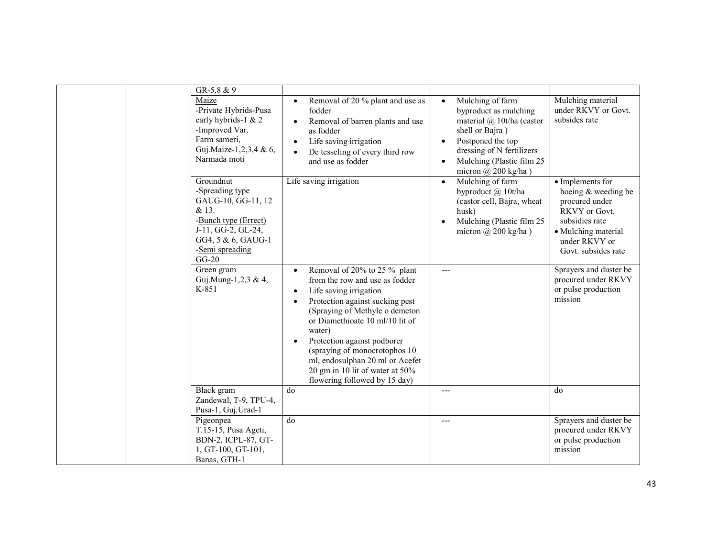| $GR-5, 8 & 9$<br>Maize<br>-Private Hybrids-Pusa<br>early hybrids-1 & 2<br>-Improved Var.<br>Farm sameri,<br>Guj.Maize-1,2,3,4 & 6,<br>Narmada moti<br>Groundnut | Removal of 20 % plant and use as<br>$\bullet$<br>fodder<br>Removal of barren plants and use<br>$\bullet$<br>as fodder<br>Life saving irrigation<br>$\bullet$<br>De tesseling of every third row<br>$\bullet$<br>and use as fodder<br>Life saving irrigation                                                                                                                                                                            | Mulching of farm<br>$\bullet$<br>byproduct as mulching<br>material @ 10t/ha (castor<br>shell or Bajra)<br>Postponed the top<br>$\bullet$<br>dressing of N fertilizers<br>Mulching (Plastic film 25<br>$\bullet$<br>micron $(a)$ 200 kg/ha)<br>Mulching of farm<br>$\bullet$ | Mulching material<br>under RKVY or Govt.<br>subsides rate<br>• Implements for                                                           |
|-----------------------------------------------------------------------------------------------------------------------------------------------------------------|----------------------------------------------------------------------------------------------------------------------------------------------------------------------------------------------------------------------------------------------------------------------------------------------------------------------------------------------------------------------------------------------------------------------------------------|-----------------------------------------------------------------------------------------------------------------------------------------------------------------------------------------------------------------------------------------------------------------------------|-----------------------------------------------------------------------------------------------------------------------------------------|
| -Spreading type<br>GAUG-10, GG-11, 12<br>& 13.<br>-Bunch type (Errect)<br>J-11, GG-2, GL-24,<br>GG4, 5 & 6, GAUG-1<br>-Semi spreading<br>$GG-20$                |                                                                                                                                                                                                                                                                                                                                                                                                                                        | byproduct @ 10t/ha<br>(castor cell, Bajra, wheat<br>husk)<br>Mulching (Plastic film 25<br>micron @ 200 kg/ha)                                                                                                                                                               | hoeing & weeding be<br>procured under<br>RKVY or Govt.<br>subsidies rate<br>• Mulching material<br>under RKVY or<br>Govt. subsides rate |
| Green gram<br>Guj.Mung-1,2,3 & 4,<br>K-851                                                                                                                      | Removal of 20% to 25 % plant<br>$\bullet$<br>from the row and use as fodder<br>Life saving irrigation<br>$\bullet$<br>Protection against sucking pest<br>$\bullet$<br>(Spraying of Methyle o demeton<br>or Diamethioate 10 ml/10 lit of<br>water)<br>Protection against podborer<br>$\bullet$<br>(spraying of monocrotophos 10)<br>ml, endosulphan 20 ml or Acefet<br>20 gm in 10 lit of water at 50%<br>flowering followed by 15 day) | $---$                                                                                                                                                                                                                                                                       | Sprayers and duster be<br>procured under RKVY<br>or pulse production<br>mission                                                         |
| Black gram<br>Zandewal, T-9, TPU-4,<br>Pusa-1, Guj.Urad-1                                                                                                       | do                                                                                                                                                                                                                                                                                                                                                                                                                                     | ---                                                                                                                                                                                                                                                                         | do                                                                                                                                      |
| Pigeonpea<br>T.15-15, Pusa Ageti,<br>BDN-2, ICPL-87, GT-<br>1, GT-100, GT-101,<br>Banas, GTH-1                                                                  | do                                                                                                                                                                                                                                                                                                                                                                                                                                     | $---$                                                                                                                                                                                                                                                                       | Sprayers and duster be<br>procured under RKVY<br>or pulse production<br>mission                                                         |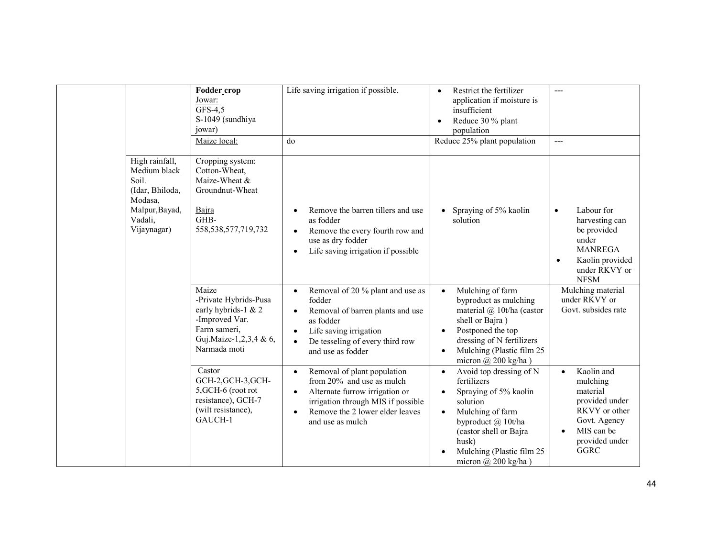|                                                                                                                   | Fodder crop<br>Jowar:<br>GFS-4,5<br>S-1049 (sundhiya<br>jowar)<br>Maize local:                                                    | Life saving irrigation if possible.<br>do                                                                                                                                                                                         | Restrict the fertilizer<br>$\bullet$<br>application if moisture is<br>insufficient<br>Reduce 30 % plant<br>$\bullet$<br>population<br>Reduce 25% plant population                                                                              | $---$<br>$---$                                                                                                                                      |
|-------------------------------------------------------------------------------------------------------------------|-----------------------------------------------------------------------------------------------------------------------------------|-----------------------------------------------------------------------------------------------------------------------------------------------------------------------------------------------------------------------------------|------------------------------------------------------------------------------------------------------------------------------------------------------------------------------------------------------------------------------------------------|-----------------------------------------------------------------------------------------------------------------------------------------------------|
| High rainfall,<br>Medium black<br>Soil.<br>(Idar, Bhiloda,<br>Modasa,<br>Malpur, Bayad,<br>Vadali,<br>Vijaynagar) | Cropping system:<br>Cotton-Wheat,<br>Maize-Wheat &<br>Groundnut-Wheat<br>Bajra<br>GHB-<br>558, 538, 577, 719, 732                 | Remove the barren tillers and use<br>as fodder<br>Remove the every fourth row and<br>$\bullet$<br>use as dry fodder<br>Life saving irrigation if possible<br>$\bullet$                                                            | Spraying of 5% kaolin<br>solution                                                                                                                                                                                                              | Labour for<br>$\bullet$<br>harvesting can<br>be provided<br>under<br><b>MANREGA</b><br>Kaolin provided<br>$\bullet$<br>under RKVY or<br><b>NFSM</b> |
|                                                                                                                   | Maize<br>-Private Hybrids-Pusa<br>early hybrids-1 & 2<br>-Improved Var.<br>Farm sameri,<br>Guj.Maize-1,2,3,4 & 6,<br>Narmada moti | Removal of 20 % plant and use as<br>$\bullet$<br>fodder<br>Removal of barren plants and use<br>$\bullet$<br>as fodder<br>Life saving irrigation<br>$\bullet$<br>De tesseling of every third row<br>$\bullet$<br>and use as fodder | Mulching of farm<br>$\bullet$<br>byproduct as mulching<br>material $(a)$ 10t/ha (castor<br>shell or Bajra)<br>Postponed the top<br>$\bullet$<br>dressing of N fertilizers<br>Mulching (Plastic film 25<br>$\bullet$<br>micron $(a)$ 200 kg/ha) | Mulching material<br>under RKVY or<br>Govt. subsides rate                                                                                           |
|                                                                                                                   | Castor<br>GCH-2, GCH-3, GCH-<br>5, GCH-6 (root rot<br>resistance), GCH-7<br>(wilt resistance),<br>GAUCH-1                         | Removal of plant population<br>$\bullet$<br>from 20% and use as mulch<br>Alternate furrow irrigation or<br>$\bullet$<br>irrigation through MIS if possible<br>Remove the 2 lower elder leaves<br>$\bullet$<br>and use as mulch    | Avoid top dressing of N<br>$\bullet$<br>fertilizers<br>Spraying of 5% kaolin<br>$\bullet$<br>solution<br>Mulching of farm<br>byproduct @ 10t/ha<br>(castor shell or Bajra<br>husk)<br>Mulching (Plastic film 25)<br>micron $\omega$ 200 kg/ha) | Kaolin and<br>mulching<br>material<br>provided under<br>RKVY or other<br>Govt. Agency<br>MIS can be<br>$\bullet$<br>provided under<br><b>GGRC</b>   |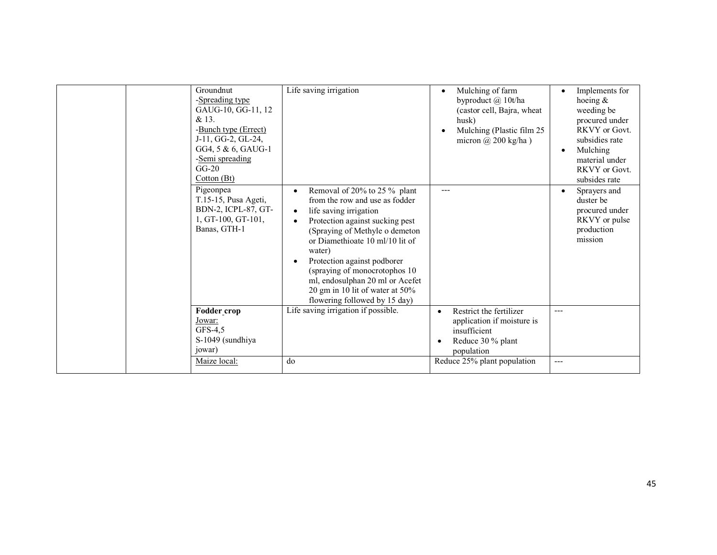| Groundnut<br>-Spreading type<br>GAUG-10, GG-11, 12<br>& 13.<br>-Bunch type (Errect)<br>J-11, GG-2, GL-24,<br>GG4, 5 & 6, GAUG-1<br>-Semi spreading<br>$GG-20$<br>Cotton (Bt)<br>Pigeonpea<br>T.15-15, Pusa Ageti,<br>BDN-2, ICPL-87, GT-<br>1, GT-100, GT-101,<br>Banas, GTH-1 | Life saving irrigation<br>Removal of 20% to 25 % plant<br>from the row and use as fodder<br>life saving irrigation<br>$\bullet$<br>Protection against sucking pest<br>$\bullet$<br>(Spraying of Methyle o demeton)<br>or Diamethioate 10 ml/10 lit of<br>water)<br>Protection against podborer<br>$\bullet$ | Mulching of farm<br>$\bullet$<br>byproduct @ 10t/ha<br>(castor cell, Bajra, wheat<br>husk)<br>Mulching (Plastic film 25<br>$\bullet$<br>micron $\omega$ 200 kg/ha) | Implements for<br>hoeing $\&$<br>weeding be<br>procured under<br>RKVY or Govt.<br>subsidies rate<br>Mulching<br>material under<br>RKVY or Govt.<br>subsides rate<br>Sprayers and<br>duster be<br>procured under<br>RKVY or pulse<br>production<br>mission |
|--------------------------------------------------------------------------------------------------------------------------------------------------------------------------------------------------------------------------------------------------------------------------------|-------------------------------------------------------------------------------------------------------------------------------------------------------------------------------------------------------------------------------------------------------------------------------------------------------------|--------------------------------------------------------------------------------------------------------------------------------------------------------------------|-----------------------------------------------------------------------------------------------------------------------------------------------------------------------------------------------------------------------------------------------------------|
|                                                                                                                                                                                                                                                                                | (spraying of monocrotophos 10<br>ml, endosulphan 20 ml or Acefet<br>20 gm in 10 lit of water at 50%<br>flowering followed by 15 day)                                                                                                                                                                        |                                                                                                                                                                    |                                                                                                                                                                                                                                                           |
| Fodder crop                                                                                                                                                                                                                                                                    | Life saving irrigation if possible.                                                                                                                                                                                                                                                                         | Restrict the fertilizer<br>$\bullet$                                                                                                                               | $- - -$                                                                                                                                                                                                                                                   |
| Jowar:<br>GFS-4,5                                                                                                                                                                                                                                                              |                                                                                                                                                                                                                                                                                                             | application if moisture is<br>insufficient                                                                                                                         |                                                                                                                                                                                                                                                           |
| S-1049 (sundhiya<br>jowar)                                                                                                                                                                                                                                                     |                                                                                                                                                                                                                                                                                                             | Reduce 30 % plant<br>population                                                                                                                                    |                                                                                                                                                                                                                                                           |
| Maize local:                                                                                                                                                                                                                                                                   | do                                                                                                                                                                                                                                                                                                          | Reduce 25% plant population                                                                                                                                        | ---                                                                                                                                                                                                                                                       |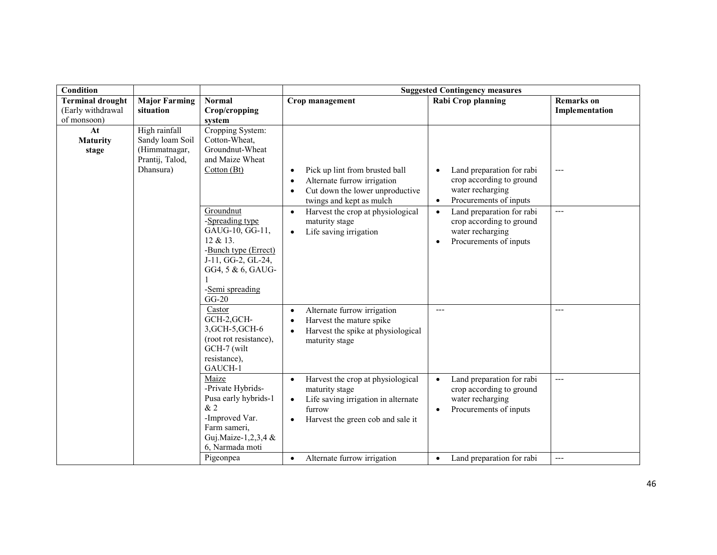| Condition                        |                                                     |                                                                                                                                                              | <b>Suggested Contingency measures</b>                                                                                                                                            |                                                                                                                               |                   |  |
|----------------------------------|-----------------------------------------------------|--------------------------------------------------------------------------------------------------------------------------------------------------------------|----------------------------------------------------------------------------------------------------------------------------------------------------------------------------------|-------------------------------------------------------------------------------------------------------------------------------|-------------------|--|
| <b>Terminal drought</b>          | <b>Major Farming</b>                                | <b>Normal</b>                                                                                                                                                | Crop management                                                                                                                                                                  | <b>Rabi Crop planning</b>                                                                                                     | <b>Remarks</b> on |  |
| (Early withdrawal<br>of monsoon) | situation                                           | Crop/cropping                                                                                                                                                |                                                                                                                                                                                  |                                                                                                                               | Implementation    |  |
| At                               | High rainfall                                       | system<br>Cropping System:                                                                                                                                   |                                                                                                                                                                                  |                                                                                                                               |                   |  |
| <b>Maturity</b><br>stage         | Sandy loam Soil<br>(Himmatnagar,<br>Prantij, Talod, | Cotton-Wheat,<br>Groundnut-Wheat<br>and Maize Wheat                                                                                                          |                                                                                                                                                                                  |                                                                                                                               |                   |  |
|                                  | Dhansura)                                           | Cottom(Bt)                                                                                                                                                   | Pick up lint from brusted ball<br>٠<br>Alternate furrow irrigation<br>$\bullet$<br>Cut down the lower unproductive<br>٠<br>twings and kept as mulch                              | Land preparation for rabi<br>crop according to ground<br>water recharging<br>Procurements of inputs<br>$\bullet$              |                   |  |
|                                  |                                                     | Groundnut<br>-Spreading type<br>GAUG-10, GG-11,<br>12 & 13.<br>-Bunch type (Errect)<br>J-11, GG-2, GL-24,<br>GG4, 5 & 6, GAUG-<br>-Semi spreading<br>$GG-20$ | Harvest the crop at physiological<br>$\bullet$<br>maturity stage<br>Life saving irrigation<br>$\bullet$                                                                          | Land preparation for rabi<br>$\bullet$<br>crop according to ground<br>water recharging<br>Procurements of inputs<br>$\bullet$ | ---               |  |
|                                  |                                                     | Castor<br>GCH-2, GCH-<br>3, GCH-5, GCH-6<br>(root rot resistance),<br>GCH-7 (wilt<br>resistance),<br>GAUCH-1                                                 | Alternate furrow irrigation<br>$\bullet$<br>Harvest the mature spike<br>$\bullet$<br>Harvest the spike at physiological<br>$\bullet$<br>maturity stage                           | $---$                                                                                                                         | ---               |  |
|                                  |                                                     | Maize<br>-Private Hybrids-<br>Pusa early hybrids-1<br>&2<br>-Improved Var.<br>Farm sameri,<br>Guj.Maize-1,2,3,4 &<br>6, Narmada moti                         | Harvest the crop at physiological<br>$\bullet$<br>maturity stage<br>Life saving irrigation in alternate<br>$\bullet$<br>furrow<br>Harvest the green cob and sale it<br>$\bullet$ | Land preparation for rabi<br>$\bullet$<br>crop according to ground<br>water recharging<br>Procurements of inputs<br>$\bullet$ | $-$ --            |  |
|                                  |                                                     | Pigeonpea                                                                                                                                                    | Alternate furrow irrigation<br>$\bullet$                                                                                                                                         | Land preparation for rabi<br>$\bullet$                                                                                        | $---$             |  |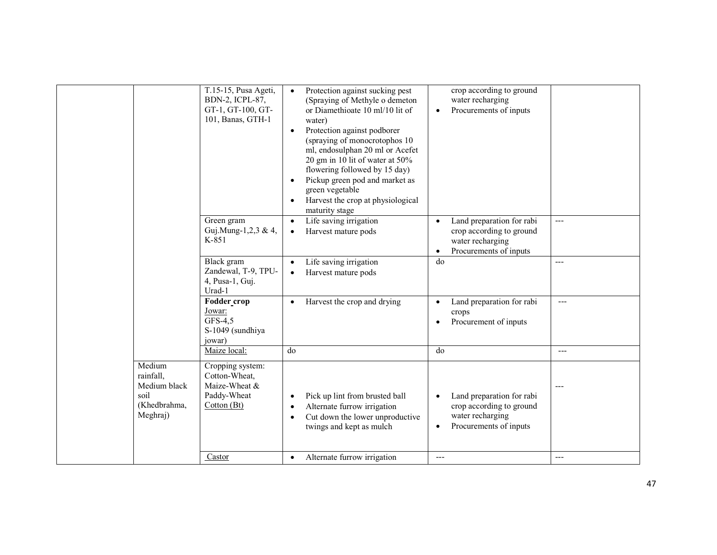|                                                                         | T.15-15, Pusa Ageti,<br><b>BDN-2, ICPL-87,</b><br>GT-1, GT-100, GT-<br>101, Banas, GTH-1 | Protection against sucking pest<br>$\bullet$<br>(Spraying of Methyle o demeton<br>or Diamethioate 10 ml/10 lit of<br>water)<br>Protection against podborer<br>$\bullet$<br>(spraying of monocrotophos 10)<br>ml, endosulphan 20 ml or Acefet<br>20 gm in 10 lit of water at 50%<br>flowering followed by 15 day)<br>Pickup green pod and market as<br>green vegetable<br>Harvest the crop at physiological<br>maturity stage | crop according to ground<br>water recharging<br>Procurements of inputs<br>$\bullet$                                           |       |
|-------------------------------------------------------------------------|------------------------------------------------------------------------------------------|------------------------------------------------------------------------------------------------------------------------------------------------------------------------------------------------------------------------------------------------------------------------------------------------------------------------------------------------------------------------------------------------------------------------------|-------------------------------------------------------------------------------------------------------------------------------|-------|
|                                                                         | Green gram<br>Guj.Mung-1,2,3 & 4,<br>K-851                                               | Life saving irrigation<br>$\bullet$<br>Harvest mature pods<br>$\bullet$                                                                                                                                                                                                                                                                                                                                                      | Land preparation for rabi<br>$\bullet$<br>crop according to ground<br>water recharging<br>Procurements of inputs<br>$\bullet$ | ---   |
|                                                                         | <b>Black</b> gram<br>Zandewal, T-9, TPU-<br>4, Pusa-1, Guj.<br>Urad-1                    | Life saving irrigation<br>Harvest mature pods                                                                                                                                                                                                                                                                                                                                                                                | do                                                                                                                            | ---   |
|                                                                         | Fodder_crop<br>Jowar:<br>GFS-4,5<br>S-1049 (sundhiya<br>jowar)                           | Harvest the crop and drying                                                                                                                                                                                                                                                                                                                                                                                                  | Land preparation for rabi<br>$\bullet$<br>crops<br>Procurement of inputs<br>$\bullet$                                         | $---$ |
|                                                                         | Maize local:                                                                             | do                                                                                                                                                                                                                                                                                                                                                                                                                           | d <sub>0</sub>                                                                                                                | $---$ |
| Medium<br>rainfall,<br>Medium black<br>soil<br>(Khedbrahma,<br>Meghraj) | Cropping system:<br>Cotton-Wheat,<br>Maize-Wheat &<br>Paddy-Wheat<br>Cotton (Bt)         | Pick up lint from brusted ball<br>$\bullet$<br>Alternate furrow irrigation<br>$\bullet$<br>Cut down the lower unproductive<br>$\bullet$<br>twings and kept as mulch                                                                                                                                                                                                                                                          | Land preparation for rabi<br>$\bullet$<br>crop according to ground<br>water recharging<br>Procurements of inputs<br>$\bullet$ |       |
|                                                                         | Castor                                                                                   | Alternate furrow irrigation<br>$\bullet$                                                                                                                                                                                                                                                                                                                                                                                     | $---$                                                                                                                         | $---$ |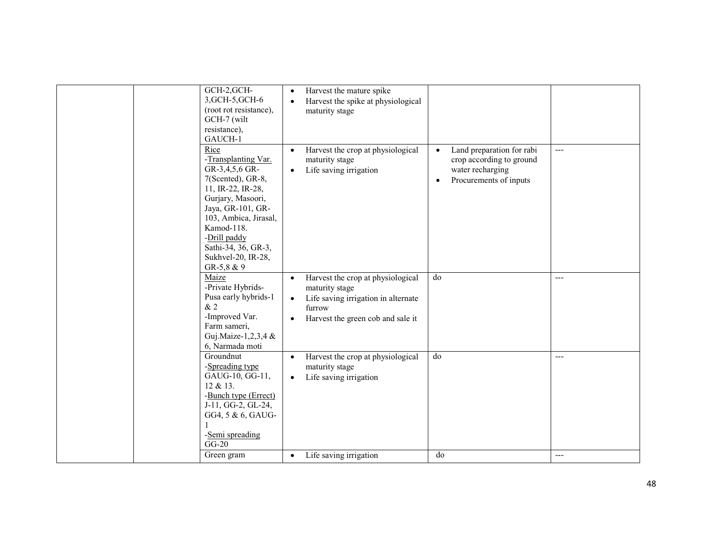| GCH-2, GCH-<br>3, GCH-5, GCH-6<br>(root rot resistance),<br>GCH-7 (wilt<br>resistance),<br>GAUCH-1<br>Rice                                                                                                                                  | Harvest the mature spike<br>$\bullet$<br>Harvest the spike at physiological<br>$\bullet$<br>maturity stage<br>Harvest the crop at physiological<br>$\bullet$ | Land preparation for rabi<br>$\bullet$                                              | $---$          |
|---------------------------------------------------------------------------------------------------------------------------------------------------------------------------------------------------------------------------------------------|--------------------------------------------------------------------------------------------------------------------------------------------------------------|-------------------------------------------------------------------------------------|----------------|
| -Transplanting Var.<br>GR-3,4,5,6 GR-<br>7(Scented), GR-8,<br>11, IR-22, IR-28,<br>Gurjary, Masoori,<br>Jaya, GR-101, GR-<br>103, Ambica, Jirasal,<br>Kamod-118.<br>-Drill paddy<br>Sathi-34, 36, GR-3,<br>Sukhvel-20, IR-28,<br>GR-5,8 & 9 | maturity stage<br>Life saving irrigation<br>$\bullet$                                                                                                        | crop according to ground<br>water recharging<br>Procurements of inputs<br>$\bullet$ |                |
| Maize<br>-Private Hybrids-<br>Pusa early hybrids-1                                                                                                                                                                                          | Harvest the crop at physiological<br>$\bullet$<br>maturity stage<br>Life saving irrigation in alternate<br>$\bullet$                                         | do                                                                                  | $---$          |
| &2<br>-Improved Var.                                                                                                                                                                                                                        | furrow<br>Harvest the green cob and sale it<br>$\bullet$                                                                                                     |                                                                                     |                |
| Farm sameri,<br>Guj.Maize-1,2,3,4 &<br>6, Narmada moti                                                                                                                                                                                      |                                                                                                                                                              |                                                                                     |                |
| Groundnut<br>-Spreading type<br>GAUG-10, GG-11,<br>12 & 13.<br>-Bunch type (Errect)<br>J-11, GG-2, GL-24,<br>GG4, 5 & 6, GAUG-<br>-Semi spreading<br>$GG-20$<br>Green gram                                                                  | Harvest the crop at physiological<br>$\bullet$<br>maturity stage<br>Life saving irrigation<br>$\bullet$<br>Life saving irrigation<br>$\bullet$               | do<br>do                                                                            | $---$<br>$---$ |
|                                                                                                                                                                                                                                             |                                                                                                                                                              |                                                                                     |                |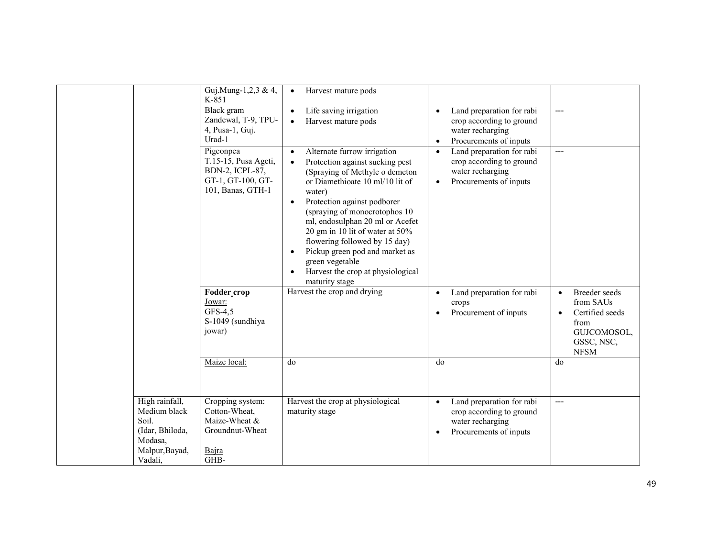|                                                                                                    | Guj.Mung-1,2,3 & 4,<br>K-851                                                                   | Harvest mature pods<br>$\bullet$                                                                                                                                                                                                                                                                                                                                                                                                                                         |                                                                                                                               |                                                                                                                             |
|----------------------------------------------------------------------------------------------------|------------------------------------------------------------------------------------------------|--------------------------------------------------------------------------------------------------------------------------------------------------------------------------------------------------------------------------------------------------------------------------------------------------------------------------------------------------------------------------------------------------------------------------------------------------------------------------|-------------------------------------------------------------------------------------------------------------------------------|-----------------------------------------------------------------------------------------------------------------------------|
|                                                                                                    | Black gram<br>Zandewal, T-9, TPU-<br>4, Pusa-1, Guj.<br>Urad-1                                 | Life saving irrigation<br>$\bullet$<br>Harvest mature pods<br>$\bullet$                                                                                                                                                                                                                                                                                                                                                                                                  | Land preparation for rabi<br>$\bullet$<br>crop according to ground<br>water recharging<br>Procurements of inputs<br>$\bullet$ | $-$                                                                                                                         |
|                                                                                                    | Pigeonpea<br>T.15-15, Pusa Ageti,<br>BDN-2, ICPL-87,<br>GT-1, GT-100, GT-<br>101, Banas, GTH-1 | Alternate furrow irrigation<br>$\bullet$<br>Protection against sucking pest<br>$\bullet$<br>(Spraying of Methyle o demeton<br>or Diamethioate 10 ml/10 lit of<br>water)<br>Protection against podborer<br>$\bullet$<br>(spraying of monocrotophos 10)<br>ml, endosulphan 20 ml or Acefet<br>20 gm in 10 lit of water at 50%<br>flowering followed by 15 day)<br>Pickup green pod and market as<br>green vegetable<br>Harvest the crop at physiological<br>maturity stage | Land preparation for rabi<br>$\bullet$<br>crop according to ground<br>water recharging<br>Procurements of inputs<br>$\bullet$ | $---$                                                                                                                       |
|                                                                                                    | Fodder crop<br>Jowar:<br>GFS-4,5<br>S-1049 (sundhiya<br>jowar)                                 | Harvest the crop and drying                                                                                                                                                                                                                                                                                                                                                                                                                                              | Land preparation for rabi<br>$\bullet$<br>crops<br>Procurement of inputs<br>$\bullet$                                         | Breeder seeds<br>$\bullet$<br>from SAUs<br>Certified seeds<br>$\bullet$<br>from<br>GUJCOMOSOL,<br>GSSC, NSC,<br><b>NFSM</b> |
|                                                                                                    | Maize local:                                                                                   | d <sub>o</sub>                                                                                                                                                                                                                                                                                                                                                                                                                                                           | d <sub>0</sub>                                                                                                                | do                                                                                                                          |
| High rainfall,<br>Medium black<br>Soil.<br>(Idar, Bhiloda,<br>Modasa,<br>Malpur, Bayad,<br>Vadali, | Cropping system:<br>Cotton-Wheat,<br>Maize-Wheat &<br>Groundnut-Wheat<br>Bajra<br>GHB-         | Harvest the crop at physiological<br>maturity stage                                                                                                                                                                                                                                                                                                                                                                                                                      | Land preparation for rabi<br>$\bullet$<br>crop according to ground<br>water recharging<br>Procurements of inputs<br>$\bullet$ | $---$                                                                                                                       |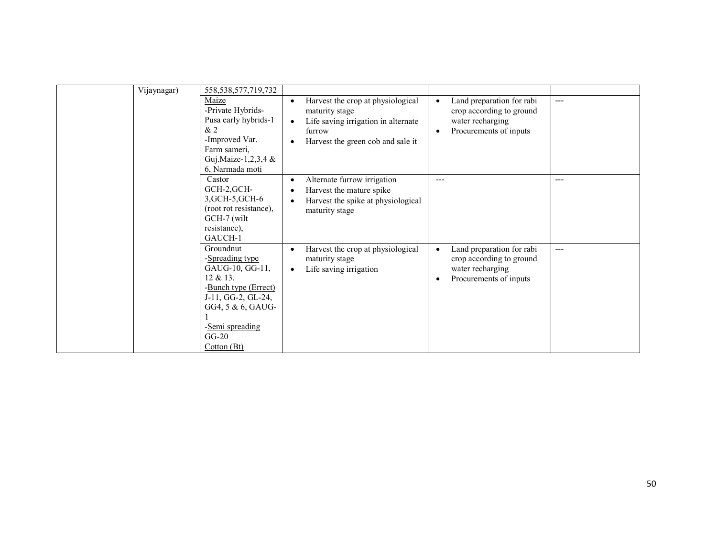| Vijaynagar) | 558, 538, 577, 719, 732<br>Maize<br>-Private Hybrids-<br>Pusa early hybrids-1<br>&2<br>-Improved Var.<br>Farm sameri,<br>Guj.Maize-1,2,3,4 $\&$<br>6. Narmada moti         | Harvest the crop at physiological<br>maturity stage<br>Life saving irrigation in alternate<br>$\bullet$<br>furrow<br>Harvest the green cob and sale it | Land preparation for rabi<br>crop according to ground<br>water recharging<br>Procurements of inputs | $---$ |
|-------------|----------------------------------------------------------------------------------------------------------------------------------------------------------------------------|--------------------------------------------------------------------------------------------------------------------------------------------------------|-----------------------------------------------------------------------------------------------------|-------|
|             | Castor<br>GCH-2,GCH-<br>3, GCH-5, GCH-6<br>(root rot resistance),<br>GCH-7 (wilt<br>resistance),<br>GAUCH-1                                                                | Alternate furrow irrigation<br>$\bullet$<br>Harvest the mature spike<br>Harvest the spike at physiological<br>$\bullet$<br>maturity stage              | ---                                                                                                 | ---   |
|             | Groundnut<br>-Spreading type<br>GAUG-10, GG-11,<br>12 & 13.<br>-Bunch type (Errect)<br>J-11, GG-2, GL-24,<br>GG4, 5 & 6, GAUG-<br>-Semi spreading<br>$GG-20$<br>Cotton(Bt) | Harvest the crop at physiological<br>$\bullet$<br>maturity stage<br>Life saving irrigation<br>$\bullet$                                                | Land preparation for rabi<br>crop according to ground<br>water recharging<br>Procurements of inputs | $---$ |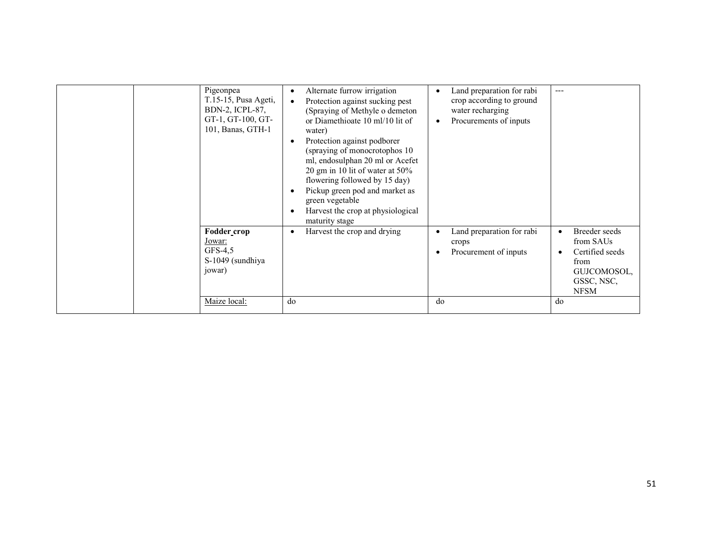| Pigeonpea<br>T.15-15, Pusa Ageti,<br>BDN-2, ICPL-87,<br>GT-1, GT-100, GT-<br>101, Banas, GTH-1 | Alternate furrow irrigation<br>٠<br>Protection against sucking pest<br>$\bullet$<br>(Spraying of Methyle o demeton<br>or Diamethioate 10 ml/10 lit of<br>water)<br>Protection against podborer<br>(spraying of monocrotophos 10<br>ml, endosulphan 20 ml or Acefet<br>20 gm in 10 lit of water at 50%<br>flowering followed by 15 day)<br>Pickup green pod and market as<br>green vegetable<br>Harvest the crop at physiological<br>maturity stage | Land preparation for rabi<br>crop according to ground<br>water recharging<br>Procurements of inputs<br>$\bullet$ | ---                                                                                                            |
|------------------------------------------------------------------------------------------------|----------------------------------------------------------------------------------------------------------------------------------------------------------------------------------------------------------------------------------------------------------------------------------------------------------------------------------------------------------------------------------------------------------------------------------------------------|------------------------------------------------------------------------------------------------------------------|----------------------------------------------------------------------------------------------------------------|
| Fodder_crop<br>Jowar:<br>GFS-4,5<br>S-1049 (sundhiya<br>jowar)                                 | Harvest the crop and drying                                                                                                                                                                                                                                                                                                                                                                                                                        | Land preparation for rabi<br>crops<br>Procurement of inputs                                                      | Breeder seeds<br>$\bullet$<br>from SAUs<br>Certified seeds<br>from<br>GUJCOMOSOL,<br>GSSC, NSC,<br><b>NFSM</b> |
| Maize local:                                                                                   | do                                                                                                                                                                                                                                                                                                                                                                                                                                                 | do                                                                                                               | do                                                                                                             |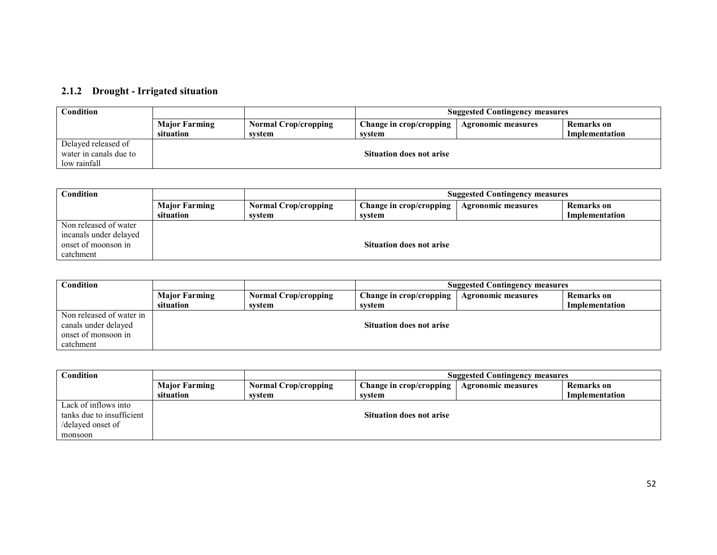## 2.1.2 Drought - Irrigated situation

| Condition              |                      |                             | <b>Suggested Contingency measures</b> |                           |                |
|------------------------|----------------------|-----------------------------|---------------------------------------|---------------------------|----------------|
|                        | <b>Major Farming</b> | <b>Normal Crop/cropping</b> | Change in crop/cropping               | <b>Agronomic measures</b> | Remarks on     |
|                        | situation            | svstem                      | svstem                                |                           | Implementation |
| Delayed released of    |                      |                             |                                       |                           |                |
| water in canals due to |                      |                             | <b>Situation does not arise</b>       |                           |                |
| low rainfall           |                      |                             |                                       |                           |                |

| Condition              |                      |                             | <b>Suggested Contingency measures</b>                                     |  |                |
|------------------------|----------------------|-----------------------------|---------------------------------------------------------------------------|--|----------------|
|                        | <b>Major Farming</b> | <b>Normal Crop/cropping</b> | <b>Remarks</b> on<br>Change in crop/cropping<br><b>Agronomic measures</b> |  |                |
|                        | situation            | svstem                      | svstem                                                                    |  | Implementation |
| Non released of water  |                      |                             |                                                                           |  |                |
| incanals under delayed |                      |                             |                                                                           |  |                |
| onset of moonson in    |                      |                             | <b>Situation does not arise</b>                                           |  |                |
| catchment              |                      |                             |                                                                           |  |                |

| Condition                |                      |                             | <b>Suggested Contingency measures</b> |                           |                |
|--------------------------|----------------------|-----------------------------|---------------------------------------|---------------------------|----------------|
|                          | <b>Major Farming</b> | <b>Normal Crop/cropping</b> | <b>Change in crop/cropping</b>        | <b>Agronomic measures</b> | Remarks on     |
|                          | situation            | svstem                      | svstem                                |                           | Implementation |
| Non released of water in |                      |                             |                                       |                           |                |
| canals under delayed     |                      |                             | <b>Situation does not arise</b>       |                           |                |
| onset of monsoon in      |                      |                             |                                       |                           |                |
| catchment                |                      |                             |                                       |                           |                |

| $\mathop{\mathsf{Condition}}$ |                      |                             | <b>Suggested Contingency measures</b> |                           |                   |
|-------------------------------|----------------------|-----------------------------|---------------------------------------|---------------------------|-------------------|
|                               | <b>Major Farming</b> | <b>Normal Crop/cropping</b> | Change in crop/cropping               | <b>Agronomic measures</b> | <b>Remarks</b> on |
|                               | situation            | svstem                      | svstem                                |                           | Implementation    |
| Lack of inflows into          |                      |                             |                                       |                           |                   |
| tanks due to insufficient     |                      |                             | <b>Situation does not arise</b>       |                           |                   |
| /delayed onset of             |                      |                             |                                       |                           |                   |
| monsoon                       |                      |                             |                                       |                           |                   |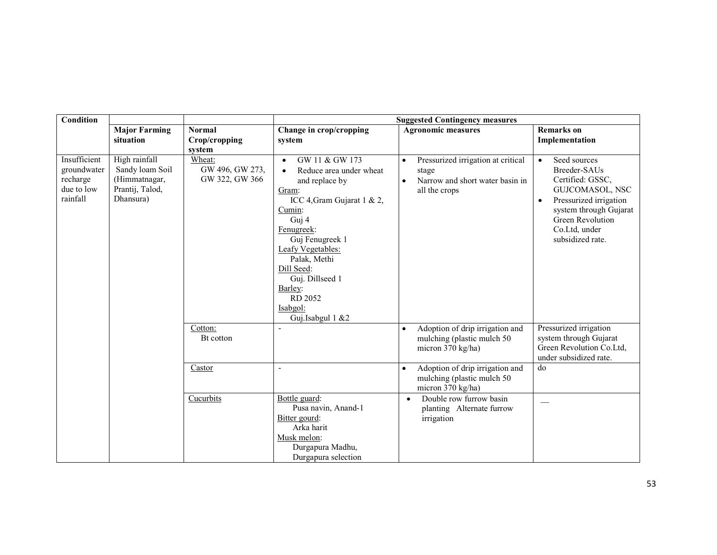| <b>Condition</b>                                                  |                                                                                   |                                             | <b>Suggested Contingency measures</b>                                                                                                                                                                                                                                                                        |                                                                                                                           |                                                                                                                                                                                                            |  |
|-------------------------------------------------------------------|-----------------------------------------------------------------------------------|---------------------------------------------|--------------------------------------------------------------------------------------------------------------------------------------------------------------------------------------------------------------------------------------------------------------------------------------------------------------|---------------------------------------------------------------------------------------------------------------------------|------------------------------------------------------------------------------------------------------------------------------------------------------------------------------------------------------------|--|
|                                                                   | <b>Major Farming</b><br>situation                                                 | <b>Normal</b><br>Crop/cropping<br>system    | Change in crop/cropping<br>system                                                                                                                                                                                                                                                                            | <b>Agronomic measures</b>                                                                                                 | <b>Remarks</b> on<br>Implementation                                                                                                                                                                        |  |
| Insufficient<br>groundwater<br>recharge<br>due to low<br>rainfall | High rainfall<br>Sandy loam Soil<br>(Himmatnagar,<br>Prantij, Talod,<br>Dhansura) | Wheat:<br>GW 496, GW 273,<br>GW 322, GW 366 | GW 11 & GW 173<br>$\bullet$<br>Reduce area under wheat<br>$\bullet$<br>and replace by<br>Gram:<br>ICC 4, Gram Gujarat 1 & 2,<br>Cumin:<br>Guj 4<br>Fenugreek:<br>Guj Fenugreek 1<br>Leafy Vegetables:<br>Palak, Methi<br>Dill Seed:<br>Guj. Dillseed 1<br>Barley:<br>RD 2052<br>Isabgol:<br>Guj.Isabgul 1 &2 | Pressurized irrigation at critical<br>$\bullet$<br>stage<br>Narrow and short water basin in<br>$\bullet$<br>all the crops | Seed sources<br>$\bullet$<br>Breeder-SAUs<br>Certified: GSSC,<br>GUJCOMASOL, NSC<br>Pressurized irrigation<br>$\bullet$<br>system through Gujarat<br>Green Revolution<br>Co.Ltd, under<br>subsidized rate. |  |
|                                                                   |                                                                                   | Cotton:<br>Bt cotton                        |                                                                                                                                                                                                                                                                                                              | Adoption of drip irrigation and<br>$\bullet$<br>mulching (plastic mulch 50<br>micron 370 kg/ha)                           | Pressurized irrigation<br>system through Gujarat<br>Green Revolution Co.Ltd,<br>under subsidized rate.                                                                                                     |  |
|                                                                   |                                                                                   | Castor                                      | $\overline{\phantom{a}}$                                                                                                                                                                                                                                                                                     | Adoption of drip irrigation and<br>$\bullet$<br>mulching (plastic mulch 50<br>micron 370 kg/ha)                           | do                                                                                                                                                                                                         |  |
|                                                                   |                                                                                   | Cucurbits                                   | Bottle guard:<br>Pusa navin, Anand-1<br>Bitter gourd:<br>Arka harit<br>Musk melon:<br>Durgapura Madhu,<br>Durgapura selection                                                                                                                                                                                | Double row furrow basin<br>$\bullet$<br>planting Alternate furrow<br>irrigation                                           |                                                                                                                                                                                                            |  |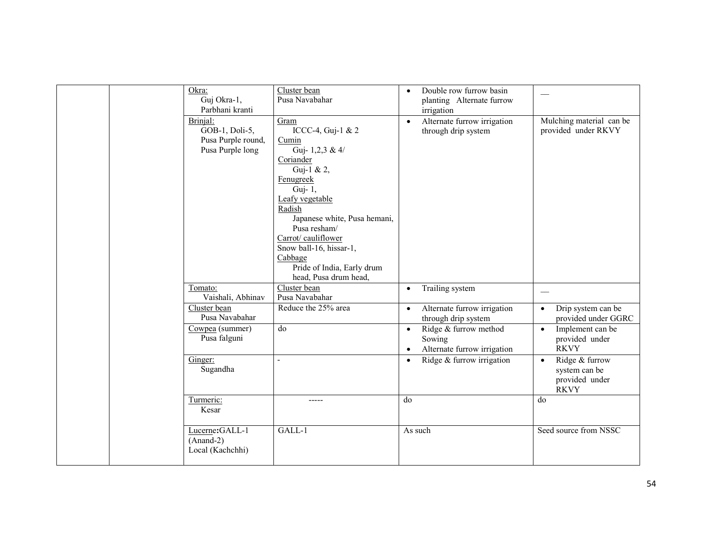| Okra:<br>Guj Okra-1,<br>Parbhani kranti                              | Cluster bean<br>Pusa Navabahar                                                                                                                                                                                                                                                                           | Double row furrow basin<br>planting Alternate furrow<br>irrigation                       |                                                                               |
|----------------------------------------------------------------------|----------------------------------------------------------------------------------------------------------------------------------------------------------------------------------------------------------------------------------------------------------------------------------------------------------|------------------------------------------------------------------------------------------|-------------------------------------------------------------------------------|
| Brinial:<br>GOB-1, Doli-5,<br>Pusa Purple round,<br>Pusa Purple long | Gram<br>ICCC-4, Guj-1 & 2<br>Cumin<br>Guj- 1,2,3 & 4/<br>Coriander<br>Guj-1 & 2,<br>Fenugreek<br>Guj- 1,<br>Leafy vegetable<br>Radish<br>Japanese white, Pusa hemani,<br>Pusa resham/<br>Carrot/cauliflower<br>Snow ball-16, hissar-1,<br>Cabbage<br>Pride of India, Early drum<br>head, Pusa drum head, | Alternate furrow irrigation<br>$\bullet$<br>through drip system                          | Mulching material can be<br>provided under RKVY                               |
| Tomato:<br>Vaishali, Abhinav                                         | Cluster bean<br>Pusa Navabahar                                                                                                                                                                                                                                                                           | Trailing system<br>$\bullet$                                                             |                                                                               |
| Cluster bean<br>Pusa Navabahar                                       | Reduce the 25% area                                                                                                                                                                                                                                                                                      | Alternate furrow irrigation<br>$\bullet$<br>through drip system                          | Drip system can be<br>$\bullet$<br>provided under GGRC                        |
| Cowpea (summer)<br>Pusa falguni                                      | do                                                                                                                                                                                                                                                                                                       | Ridge & furrow method<br>$\bullet$<br>Sowing<br>Alternate furrow irrigation<br>$\bullet$ | Implement can be<br>$\bullet$<br>provided under<br><b>RKVY</b>                |
| Ginger:<br>Sugandha                                                  | $\overline{a}$                                                                                                                                                                                                                                                                                           | Ridge & furrow irrigation<br>$\bullet$                                                   | Ridge & furrow<br>$\bullet$<br>system can be<br>provided under<br><b>RKVY</b> |
| Turmeric:<br>Kesar                                                   | -----                                                                                                                                                                                                                                                                                                    | do                                                                                       | do                                                                            |
| Lucerne: GALL-1<br>$(Anand-2)$<br>Local (Kachchhi)                   | GALL-1                                                                                                                                                                                                                                                                                                   | As such                                                                                  | Seed source from NSSC                                                         |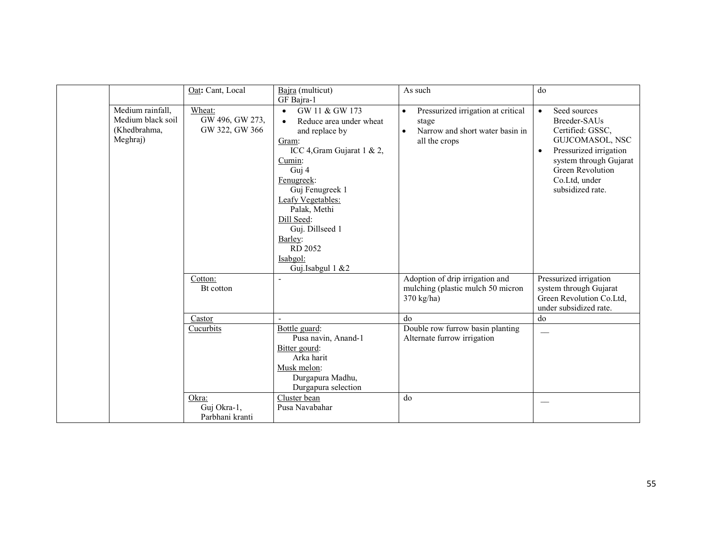|                                              | Oat: Cant, Local                                                 | Bajra (multicut)                                                                                                                                                                                                                                                                                             | As such                                                                                                                   | do                                                                                                                                                                                                         |
|----------------------------------------------|------------------------------------------------------------------|--------------------------------------------------------------------------------------------------------------------------------------------------------------------------------------------------------------------------------------------------------------------------------------------------------------|---------------------------------------------------------------------------------------------------------------------------|------------------------------------------------------------------------------------------------------------------------------------------------------------------------------------------------------------|
|                                              |                                                                  | GF Bajra-1                                                                                                                                                                                                                                                                                                   |                                                                                                                           |                                                                                                                                                                                                            |
| Medium rainfall,<br>(Khedbrahma,<br>Meghraj) | Wheat:<br>GW 496, GW 273,<br>Medium black soil<br>GW 322, GW 366 | GW 11 & GW 173<br>$\bullet$<br>Reduce area under wheat<br>$\bullet$<br>and replace by<br>Gram:<br>ICC 4, Gram Gujarat 1 & 2,<br>Cumin:<br>Guj 4<br>Fenugreek:<br>Guj Fenugreek 1<br>Leafy Vegetables:<br>Palak, Methi<br>Dill Seed:<br>Guj. Dillseed 1<br>Barley:<br>RD 2052<br>Isabgol:<br>Guj.Isabgul 1 &2 | Pressurized irrigation at critical<br>$\bullet$<br>stage<br>Narrow and short water basin in<br>$\bullet$<br>all the crops | Seed sources<br>$\bullet$<br>Breeder-SAUs<br>Certified: GSSC,<br>GUJCOMASOL, NSC<br>Pressurized irrigation<br>$\bullet$<br>system through Gujarat<br>Green Revolution<br>Co.Ltd, under<br>subsidized rate. |
|                                              | Cotton:                                                          |                                                                                                                                                                                                                                                                                                              | Adoption of drip irrigation and                                                                                           | Pressurized irrigation                                                                                                                                                                                     |
|                                              | Bt cotton                                                        |                                                                                                                                                                                                                                                                                                              | mulching (plastic mulch 50 micron                                                                                         | system through Gujarat                                                                                                                                                                                     |
|                                              |                                                                  |                                                                                                                                                                                                                                                                                                              | $370 \text{ kg/ha}$                                                                                                       | Green Revolution Co.Ltd,                                                                                                                                                                                   |
|                                              |                                                                  |                                                                                                                                                                                                                                                                                                              |                                                                                                                           | under subsidized rate.                                                                                                                                                                                     |
|                                              | Castor                                                           |                                                                                                                                                                                                                                                                                                              | do                                                                                                                        | do                                                                                                                                                                                                         |
|                                              | Cucurbits                                                        | Bottle guard:                                                                                                                                                                                                                                                                                                | Double row furrow basin planting                                                                                          |                                                                                                                                                                                                            |
|                                              |                                                                  | Pusa navin, Anand-1                                                                                                                                                                                                                                                                                          | Alternate furrow irrigation                                                                                               |                                                                                                                                                                                                            |
|                                              |                                                                  | Bitter gourd:<br>Arka harit                                                                                                                                                                                                                                                                                  |                                                                                                                           |                                                                                                                                                                                                            |
|                                              |                                                                  | Musk melon:                                                                                                                                                                                                                                                                                                  |                                                                                                                           |                                                                                                                                                                                                            |
|                                              |                                                                  | Durgapura Madhu,                                                                                                                                                                                                                                                                                             |                                                                                                                           |                                                                                                                                                                                                            |
|                                              |                                                                  | Durgapura selection                                                                                                                                                                                                                                                                                          |                                                                                                                           |                                                                                                                                                                                                            |
|                                              | Okra:                                                            | Cluster bean                                                                                                                                                                                                                                                                                                 | do                                                                                                                        |                                                                                                                                                                                                            |
|                                              | Guj Okra-1,                                                      | Pusa Navabahar                                                                                                                                                                                                                                                                                               |                                                                                                                           |                                                                                                                                                                                                            |
|                                              | Parbhani kranti                                                  |                                                                                                                                                                                                                                                                                                              |                                                                                                                           |                                                                                                                                                                                                            |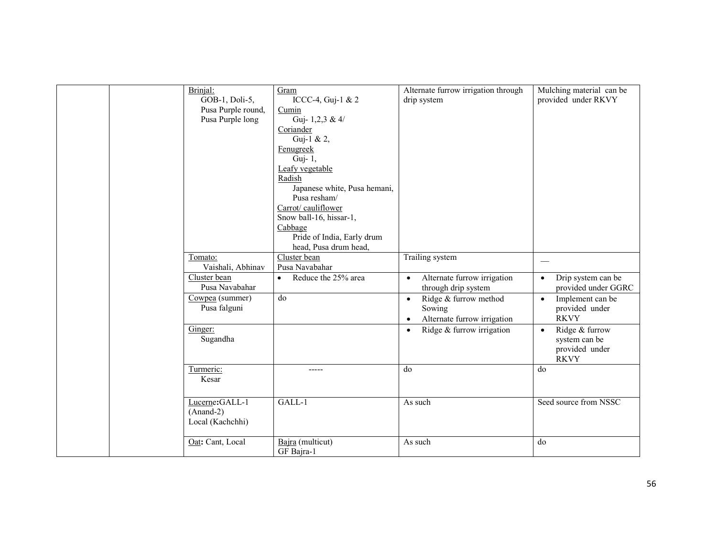| Brinjal:<br>GOB-1, Doli-5,<br>Pusa Purple round,<br>Pusa Purple long | Gram<br>ICCC-4, Guj-1 & 2<br>Cumin<br>Guj- 1,2,3 & $4/$<br>Coriander<br>Guj-1 & 2,<br>Fenugreek<br>Guj-1,<br>Leafy vegetable<br>Radish<br>Japanese white, Pusa hemani,<br>Pusa resham/<br>Carrot/cauliflower<br>Snow ball-16, hissar-1,<br>Cabbage<br>Pride of India, Early drum<br>head, Pusa drum head, | Alternate furrow irrigation through<br>drip system                                       | Mulching material can be<br>provided under RKVY                               |
|----------------------------------------------------------------------|-----------------------------------------------------------------------------------------------------------------------------------------------------------------------------------------------------------------------------------------------------------------------------------------------------------|------------------------------------------------------------------------------------------|-------------------------------------------------------------------------------|
| Tomato:<br>Vaishali, Abhinav                                         | Cluster bean<br>Pusa Navabahar                                                                                                                                                                                                                                                                            | Trailing system                                                                          | $\hspace{0.1mm}-\hspace{0.1mm}$                                               |
| Cluster bean<br>Pusa Navabahar                                       | Reduce the 25% area<br>$\bullet$                                                                                                                                                                                                                                                                          | Alternate furrow irrigation<br>$\bullet$<br>through drip system                          | Drip system can be<br>$\bullet$<br>provided under GGRC                        |
| Cowpea (summer)<br>Pusa falguni                                      | do                                                                                                                                                                                                                                                                                                        | Ridge & furrow method<br>$\bullet$<br>Sowing<br>Alternate furrow irrigation<br>$\bullet$ | Implement can be<br>$\bullet$<br>provided under<br><b>RKVY</b>                |
| Ginger:<br>Sugandha                                                  |                                                                                                                                                                                                                                                                                                           | Ridge & furrow irrigation<br>$\bullet$                                                   | Ridge & furrow<br>$\bullet$<br>system can be<br>provided under<br><b>RKVY</b> |
| Turmeric:<br>Kesar                                                   | -----                                                                                                                                                                                                                                                                                                     | do                                                                                       | do                                                                            |
| Lucerne: GALL-1<br>$(Anand-2)$<br>Local (Kachchhi)                   | GALL-1                                                                                                                                                                                                                                                                                                    | As such                                                                                  | Seed source from NSSC                                                         |
| Oat: Cant, Local                                                     | Bajra (multicut)<br>GF Bajra-1                                                                                                                                                                                                                                                                            | As such                                                                                  | do                                                                            |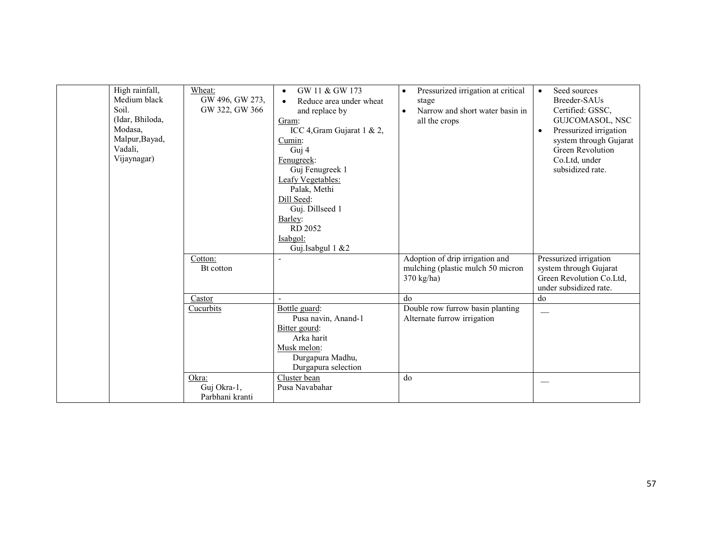| High rainfall,<br>Medium black<br>Soil.<br>(Idar, Bhiloda,<br>Modasa,<br>Malpur, Bayad,<br>Vadali,<br>Vijaynagar) | Wheat:<br>GW 496, GW 273,<br>GW 322, GW 366 | GW 11 & GW 173<br>$\bullet$<br>Reduce area under wheat<br>$\bullet$<br>and replace by<br>Gram:<br>ICC 4, Gram Gujarat 1 & 2,<br>Cumin:<br>Guj 4<br>Fenugreek:<br>Guj Fenugreek 1<br>Leafy Vegetables:<br>Palak, Methi<br>Dill Seed:<br>Guj. Dillseed 1<br>Barley:<br>RD 2052<br>Isabgol:<br>Guj.Isabgul 1 &2 | Pressurized irrigation at critical<br>$\bullet$<br>stage<br>Narrow and short water basin in<br>$\bullet$<br>all the crops | Seed sources<br>$\bullet$<br>Breeder-SAUs<br>Certified: GSSC,<br>GUJCOMASOL, NSC<br>Pressurized irrigation<br>$\bullet$<br>system through Gujarat<br>Green Revolution<br>Co.Ltd, under<br>subsidized rate. |
|-------------------------------------------------------------------------------------------------------------------|---------------------------------------------|--------------------------------------------------------------------------------------------------------------------------------------------------------------------------------------------------------------------------------------------------------------------------------------------------------------|---------------------------------------------------------------------------------------------------------------------------|------------------------------------------------------------------------------------------------------------------------------------------------------------------------------------------------------------|
|                                                                                                                   | Cotton:<br>Bt cotton                        | $\overline{a}$                                                                                                                                                                                                                                                                                               | Adoption of drip irrigation and<br>mulching (plastic mulch 50 micron<br>370 kg/ha)                                        | Pressurized irrigation<br>system through Gujarat<br>Green Revolution Co.Ltd,<br>under subsidized rate.                                                                                                     |
|                                                                                                                   | Castor                                      |                                                                                                                                                                                                                                                                                                              | do                                                                                                                        | do                                                                                                                                                                                                         |
|                                                                                                                   | Cucurbits                                   | Bottle guard:<br>Pusa navin, Anand-1<br>Bitter gourd:<br>Arka harit<br>Musk melon:<br>Durgapura Madhu,<br>Durgapura selection                                                                                                                                                                                | Double row furrow basin planting<br>Alternate furrow irrigation                                                           |                                                                                                                                                                                                            |
|                                                                                                                   | Okra:<br>Guj Okra-1,<br>Parbhani kranti     | Cluster bean<br>Pusa Navabahar                                                                                                                                                                                                                                                                               | do                                                                                                                        |                                                                                                                                                                                                            |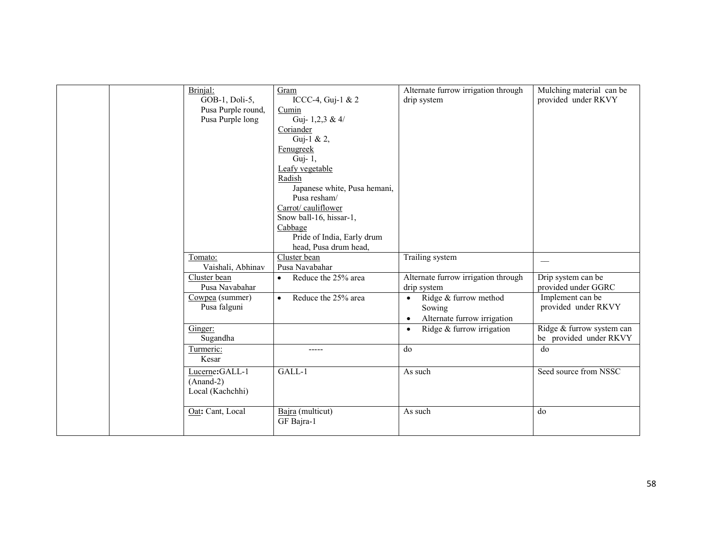| Brinjal:<br>GOB-1, Doli-5,<br>Pusa Purple round,<br>Pusa Purple long | Gram<br>ICCC-4, Guj-1 & 2<br>Cumin<br>Guj-1,2,3 & 4/<br>Coriander<br>Guj-1 & 2,<br>Fenugreek<br>Guj-1,<br>Leafy vegetable<br>Radish<br>Japanese white, Pusa hemani,<br>Pusa resham/<br>Carrot/cauliflower<br>Snow ball-16, hissar-1,<br>Cabbage<br>Pride of India, Early drum<br>head, Pusa drum head, | Alternate furrow irrigation through<br>drip system                                       | Mulching material can be<br>provided under RKVY     |
|----------------------------------------------------------------------|--------------------------------------------------------------------------------------------------------------------------------------------------------------------------------------------------------------------------------------------------------------------------------------------------------|------------------------------------------------------------------------------------------|-----------------------------------------------------|
| Tomato:<br>Vaishali, Abhinav                                         | Cluster bean<br>Pusa Navabahar                                                                                                                                                                                                                                                                         | Trailing system                                                                          |                                                     |
| Cluster bean<br>Pusa Navabahar                                       | Reduce the 25% area<br>$\bullet$                                                                                                                                                                                                                                                                       | Alternate furrow irrigation through<br>drip system                                       | Drip system can be<br>provided under GGRC           |
| Cowpea (summer)<br>Pusa falguni                                      | Reduce the 25% area<br>$\bullet$                                                                                                                                                                                                                                                                       | Ridge & furrow method<br>$\bullet$<br>Sowing<br>Alternate furrow irrigation<br>$\bullet$ | Implement can be<br>provided under RKVY             |
| Ginger:<br>Sugandha                                                  |                                                                                                                                                                                                                                                                                                        | Ridge & furrow irrigation<br>$\bullet$                                                   | Ridge & furrow system can<br>be provided under RKVY |
| Turmeric:<br>Kesar                                                   | -----                                                                                                                                                                                                                                                                                                  | do                                                                                       | do                                                  |
| Lucerne:GALL-1<br>$(Anand-2)$<br>Local (Kachchhi)                    | GALL-1                                                                                                                                                                                                                                                                                                 | As such                                                                                  | Seed source from NSSC                               |
| Oat: Cant, Local                                                     | Bajra (multicut)<br>GF Bajra-1                                                                                                                                                                                                                                                                         | As such                                                                                  | do                                                  |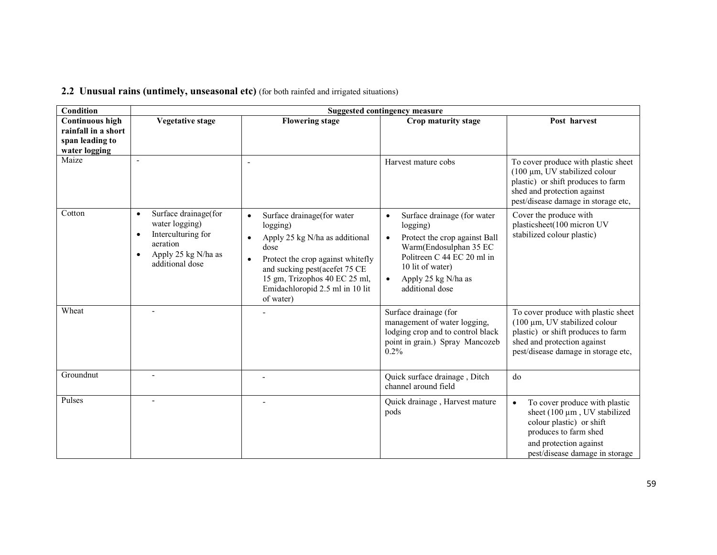| 2.2 Unusual rains (untimely, unseasonal etc) (for both rainfed and irrigated situations) |  |
|------------------------------------------------------------------------------------------|--|
|------------------------------------------------------------------------------------------|--|

| Condition                                               |                                                                                                                                                           |                                                                                                                                                                                                                                                      | <b>Suggested contingency measure</b>                                                                                                                                                                                                  |                                                                                                                                                                                                    |
|---------------------------------------------------------|-----------------------------------------------------------------------------------------------------------------------------------------------------------|------------------------------------------------------------------------------------------------------------------------------------------------------------------------------------------------------------------------------------------------------|---------------------------------------------------------------------------------------------------------------------------------------------------------------------------------------------------------------------------------------|----------------------------------------------------------------------------------------------------------------------------------------------------------------------------------------------------|
| Continuous high                                         | <b>Vegetative stage</b>                                                                                                                                   | <b>Flowering stage</b>                                                                                                                                                                                                                               | Crop maturity stage                                                                                                                                                                                                                   | Post harvest                                                                                                                                                                                       |
| rainfall in a short<br>span leading to<br>water logging |                                                                                                                                                           |                                                                                                                                                                                                                                                      |                                                                                                                                                                                                                                       |                                                                                                                                                                                                    |
| Maize                                                   |                                                                                                                                                           | ٠                                                                                                                                                                                                                                                    | Harvest mature cobs                                                                                                                                                                                                                   | To cover produce with plastic sheet<br>$(100 \mu m, UV)$ stabilized colour<br>plastic) or shift produces to farm<br>shed and protection against<br>pest/disease damage in storage etc,             |
| Cotton                                                  | Surface drainage(for<br>$\bullet$<br>water logging)<br>Interculturing for<br>$\bullet$<br>aeration<br>Apply 25 kg N/ha as<br>$\bullet$<br>additional dose | Surface drainage(for water<br>$\bullet$<br>logging)<br>Apply 25 kg N/ha as additional<br>dose<br>Protect the crop against whitefly<br>and sucking pest(acefet 75 CE<br>15 gm, Trizophos 40 EC 25 ml,<br>Emidachloropid 2.5 ml in 10 lit<br>of water) | Surface drainage (for water<br>$\bullet$<br>logging)<br>Protect the crop against Ball<br>$\bullet$<br>Warm(Endosulphan 35 EC<br>Politreen C 44 EC 20 ml in<br>10 lit of water)<br>Apply 25 kg N/ha as<br>$\bullet$<br>additional dose | Cover the produce with<br>plasticsheet(100 micron UV<br>stabilized colour plastic)                                                                                                                 |
| Wheat                                                   |                                                                                                                                                           |                                                                                                                                                                                                                                                      | Surface drainage (for<br>management of water logging,<br>lodging crop and to control black<br>point in grain.) Spray Mancozeb<br>$0.2\%$                                                                                              | To cover produce with plastic sheet<br>$(100 \mu m, UV)$ stabilized colour<br>plastic) or shift produces to farm<br>shed and protection against<br>pest/disease damage in storage etc,             |
| Groundnut                                               | $\overline{a}$                                                                                                                                            |                                                                                                                                                                                                                                                      | Quick surface drainage, Ditch<br>channel around field                                                                                                                                                                                 | do                                                                                                                                                                                                 |
| Pulses                                                  |                                                                                                                                                           |                                                                                                                                                                                                                                                      | Quick drainage, Harvest mature<br>pods                                                                                                                                                                                                | To cover produce with plastic<br>$\bullet$<br>sheet $(100 \mu m)$ , UV stabilized<br>colour plastic) or shift<br>produces to farm shed<br>and protection against<br>pest/disease damage in storage |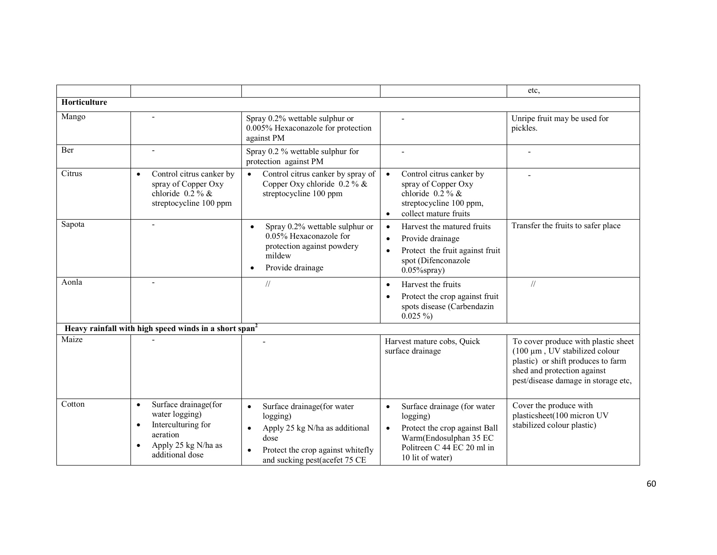|              |                                                                                                                                                           |                                                                                                                                                                                  |                                                                                                                                                                                | etc.                                                                                                                                                                                   |
|--------------|-----------------------------------------------------------------------------------------------------------------------------------------------------------|----------------------------------------------------------------------------------------------------------------------------------------------------------------------------------|--------------------------------------------------------------------------------------------------------------------------------------------------------------------------------|----------------------------------------------------------------------------------------------------------------------------------------------------------------------------------------|
| Horticulture |                                                                                                                                                           |                                                                                                                                                                                  |                                                                                                                                                                                |                                                                                                                                                                                        |
| Mango        |                                                                                                                                                           | Spray 0.2% wettable sulphur or<br>0.005% Hexaconazole for protection<br>against PM                                                                                               |                                                                                                                                                                                | Unripe fruit may be used for<br>pickles.                                                                                                                                               |
| Ber          | $\blacksquare$                                                                                                                                            | Spray 0.2 % wettable sulphur for<br>protection against PM                                                                                                                        | $\overline{a}$                                                                                                                                                                 |                                                                                                                                                                                        |
| Citrus       | Control citrus canker by<br>$\bullet$<br>spray of Copper Oxy<br>chloride $0.2\%$ &<br>streptocycline 100 ppm                                              | Control citrus canker by spray of<br>$\bullet$<br>Copper Oxy chloride $0.2\%$ &<br>streptocycline 100 ppm                                                                        | Control citrus canker by<br>$\bullet$<br>spray of Copper Oxy<br>chloride $0.2\%$ &<br>streptocycline 100 ppm,<br>collect mature fruits<br>$\bullet$                            |                                                                                                                                                                                        |
| Sapota       |                                                                                                                                                           | Spray 0.2% wettable sulphur or<br>0.05% Hexaconazole for<br>protection against powdery<br>mildew<br>Provide drainage<br>$\bullet$                                                | Harvest the matured fruits<br>$\bullet$<br>Provide drainage<br>$\bullet$<br>Protect the fruit against fruit<br>$\bullet$<br>spot (Difenconazole<br>$0.05\%$ spray)             | Transfer the fruits to safer place                                                                                                                                                     |
| Aonla        | $\blacksquare$                                                                                                                                            | $\frac{1}{2}$                                                                                                                                                                    | Harvest the fruits<br>$\bullet$<br>Protect the crop against fruit<br>$\bullet$<br>spots disease (Carbendazin<br>$0.025\%$                                                      | $\frac{1}{2}$                                                                                                                                                                          |
|              | Heavy rainfall with high speed winds in a short span <sup>2</sup>                                                                                         |                                                                                                                                                                                  |                                                                                                                                                                                |                                                                                                                                                                                        |
| Maize        |                                                                                                                                                           |                                                                                                                                                                                  | Harvest mature cobs, Ouick<br>surface drainage                                                                                                                                 | To cover produce with plastic sheet<br>$(100 \mu m, UV)$ stabilized colour<br>plastic) or shift produces to farm<br>shed and protection against<br>pest/disease damage in storage etc, |
| Cotton       | Surface drainage(for<br>$\bullet$<br>water logging)<br>Interculturing for<br>$\bullet$<br>aeration<br>Apply 25 kg N/ha as<br>$\bullet$<br>additional dose | Surface drainage(for water<br>$\bullet$<br>logging)<br>Apply 25 kg N/ha as additional<br>$\bullet$<br>dose<br>Protect the crop against whitefly<br>and sucking pest(acefet 75 CE | Surface drainage (for water<br>$\bullet$<br>logging)<br>Protect the crop against Ball<br>$\bullet$<br>Warm(Endosulphan 35 EC<br>Politreen C 44 EC 20 ml in<br>10 lit of water) | Cover the produce with<br>plasticsheet(100 micron UV<br>stabilized colour plastic)                                                                                                     |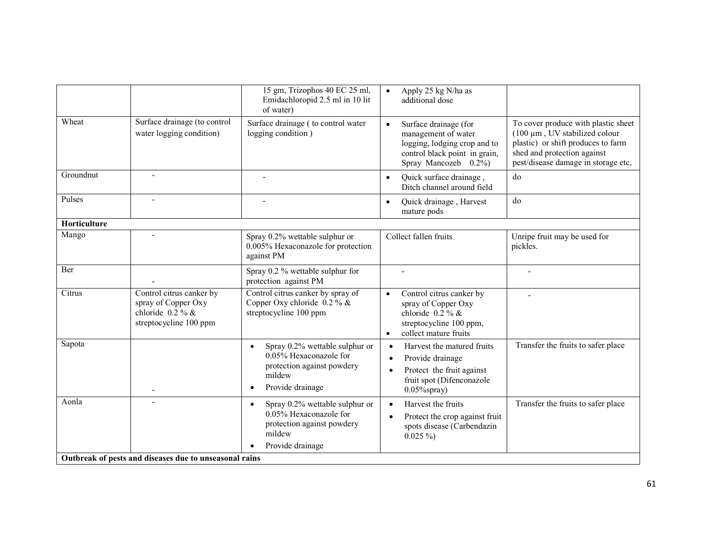|              |                                                                                                 | 15 gm, Trizophos 40 EC 25 ml,<br>Emidachloropid 2.5 ml in 10 lit<br>of water)                                                                  | Apply 25 kg N/ha as<br>$\bullet$<br>additional dose                                                                                                                |                                                                                                                                                                                  |
|--------------|-------------------------------------------------------------------------------------------------|------------------------------------------------------------------------------------------------------------------------------------------------|--------------------------------------------------------------------------------------------------------------------------------------------------------------------|----------------------------------------------------------------------------------------------------------------------------------------------------------------------------------|
| Wheat        | Surface drainage (to control<br>water logging condition)                                        | Surface drainage (to control water<br>logging condition)                                                                                       | Surface drainage (for<br>$\bullet$<br>management of water<br>logging, lodging crop and to<br>control black point in grain,<br>Spray Mancozeb 0.2%)                 | To cover produce with plastic sheet<br>(100 µm, UV stabilized colour<br>plastic) or shift produces to farm<br>shed and protection against<br>pest/disease damage in storage etc, |
| Groundnut    | $\overline{\phantom{a}}$                                                                        | $\overline{\phantom{0}}$                                                                                                                       | Quick surface drainage,<br>$\bullet$<br>Ditch channel around field                                                                                                 | do                                                                                                                                                                               |
| Pulses       |                                                                                                 |                                                                                                                                                | Quick drainage, Harvest<br>$\bullet$<br>mature pods                                                                                                                | do                                                                                                                                                                               |
| Horticulture |                                                                                                 |                                                                                                                                                |                                                                                                                                                                    |                                                                                                                                                                                  |
| Mango        |                                                                                                 | Spray 0.2% wettable sulphur or<br>0.005% Hexaconazole for protection<br>against PM                                                             | Collect fallen fruits                                                                                                                                              | Unripe fruit may be used for<br>pickles.                                                                                                                                         |
| Ber          |                                                                                                 | Spray 0.2 % wettable sulphur for<br>protection against PM                                                                                      |                                                                                                                                                                    |                                                                                                                                                                                  |
| Citrus       | Control citrus canker by<br>spray of Copper Oxy<br>chloride $0.2\%$ &<br>streptocycline 100 ppm | Control citrus canker by spray of<br>Copper Oxy chloride $0.2\%$ &<br>streptocycline 100 ppm                                                   | Control citrus canker by<br>$\bullet$<br>spray of Copper Oxy<br>chloride $0.2\%$ &<br>streptocycline 100 ppm,<br>collect mature fruits<br>$\bullet$                |                                                                                                                                                                                  |
| Sapota       |                                                                                                 | Spray 0.2% wettable sulphur or<br>$\bullet$<br>0.05% Hexaconazole for<br>protection against powdery<br>mildew<br>Provide drainage<br>$\bullet$ | Harvest the matured fruits<br>$\bullet$<br>Provide drainage<br>$\bullet$<br>Protect the fruit against<br>$\bullet$<br>fruit spot (Difenconazole<br>$0.05\%$ spray) | Transfer the fruits to safer place                                                                                                                                               |
| Aonla        | ÷,                                                                                              | Spray 0.2% wettable sulphur or<br>$\bullet$<br>0.05% Hexaconazole for<br>protection against powdery<br>mildew<br>Provide drainage              | Harvest the fruits<br>Protect the crop against fruit<br>spots disease (Carbendazin<br>$0.025\%$                                                                    | Transfer the fruits to safer place                                                                                                                                               |
|              | Outbreak of pests and diseases due to unseasonal rains                                          |                                                                                                                                                |                                                                                                                                                                    |                                                                                                                                                                                  |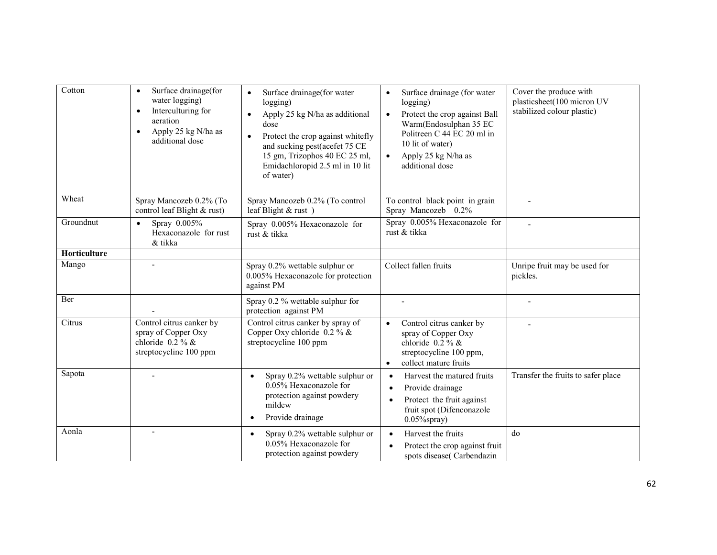| Cotton       | Surface drainage(for<br>$\bullet$<br>water logging)<br>Interculturing for<br>$\bullet$<br>aeration<br>Apply 25 kg N/ha as<br>$\bullet$<br>additional dose | Surface drainage (for water<br>$\bullet$<br>logging)<br>Apply 25 kg N/ha as additional<br>$\bullet$<br>dose<br>Protect the crop against whitefly<br>$\bullet$<br>and sucking pest(acefet 75 CE<br>15 gm, Trizophos 40 EC 25 ml,<br>Emidachloropid 2.5 ml in 10 lit<br>of water) | Surface drainage (for water<br>$\bullet$<br>logging)<br>Protect the crop against Ball<br>$\bullet$<br>Warm(Endosulphan 35 EC<br>Politreen C 44 EC 20 ml in<br>10 lit of water)<br>Apply 25 kg N/ha as<br>$\bullet$<br>additional dose | Cover the produce with<br>plasticsheet(100 micron UV<br>stabilized colour plastic) |
|--------------|-----------------------------------------------------------------------------------------------------------------------------------------------------------|---------------------------------------------------------------------------------------------------------------------------------------------------------------------------------------------------------------------------------------------------------------------------------|---------------------------------------------------------------------------------------------------------------------------------------------------------------------------------------------------------------------------------------|------------------------------------------------------------------------------------|
| Wheat        | Spray Mancozeb 0.2% (To<br>control leaf Blight & rust)                                                                                                    | Spray Mancozeb 0.2% (To control<br>leaf Blight & rust)                                                                                                                                                                                                                          | To control black point in grain<br>Spray Mancozeb 0.2%                                                                                                                                                                                | $\overline{\phantom{a}}$                                                           |
| Groundnut    | Spray 0.005%<br>$\bullet$<br>Hexaconazole for rust<br>& tikka                                                                                             | Spray 0.005% Hexaconazole for<br>rust & tikka                                                                                                                                                                                                                                   | Spray 0.005% Hexaconazole for<br>rust & tikka                                                                                                                                                                                         |                                                                                    |
| Horticulture |                                                                                                                                                           |                                                                                                                                                                                                                                                                                 |                                                                                                                                                                                                                                       |                                                                                    |
| Mango        |                                                                                                                                                           | Spray 0.2% wettable sulphur or<br>0.005% Hexaconazole for protection<br>against PM                                                                                                                                                                                              | Collect fallen fruits                                                                                                                                                                                                                 | Unripe fruit may be used for<br>pickles.                                           |
| Ber          |                                                                                                                                                           | Spray 0.2 % wettable sulphur for<br>protection against PM                                                                                                                                                                                                                       | $\blacksquare$                                                                                                                                                                                                                        |                                                                                    |
| Citrus       | Control citrus canker by<br>spray of Copper Oxy<br>chloride $0.2\%$ &<br>streptocycline 100 ppm                                                           | Control citrus canker by spray of<br>Copper Oxy chloride $0.2 \%$ &<br>streptocycline 100 ppm                                                                                                                                                                                   | Control citrus canker by<br>$\bullet$<br>spray of Copper Oxy<br>chloride $0.2\%$ &<br>streptocycline 100 ppm,<br>collect mature fruits<br>$\bullet$                                                                                   |                                                                                    |
| Sapota       |                                                                                                                                                           | Spray 0.2% wettable sulphur or<br>0.05% Hexaconazole for<br>protection against powdery<br>mildew<br>Provide drainage                                                                                                                                                            | Harvest the matured fruits<br>Provide drainage<br>Protect the fruit against<br>fruit spot (Difenconazole<br>$0.05\%$ spray)                                                                                                           | Transfer the fruits to safer place                                                 |
| Aonla        |                                                                                                                                                           | Spray 0.2% wettable sulphur or<br>$\bullet$<br>0.05% Hexaconazole for<br>protection against powdery                                                                                                                                                                             | Harvest the fruits<br>$\bullet$<br>Protect the crop against fruit<br>spots disease(Carbendazin                                                                                                                                        | do                                                                                 |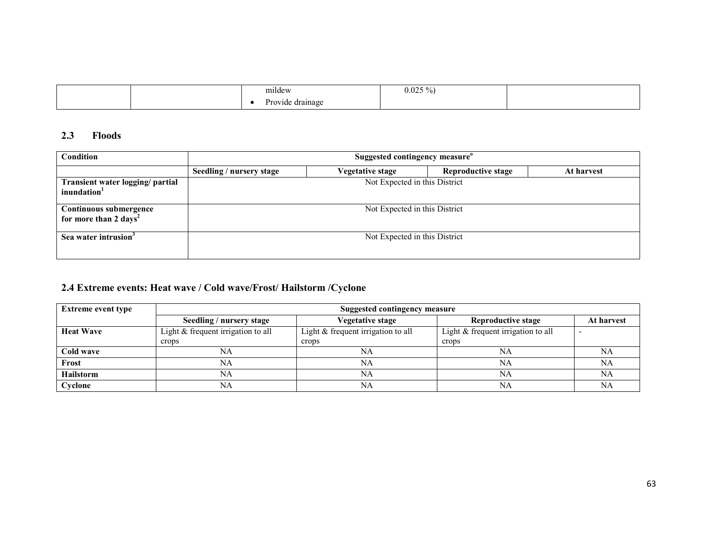|  | $\sim$<br>mildew                                         | $0.025$ $^{\circ}$<br>$\frac{1}{2}$ . |  |
|--|----------------------------------------------------------|---------------------------------------|--|
|  | $\mathbf{r}$<br>a kora<br>, drainage<br>iuc<br>10.7<br>. |                                       |  |

## 2.3 Floods

| Condition                                                   | Suggested contingency measure <sup>®</sup> |                               |                           |            |  |
|-------------------------------------------------------------|--------------------------------------------|-------------------------------|---------------------------|------------|--|
|                                                             | Seedling / nursery stage                   | Vegetative stage              | <b>Reproductive stage</b> | At harvest |  |
| Transient water logging/ partial<br>inundation <sup>1</sup> |                                            | Not Expected in this District |                           |            |  |
| Continuous submergence<br>for more than 2 days <sup>2</sup> |                                            | Not Expected in this District |                           |            |  |
| Sea water intrusion <sup>3</sup>                            |                                            | Not Expected in this District |                           |            |  |

## 2.4 Extreme events: Heat wave / Cold wave/Frost/ Hailstorm /Cyclone

| <b>Extreme event type</b> | <b>Suggested contingency measure</b> |                                    |                                      |            |
|---------------------------|--------------------------------------|------------------------------------|--------------------------------------|------------|
|                           | Seedling / nursery stage             | <b>Vegetative stage</b>            | Reproductive stage                   | At harvest |
| <b>Heat Wave</b>          | Light & frequent irrigation to all   | Light & frequent irrigation to all | Light $&$ frequent irrigation to all |            |
|                           | crops                                | crops                              | crops                                |            |
| Cold wave                 | NA                                   | NA                                 | NA                                   | NA         |
| Frost                     | NA                                   | NA                                 | NA                                   | NA         |
| <b>Hailstorm</b>          | NA                                   | NA                                 | NA                                   | NA         |
| Cyclone                   | NA                                   | NA                                 | NA                                   | NА         |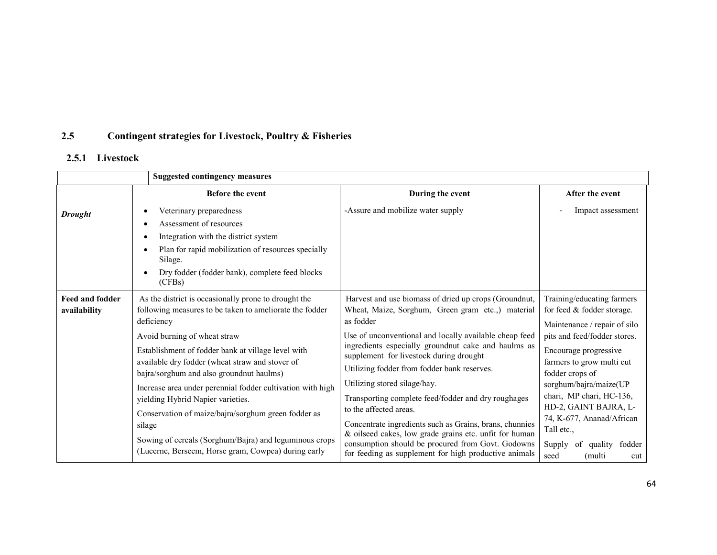### 2.5Contingent strategies for Livestock, Poultry & Fisheries

## 2.5.1 Livestock

|                        | <b>Suggested contingency measures</b>                                      |                                                                                                            |                                                         |
|------------------------|----------------------------------------------------------------------------|------------------------------------------------------------------------------------------------------------|---------------------------------------------------------|
|                        | <b>Before the event</b>                                                    | During the event                                                                                           | After the event                                         |
| <b>Drought</b>         | Veterinary preparedness<br>$\bullet$                                       | -Assure and mobilize water supply                                                                          | Impact assessment                                       |
|                        | Assessment of resources                                                    |                                                                                                            |                                                         |
|                        | Integration with the district system<br>$\bullet$                          |                                                                                                            |                                                         |
|                        | Plan for rapid mobilization of resources specially<br>$\bullet$<br>Silage. |                                                                                                            |                                                         |
|                        | Dry fodder (fodder bank), complete feed blocks<br>$\bullet$<br>(CFBs)      |                                                                                                            |                                                         |
| <b>Feed and fodder</b> | As the district is occasionally prone to drought the                       | Harvest and use biomass of dried up crops (Groundnut,                                                      | Training/educating farmers                              |
| availability           | following measures to be taken to ameliorate the fodder                    | Wheat, Maize, Sorghum, Green gram etc.,) material                                                          | for feed & fodder storage.                              |
|                        | deficiency                                                                 | as fodder                                                                                                  | Maintenance / repair of silo                            |
|                        | Avoid burning of wheat straw                                               | Use of unconventional and locally available cheap feed                                                     | pits and feed/fodder stores.                            |
|                        | Establishment of fodder bank at village level with                         | ingredients especially groundnut cake and haulms as                                                        | Encourage progressive                                   |
|                        | available dry fodder (wheat straw and stover of                            | supplement for livestock during drought                                                                    | farmers to grow multi cut                               |
|                        | bajra/sorghum and also groundnut haulms)                                   | Utilizing fodder from fodder bank reserves.                                                                | fodder crops of                                         |
|                        | Increase area under perennial fodder cultivation with high                 | Utilizing stored silage/hay.                                                                               | sorghum/bajra/maize(UP                                  |
|                        | yielding Hybrid Napier varieties.                                          | Transporting complete feed/fodder and dry roughages                                                        | chari, MP chari, HC-136,                                |
|                        | Conservation of maize/bajra/sorghum green fodder as                        | to the affected areas.                                                                                     | HD-2, GAINT BAJRA, L-                                   |
|                        | silage                                                                     | Concentrate ingredients such as Grains, brans, chunnies                                                    | 74, K-677, Ananad/African<br>Tall etc.,                 |
|                        | Sowing of cereals (Sorghum/Bajra) and leguminous crops                     | & oilseed cakes, low grade grains etc. unfit for human                                                     |                                                         |
|                        | (Lucerne, Berseem, Horse gram, Cowpea) during early                        | consumption should be procured from Govt. Godowns<br>for feeding as supplement for high productive animals | quality<br>fodder<br>Supply of<br>(multi<br>seed<br>cut |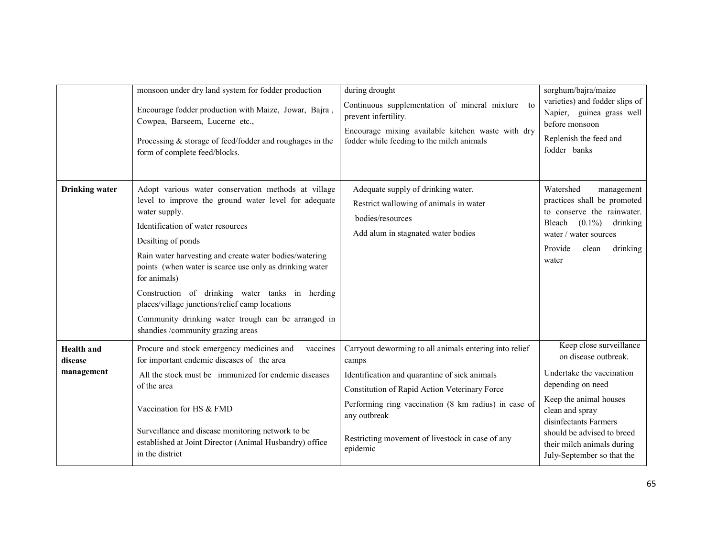|                                            | monsoon under dry land system for fodder production<br>Encourage fodder production with Maize, Jowar, Bajra,<br>Cowpea, Barseem, Lucerne etc.,<br>Processing & storage of feed/fodder and roughages in the<br>form of complete feed/blocks.                                                                                                                                                                                                                                                                                  | during drought<br>Continuous supplementation of mineral mixture to<br>prevent infertility.<br>Encourage mixing available kitchen waste with dry<br>fodder while feeding to the milch animals                                                                                                              | sorghum/bajra/maize<br>varieties) and fodder slips of<br>Napier, guinea grass well<br>before monsoon<br>Replenish the feed and<br>fodder banks                                                                                                                    |
|--------------------------------------------|------------------------------------------------------------------------------------------------------------------------------------------------------------------------------------------------------------------------------------------------------------------------------------------------------------------------------------------------------------------------------------------------------------------------------------------------------------------------------------------------------------------------------|-----------------------------------------------------------------------------------------------------------------------------------------------------------------------------------------------------------------------------------------------------------------------------------------------------------|-------------------------------------------------------------------------------------------------------------------------------------------------------------------------------------------------------------------------------------------------------------------|
| <b>Drinking</b> water                      | Adopt various water conservation methods at village<br>level to improve the ground water level for adequate<br>water supply.<br>Identification of water resources<br>Desilting of ponds<br>Rain water harvesting and create water bodies/watering<br>points (when water is scarce use only as drinking water<br>for animals)<br>Construction of drinking water tanks in herding<br>places/village junctions/relief camp locations<br>Community drinking water trough can be arranged in<br>shandies /community grazing areas | Adequate supply of drinking water.<br>Restrict wallowing of animals in water<br>bodies/resources<br>Add alum in stagnated water bodies                                                                                                                                                                    | Watershed<br>management<br>practices shall be promoted<br>to conserve the rainwater.<br>Bleach<br>$(0.1\%)$<br>drinking<br>water / water sources<br>Provide<br>drinking<br>clean<br>water                                                                         |
| <b>Health</b> and<br>disease<br>management | Procure and stock emergency medicines and<br>vaccines<br>for important endemic diseases of the area<br>All the stock must be immunized for endemic diseases<br>of the area<br>Vaccination for HS & FMD<br>Surveillance and disease monitoring network to be<br>established at Joint Director (Animal Husbandry) office<br>in the district                                                                                                                                                                                    | Carryout deworming to all animals entering into relief<br>camps<br>Identification and quarantine of sick animals<br>Constitution of Rapid Action Veterinary Force<br>Performing ring vaccination (8 km radius) in case of<br>any outbreak<br>Restricting movement of livestock in case of any<br>epidemic | Keep close surveillance<br>on disease outbreak.<br>Undertake the vaccination<br>depending on need<br>Keep the animal houses<br>clean and spray<br>disinfectants Farmers<br>should be advised to breed<br>their milch animals during<br>July-September so that the |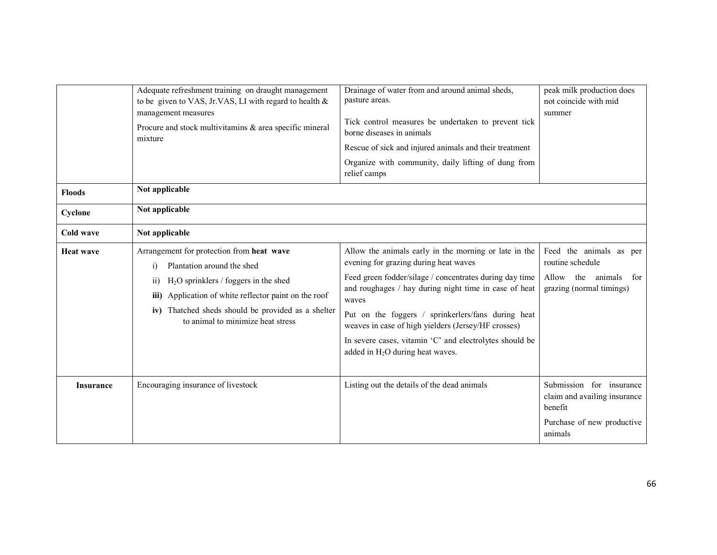|                  | Adequate refreshment training on draught management<br>to be given to VAS, Jr.VAS, LI with regard to health $\&$<br>management measures<br>Procure and stock multivitamins & area specific mineral<br>mixture                                                                                             | Drainage of water from and around animal sheds,<br>pasture areas.<br>Tick control measures be undertaken to prevent tick<br>borne diseases in animals<br>Rescue of sick and injured animals and their treatment<br>Organize with community, daily lifting of dung from<br>relief camps                                                                                                                                                    | peak milk production does<br>not coincide with mid<br>summer                                                 |
|------------------|-----------------------------------------------------------------------------------------------------------------------------------------------------------------------------------------------------------------------------------------------------------------------------------------------------------|-------------------------------------------------------------------------------------------------------------------------------------------------------------------------------------------------------------------------------------------------------------------------------------------------------------------------------------------------------------------------------------------------------------------------------------------|--------------------------------------------------------------------------------------------------------------|
| <b>Floods</b>    | Not applicable                                                                                                                                                                                                                                                                                            |                                                                                                                                                                                                                                                                                                                                                                                                                                           |                                                                                                              |
| Cyclone          | Not applicable                                                                                                                                                                                                                                                                                            |                                                                                                                                                                                                                                                                                                                                                                                                                                           |                                                                                                              |
| Cold wave        | Not applicable                                                                                                                                                                                                                                                                                            |                                                                                                                                                                                                                                                                                                                                                                                                                                           |                                                                                                              |
| <b>Heat wave</b> | Arrangement for protection from heat wave<br>Plantation around the shed<br>$\ddot{1}$<br>$H2O$ sprinklers / foggers in the shed<br>$\overline{11}$<br>Application of white reflector paint on the roof<br>iii)<br>iv) Thatched sheds should be provided as a shelter<br>to animal to minimize heat stress | Allow the animals early in the morning or late in the<br>evening for grazing during heat waves<br>Feed green fodder/silage / concentrates during day time<br>and roughages / hay during night time in case of heat<br>waves<br>Put on the foggers / sprinkerlers/fans during heat<br>weaves in case of high yielders (Jersey/HF crosses)<br>In severe cases, vitamin 'C' and electrolytes should be<br>added in $H_2O$ during heat waves. | Feed the animals as per<br>routine schedule<br>Allow<br>the<br>animals<br>for<br>grazing (normal timings)    |
| <b>Insurance</b> | Encouraging insurance of livestock                                                                                                                                                                                                                                                                        | Listing out the details of the dead animals                                                                                                                                                                                                                                                                                                                                                                                               | Submission for insurance<br>claim and availing insurance<br>benefit<br>Purchase of new productive<br>animals |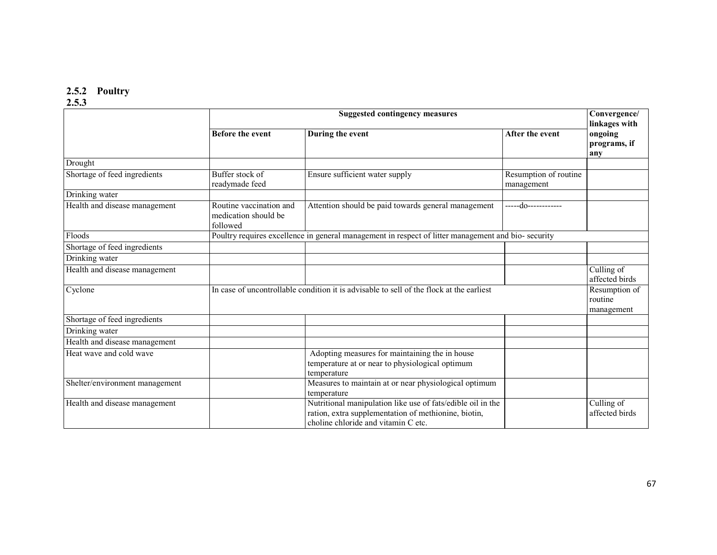# 2.5.2 Poultry 2.5.3

|                                | <b>Suggested contingency measures</b>                                                              |                                                                                                                                                            |                                        | Convergence/<br>linkages with  |
|--------------------------------|----------------------------------------------------------------------------------------------------|------------------------------------------------------------------------------------------------------------------------------------------------------------|----------------------------------------|--------------------------------|
|                                | <b>Before the event</b>                                                                            | During the event                                                                                                                                           | After the event                        | ongoing<br>programs, if<br>any |
| Drought                        |                                                                                                    |                                                                                                                                                            |                                        |                                |
| Shortage of feed ingredients   | Buffer stock of<br>readymade feed                                                                  | Ensure sufficient water supply                                                                                                                             | Resumption of routine<br>management    |                                |
| Drinking water                 |                                                                                                    |                                                                                                                                                            |                                        |                                |
| Health and disease management  | Routine vaccination and<br>medication should be<br>followed                                        | Attention should be paid towards general management                                                                                                        | -----do-----------                     |                                |
| Floods                         | Poultry requires excellence in general management in respect of litter management and bio-security |                                                                                                                                                            |                                        |                                |
| Shortage of feed ingredients   |                                                                                                    |                                                                                                                                                            |                                        |                                |
| Drinking water                 |                                                                                                    |                                                                                                                                                            |                                        |                                |
| Health and disease management  |                                                                                                    |                                                                                                                                                            |                                        | Culling of<br>affected birds   |
| Cyclone                        | In case of uncontrollable condition it is advisable to sell of the flock at the earliest           |                                                                                                                                                            | Resumption of<br>routine<br>management |                                |
| Shortage of feed ingredients   |                                                                                                    |                                                                                                                                                            |                                        |                                |
| Drinking water                 |                                                                                                    |                                                                                                                                                            |                                        |                                |
| Health and disease management  |                                                                                                    |                                                                                                                                                            |                                        |                                |
| Heat wave and cold wave        |                                                                                                    | Adopting measures for maintaining the in house<br>temperature at or near to physiological optimum<br>temperature                                           |                                        |                                |
| Shelter/environment management |                                                                                                    | Measures to maintain at or near physiological optimum<br>temperature                                                                                       |                                        |                                |
| Health and disease management  |                                                                                                    | Nutritional manipulation like use of fats/edible oil in the<br>ration, extra supplementation of methionine, biotin,<br>choline chloride and vitamin C etc. |                                        | Culling of<br>affected birds   |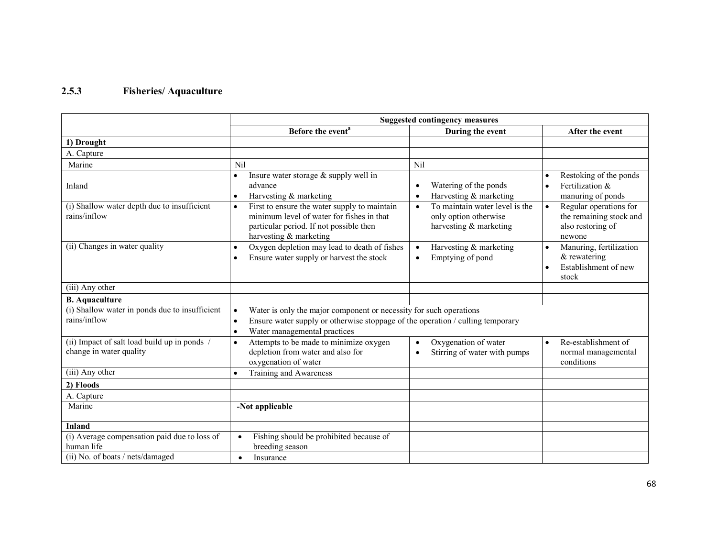## 2.5.3 Fisheries/ Aquaculture

|                                                                         | <b>Suggested contingency measures</b>                                                                                                                                                                                       |                                                                                                |                                                                                       |  |
|-------------------------------------------------------------------------|-----------------------------------------------------------------------------------------------------------------------------------------------------------------------------------------------------------------------------|------------------------------------------------------------------------------------------------|---------------------------------------------------------------------------------------|--|
|                                                                         | Before the event <sup>a</sup>                                                                                                                                                                                               | During the event                                                                               | After the event                                                                       |  |
| 1) Drought                                                              |                                                                                                                                                                                                                             |                                                                                                |                                                                                       |  |
| A. Capture                                                              |                                                                                                                                                                                                                             |                                                                                                |                                                                                       |  |
| Marine                                                                  | Nil                                                                                                                                                                                                                         | Nil                                                                                            |                                                                                       |  |
| Inland                                                                  | Insure water storage $&$ supply well in<br>$\bullet$<br>advance<br>Harvesting & marketing<br>$\bullet$                                                                                                                      | Watering of the ponds<br>$\bullet$<br>Harvesting & marketing<br>$\bullet$                      | Restoking of the ponds<br>Fertilization &<br>manuring of ponds                        |  |
| (i) Shallow water depth due to insufficient<br>rains/inflow             | First to ensure the water supply to maintain<br>$\bullet$<br>minimum level of water for fishes in that<br>particular period. If not possible then<br>harvesting & marketing                                                 | To maintain water level is the<br>$\bullet$<br>only option otherwise<br>harvesting & marketing | Regular operations for<br>the remaining stock and<br>also restoring of<br>newone      |  |
| (ii) Changes in water quality                                           | Oxygen depletion may lead to death of fishes<br>$\bullet$<br>Ensure water supply or harvest the stock<br>$\bullet$                                                                                                          | Harvesting & marketing<br>$\bullet$<br>Emptying of pond<br>$\bullet$                           | Manuring, fertilization<br>$\bullet$<br>& rewatering<br>Establishment of new<br>stock |  |
| (iii) Any other                                                         |                                                                                                                                                                                                                             |                                                                                                |                                                                                       |  |
| <b>B.</b> Aquaculture                                                   |                                                                                                                                                                                                                             |                                                                                                |                                                                                       |  |
| (i) Shallow water in ponds due to insufficient<br>rains/inflow          | Water is only the major component or necessity for such operations<br>$\bullet$<br>Ensure water supply or otherwise stoppage of the operation / culling temporary<br>$\bullet$<br>Water managemental practices<br>$\bullet$ |                                                                                                |                                                                                       |  |
| (ii) Impact of salt load build up in ponds /<br>change in water quality | Attempts to be made to minimize oxygen<br>$\bullet$<br>depletion from water and also for<br>oxygenation of water                                                                                                            | Oxygenation of water<br>$\bullet$<br>Stirring of water with pumps                              | Re-establishment of<br>normal managemental<br>conditions                              |  |
| (iii) Any other                                                         | Training and Awareness<br>$\bullet$                                                                                                                                                                                         |                                                                                                |                                                                                       |  |
| 2) Floods                                                               |                                                                                                                                                                                                                             |                                                                                                |                                                                                       |  |
| A. Capture                                                              |                                                                                                                                                                                                                             |                                                                                                |                                                                                       |  |
| Marine                                                                  | -Not applicable                                                                                                                                                                                                             |                                                                                                |                                                                                       |  |
| Inland                                                                  |                                                                                                                                                                                                                             |                                                                                                |                                                                                       |  |
| (i) Average compensation paid due to loss of<br>human life              | Fishing should be prohibited because of<br>breeding season                                                                                                                                                                  |                                                                                                |                                                                                       |  |
| (ii) No. of boats / nets/damaged                                        | Insurance<br>$\bullet$                                                                                                                                                                                                      |                                                                                                |                                                                                       |  |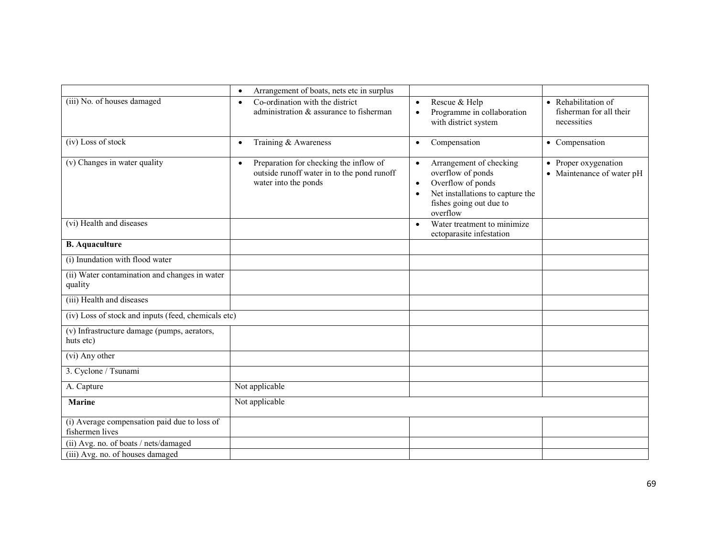|                                                                 | Arrangement of boats, nets etc in surplus<br>$\bullet$                                                                    |                                                                                                                                                                                     |                                                               |
|-----------------------------------------------------------------|---------------------------------------------------------------------------------------------------------------------------|-------------------------------------------------------------------------------------------------------------------------------------------------------------------------------------|---------------------------------------------------------------|
| (iii) No. of houses damaged                                     | Co-ordination with the district<br>$\bullet$<br>administration & assurance to fisherman                                   | Rescue & Help<br>$\bullet$<br>Programme in collaboration<br>$\bullet$<br>with district system                                                                                       | • Rehabilitation of<br>fisherman for all their<br>necessities |
| (iv) Loss of stock                                              | Training & Awareness<br>$\bullet$                                                                                         | Compensation<br>$\bullet$                                                                                                                                                           | • Compensation                                                |
| (v) Changes in water quality                                    | Preparation for checking the inflow of<br>$\bullet$<br>outside runoff water in to the pond runoff<br>water into the ponds | Arrangement of checking<br>$\bullet$<br>overflow of ponds<br>Overflow of ponds<br>$\bullet$<br>Net installations to capture the<br>$\bullet$<br>fishes going out due to<br>overflow | • Proper oxygenation<br>• Maintenance of water pH             |
| (vi) Health and diseases                                        |                                                                                                                           | Water treatment to minimize<br>$\bullet$<br>ectoparasite infestation                                                                                                                |                                                               |
| <b>B.</b> Aquaculture                                           |                                                                                                                           |                                                                                                                                                                                     |                                                               |
| (i) Inundation with flood water                                 |                                                                                                                           |                                                                                                                                                                                     |                                                               |
| (ii) Water contamination and changes in water<br>quality        |                                                                                                                           |                                                                                                                                                                                     |                                                               |
| (iii) Health and diseases                                       |                                                                                                                           |                                                                                                                                                                                     |                                                               |
| (iv) Loss of stock and inputs (feed, chemicals etc)             |                                                                                                                           |                                                                                                                                                                                     |                                                               |
| (v) Infrastructure damage (pumps, aerators,<br>huts etc)        |                                                                                                                           |                                                                                                                                                                                     |                                                               |
| (vi) Any other                                                  |                                                                                                                           |                                                                                                                                                                                     |                                                               |
| 3. Cyclone / Tsunami                                            |                                                                                                                           |                                                                                                                                                                                     |                                                               |
| A. Capture                                                      | Not applicable                                                                                                            |                                                                                                                                                                                     |                                                               |
| <b>Marine</b>                                                   | Not applicable                                                                                                            |                                                                                                                                                                                     |                                                               |
| (i) Average compensation paid due to loss of<br>fishermen lives |                                                                                                                           |                                                                                                                                                                                     |                                                               |
| (ii) Avg. no. of boats / nets/damaged                           |                                                                                                                           |                                                                                                                                                                                     |                                                               |
| (iii) Avg. no. of houses damaged                                |                                                                                                                           |                                                                                                                                                                                     |                                                               |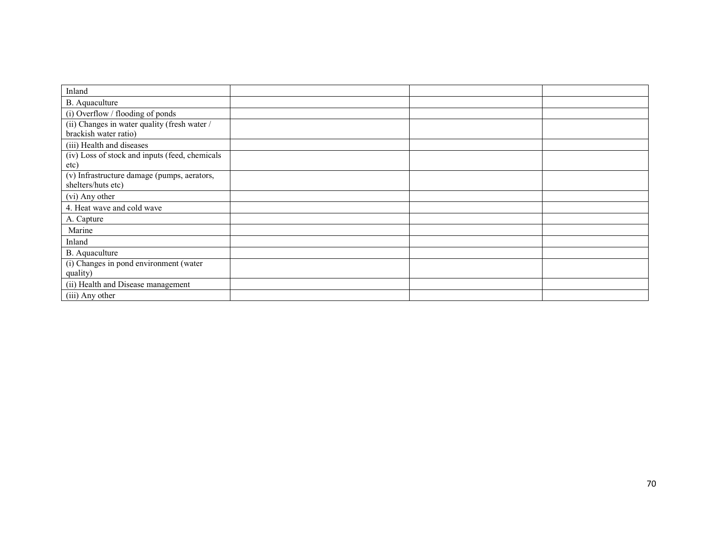| Inland                                         |  |  |
|------------------------------------------------|--|--|
| B. Aquaculture                                 |  |  |
| (i) Overflow / flooding of ponds               |  |  |
| (ii) Changes in water quality (fresh water /   |  |  |
| brackish water ratio)                          |  |  |
| (iii) Health and diseases                      |  |  |
| (iv) Loss of stock and inputs (feed, chemicals |  |  |
| etc)                                           |  |  |
| (v) Infrastructure damage (pumps, aerators,    |  |  |
| shelters/huts etc)                             |  |  |
| (vi) Any other                                 |  |  |
| 4. Heat wave and cold wave                     |  |  |
| A. Capture                                     |  |  |
| Marine                                         |  |  |
| Inland                                         |  |  |
| B. Aquaculture                                 |  |  |
| (i) Changes in pond environment (water         |  |  |
| quality)                                       |  |  |
| (ii) Health and Disease management             |  |  |
| (iii) Any other                                |  |  |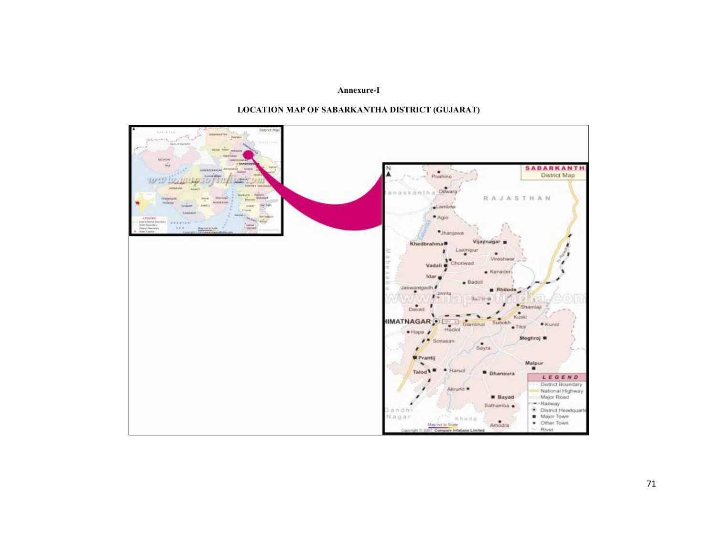## Annexure-I



## LOCATION MAP OF SABARKANTHA DISTRICT (GUJARAT)